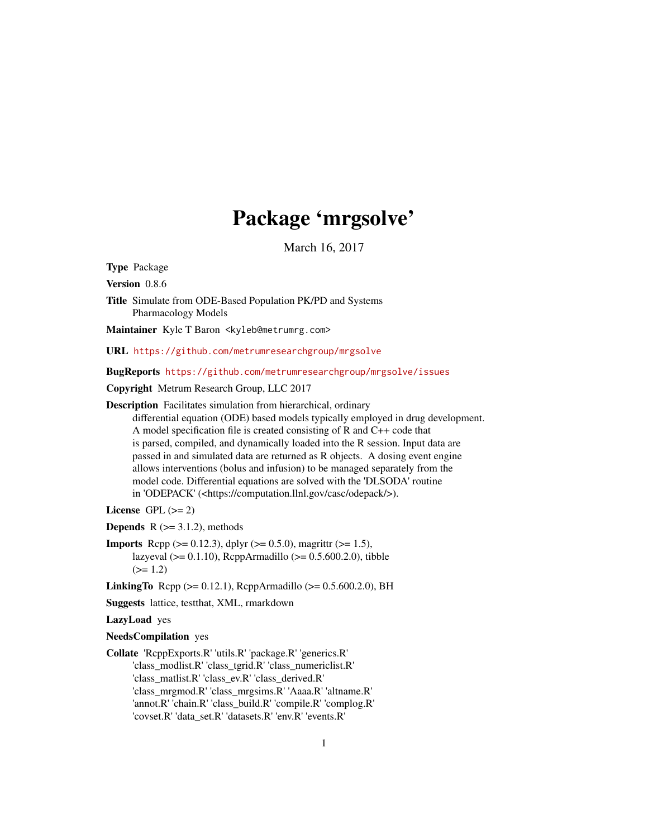# Package 'mrgsolve'

March 16, 2017

<span id="page-0-0"></span>Type Package

Version 0.8.6

Title Simulate from ODE-Based Population PK/PD and Systems Pharmacology Models

Maintainer Kyle T Baron <kyleb@metrumrg.com>

URL <https://github.com/metrumresearchgroup/mrgsolve>

BugReports <https://github.com/metrumresearchgroup/mrgsolve/issues>

Copyright Metrum Research Group, LLC 2017

Description Facilitates simulation from hierarchical, ordinary

differential equation (ODE) based models typically employed in drug development. A model specification file is created consisting of R and C++ code that is parsed, compiled, and dynamically loaded into the R session. Input data are passed in and simulated data are returned as R objects. A dosing event engine allows interventions (bolus and infusion) to be managed separately from the model code. Differential equations are solved with the 'DLSODA' routine in 'ODEPACK' (<https://computation.llnl.gov/casc/odepack/>).

License GPL  $(>= 2)$ 

**Depends**  $R$  ( $>= 3.1.2$ ), methods

**Imports** Rcpp ( $>= 0.12.3$ ), dplyr ( $>= 0.5.0$ ), magrittr ( $>= 1.5$ ), lazyeval ( $>= 0.1.10$ ), RcppArmadillo ( $>= 0.5.600.2.0$ ), tibble  $(>= 1.2)$ 

**LinkingTo** Rcpp ( $>= 0.12.1$ ), RcppArmadillo ( $>= 0.5.600.2.0$ ), BH

Suggests lattice, testthat, XML, rmarkdown

LazyLoad yes

NeedsCompilation yes

Collate 'RcppExports.R' 'utils.R' 'package.R' 'generics.R' 'class\_modlist.R' 'class\_tgrid.R' 'class\_numericlist.R' 'class\_matlist.R' 'class\_ev.R' 'class\_derived.R' 'class\_mrgmod.R' 'class\_mrgsims.R' 'Aaaa.R' 'altname.R' 'annot.R' 'chain.R' 'class\_build.R' 'compile.R' 'complog.R' 'covset.R' 'data\_set.R' 'datasets.R' 'env.R' 'events.R'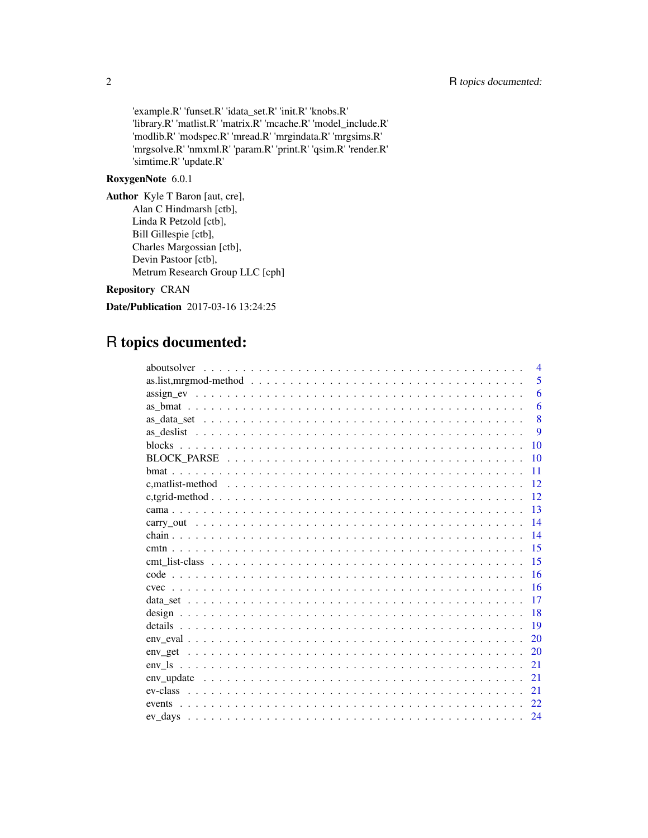'example.R' 'funset.R' 'idata\_set.R' 'init.R' 'knobs.R' 'library.R' 'matlist.R' 'matrix.R' 'mcache.R' 'model\_include.R' 'modlib.R' 'modspec.R' 'mread.R' 'mrgindata.R' 'mrgsims.R' 'mrgsolve.R' 'nmxml.R' 'param.R' 'print.R' 'qsim.R' 'render.R' 'simtime.R' 'update.R'

# RoxygenNote 6.0.1

Author Kyle T Baron [aut, cre], Alan C Hindmarsh [ctb], Linda R Petzold [ctb], Bill Gillespie [ctb], Charles Margossian [ctb], Devin Pastoor [ctb], Metrum Research Group LLC [cph]

# Repository CRAN

Date/Publication 2017-03-16 13:24:25

# R topics documented:

| $\overline{4}$                                                                                                    |
|-------------------------------------------------------------------------------------------------------------------|
| 5<br>as.list, mrgmod-method $\ldots \ldots \ldots \ldots \ldots \ldots \ldots \ldots \ldots \ldots \ldots \ldots$ |
| 6                                                                                                                 |
| 6                                                                                                                 |
| 8                                                                                                                 |
| 9                                                                                                                 |
| 10                                                                                                                |
| 10                                                                                                                |
| 11                                                                                                                |
| 12                                                                                                                |
| 12                                                                                                                |
| 13                                                                                                                |
| 14                                                                                                                |
| 14                                                                                                                |
| 15                                                                                                                |
| 15                                                                                                                |
| 16                                                                                                                |
| 16                                                                                                                |
| 17                                                                                                                |
| 18                                                                                                                |
| 19                                                                                                                |
| 20                                                                                                                |
| 20                                                                                                                |
| 21                                                                                                                |
| 21                                                                                                                |
| 21                                                                                                                |
| 22                                                                                                                |
| 24                                                                                                                |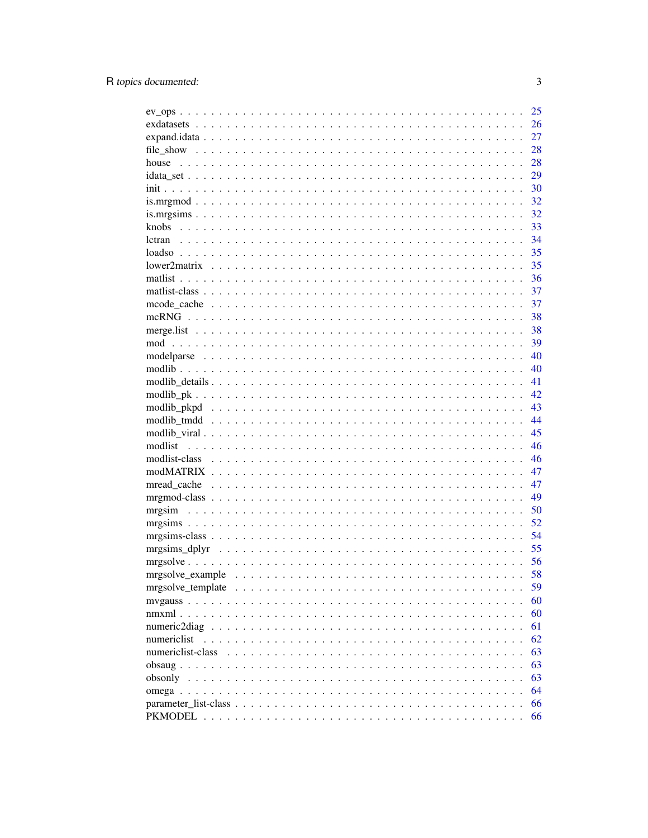|                   | 25 |
|-------------------|----|
|                   | 26 |
|                   | 27 |
|                   | 28 |
| house             | 28 |
|                   | 29 |
|                   | 30 |
|                   | 32 |
|                   | 32 |
|                   | 33 |
|                   | 34 |
|                   | 35 |
|                   | 35 |
|                   | 36 |
|                   | 37 |
|                   | 37 |
|                   | 38 |
|                   | 38 |
|                   | 39 |
|                   | 40 |
|                   | 40 |
|                   | 41 |
|                   | 42 |
|                   | 43 |
|                   | 44 |
|                   | 45 |
|                   | 46 |
|                   | 46 |
|                   | 47 |
|                   | 47 |
|                   | 49 |
|                   | 50 |
|                   | 52 |
|                   | 54 |
|                   | 55 |
|                   | 56 |
|                   | 58 |
|                   | 59 |
|                   | 60 |
|                   | 60 |
| numeric2diag      | 61 |
| numericlist       | 62 |
| numericlist-class | 63 |
|                   | 63 |
| obsonly           | 63 |
|                   | 64 |
|                   | 66 |
|                   | 66 |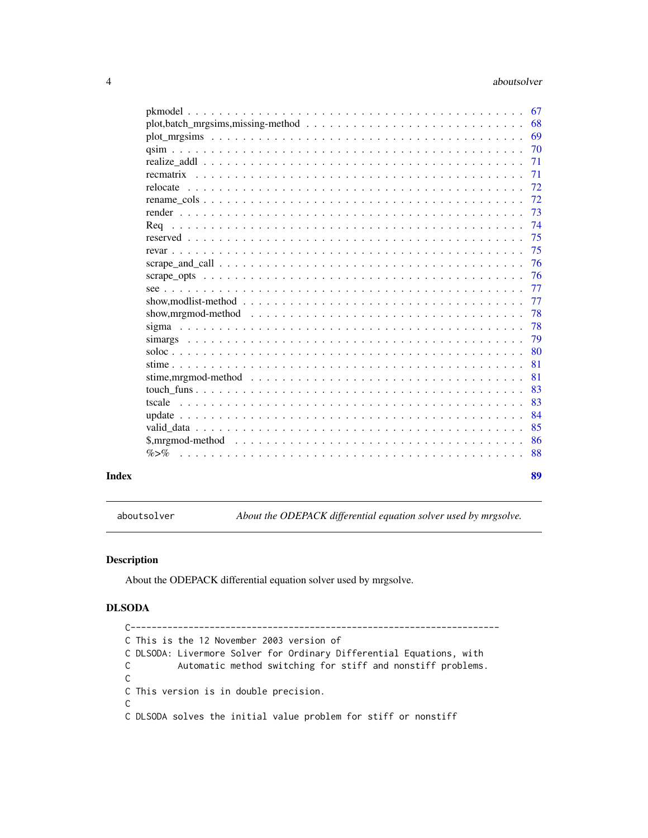<span id="page-3-0"></span>

| $plot_mrgsims \dots \dots \dots \dots \dots \dots \dots \dots \dots \dots \dots \dots \dots \dots \dots \dots$    | 69  |
|-------------------------------------------------------------------------------------------------------------------|-----|
|                                                                                                                   | -70 |
|                                                                                                                   | 71  |
|                                                                                                                   | 71  |
|                                                                                                                   | 72  |
|                                                                                                                   | 72  |
|                                                                                                                   | 73  |
|                                                                                                                   | 74  |
|                                                                                                                   | 75  |
|                                                                                                                   | 75  |
|                                                                                                                   | 76  |
|                                                                                                                   | 76  |
|                                                                                                                   | 77  |
| show, modlist-method $\ldots \ldots \ldots \ldots \ldots \ldots \ldots \ldots \ldots \ldots \ldots \ldots \ldots$ | 77  |
| show, mrgmod-method $\ldots \ldots \ldots \ldots \ldots \ldots \ldots \ldots \ldots \ldots \ldots \ldots \ldots$  | 78  |
|                                                                                                                   | 78  |
|                                                                                                                   | 79  |
|                                                                                                                   | 80  |
|                                                                                                                   | 81  |
| stime, mrgmod-method $\dots \dots \dots \dots \dots \dots \dots \dots \dots \dots \dots \dots \dots \dots \dots$  | 81  |
|                                                                                                                   | 83  |
| tscale                                                                                                            | 83  |
|                                                                                                                   | 84  |
|                                                                                                                   | 85  |
|                                                                                                                   | 86  |
| $\% > \%$                                                                                                         | 88  |
|                                                                                                                   | 89  |

aboutsolver *About the ODEPACK differential equation solver used by mrgsolve.*

# Description

About the ODEPACK differential equation solver used by mrgsolve.

# DLSODA

```
C----------------------------------------------------------------------
C This is the 12 November 2003 version of
C DLSODA: Livermore Solver for Ordinary Differential Equations, with
C Automatic method switching for stiff and nonstiff problems.
C
C This version is in double precision.
\mathsf CC DLSODA solves the initial value problem for stiff or nonstiff
```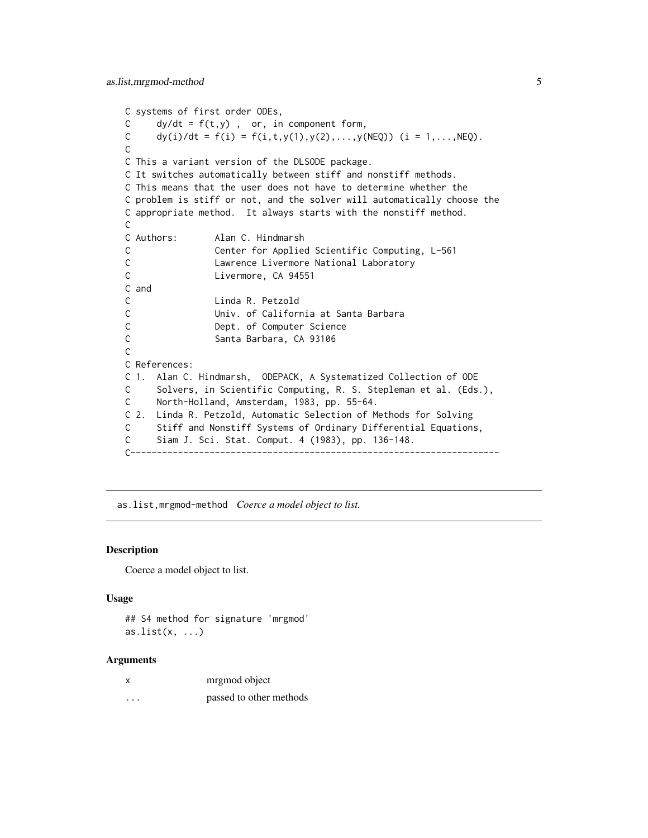```
C systems of first order ODEs,
C dy/dt = f(t, y), or, in component form,
C dy(i)/dt = f(i) = f(i,t,y(1),y(2),...,y(NEQ)) (i = 1,...,NEQ).
\mathcal{C}C This a variant version of the DLSODE package.
C It switches automatically between stiff and nonstiff methods.
C This means that the user does not have to determine whether the
C problem is stiff or not, and the solver will automatically choose the
C appropriate method. It always starts with the nonstiff method.
C
C Authors: Alan C. Hindmarsh
C Center for Applied Scientific Computing, L-561
C Lawrence Livermore National Laboratory
C Livermore, CA 94551
C and
C Linda R. Petzold
C Univ. of California at Santa Barbara
C Dept. of Computer Science
C Santa Barbara, CA 93106
C
C References:
C 1. Alan C. Hindmarsh, ODEPACK, A Systematized Collection of ODE
C Solvers, in Scientific Computing, R. S. Stepleman et al. (Eds.),
C North-Holland, Amsterdam, 1983, pp. 55-64.
C 2. Linda R. Petzold, Automatic Selection of Methods for Solving
C Stiff and Nonstiff Systems of Ordinary Differential Equations,
C Siam J. Sci. Stat. Comput. 4 (1983), pp. 136-148.
C----------------------------------------------------------------------
```
as.list,mrgmod-method *Coerce a model object to list.*

#### **Description**

Coerce a model object to list.

#### Usage

```
## S4 method for signature 'mrgmod'
as.list(x, \ldots)
```
#### Arguments

|   | mrgmod object           |
|---|-------------------------|
| . | passed to other methods |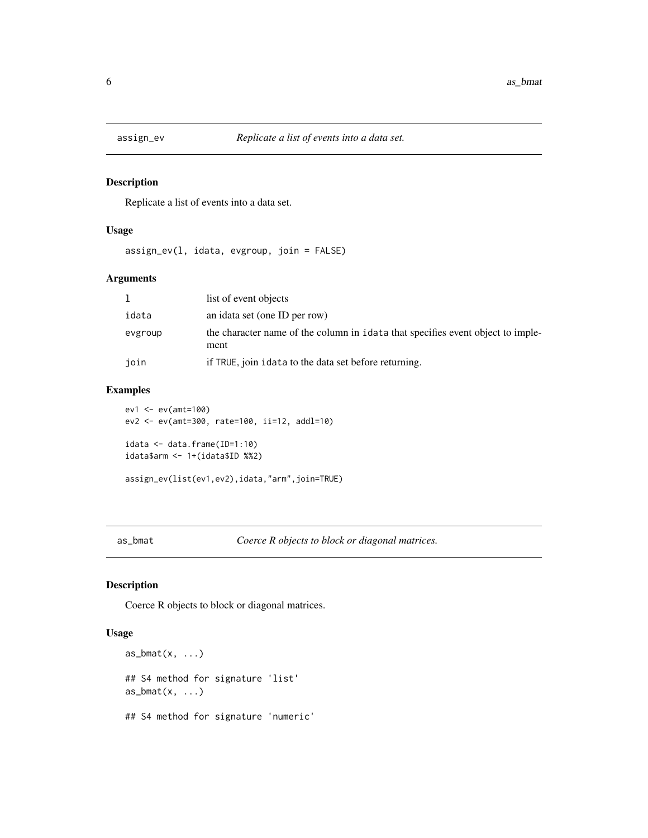<span id="page-5-0"></span>

Replicate a list of events into a data set.

# Usage

assign\_ev(l, idata, evgroup, join = FALSE)

# Arguments

|         | list of event objects                                                                   |
|---------|-----------------------------------------------------------------------------------------|
| idata   | an idata set (one ID per row)                                                           |
| evgroup | the character name of the column in idata that specifies event object to imple-<br>ment |
| join    | if TRUE, join idata to the data set before returning.                                   |

# Examples

```
ev1 <- ev(amt=100)
ev2 <- ev(amt=300, rate=100, ii=12, addl=10)
idata <- data.frame(ID=1:10)
idata$arm <- 1+(idata$ID %%2)
assign_ev(list(ev1,ev2),idata,"arm",join=TRUE)
```
<span id="page-5-1"></span>as\_bmat *Coerce R objects to block or diagonal matrices.*

# <span id="page-5-2"></span>Description

Coerce R objects to block or diagonal matrices.

# Usage

```
as_bmat(x, \ldots)## S4 method for signature 'list'
as_bmat(x, \ldots)## S4 method for signature 'numeric'
```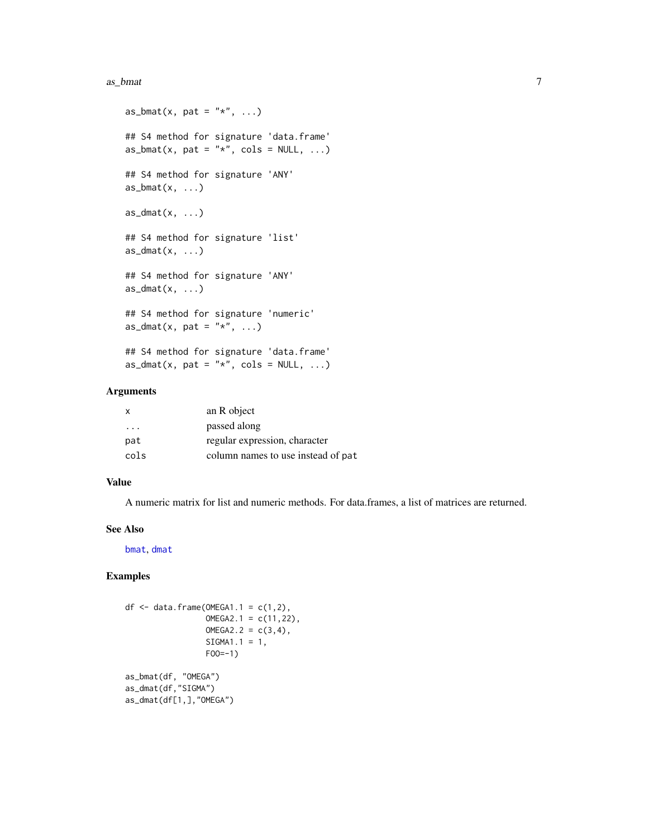#### as\_bmat 7 ass as  $\sim$  7 and 7 and 7 and 7 and 7 and 7 and 7 and 7 and 7 and 7 and 7 and 7 and 7 and 7 and 7 and 7 and 7 and 7 and 7 and 7 and 7 and 7 and 7 and 7 and 7 and 7 and 7 and 7 and 7 and 7 and 7 and 7 and 7 and 7

```
as_bmat(x, pat = "*", ...)## S4 method for signature 'data.frame'
as_bmat(x, pat = "*", cols = NULL, ...)## S4 method for signature 'ANY'
as\_bmat(x, \ldots)as\_dmat(x, \ldots)## S4 method for signature 'list'
as\_dmat(x, \ldots)## S4 method for signature 'ANY'
as\_dmat(x, \ldots)## S4 method for signature 'numeric'
as_dmat(x, pat = "*", ...)
## S4 method for signature 'data.frame'
as\_dmat(x, pat = "*", cols = NULL, ...)
```
#### Arguments

| $\mathsf{x}$            | an R object                        |
|-------------------------|------------------------------------|
| $\cdot$ $\cdot$ $\cdot$ | passed along                       |
| pat                     | regular expression, character      |
| cols                    | column names to use instead of pat |

### Value

A numeric matrix for list and numeric methods. For data.frames, a list of matrices are returned.

#### See Also

[bmat](#page-10-1), [dmat](#page-10-2)

```
df <- data.frame(OMEGA1.1 = c(1,2),
                 OMEGA2.1 = c(11, 22),
                 OMEGA2.2 = c(3, 4),SIGMA1.1 = 1,FOO=-1)as_bmat(df, "OMEGA")
as_dmat(df,"SIGMA")
as_dmat(df[1,],"OMEGA")
```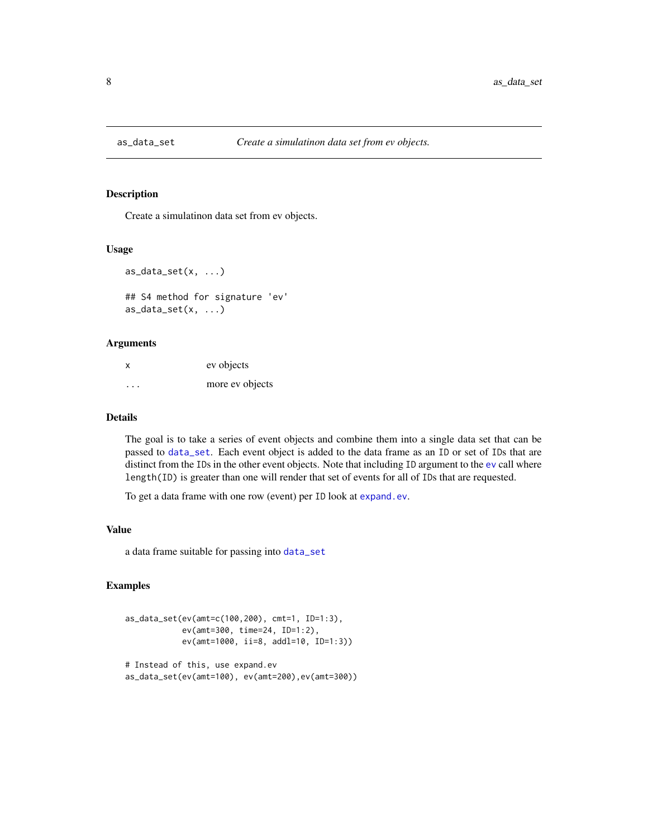<span id="page-7-0"></span>

Create a simulatinon data set from ev objects.

#### Usage

```
as\_data\_set(x, \ldots)## S4 method for signature 'ev'
```
 $as\_data\_set(x, \ldots)$ 

#### Arguments

| x       | ev objects      |
|---------|-----------------|
| $\cdot$ | more ev objects |

#### Details

The goal is to take a series of event objects and combine them into a single data set that can be passed to [data\\_set](#page-16-1). Each event object is added to the data frame as an ID or set of IDs that are distinct from the IDs in the other event objects. Note that including ID argument to the [ev](#page-21-1) call where length(ID) is greater than one will render that set of events for all of IDs that are requested.

To get a data frame with one row (event) per ID look at [expand.ev](#page-26-1).

#### Value

a data frame suitable for passing into [data\\_set](#page-16-1)

```
as_data_set(ev(amt=c(100,200), cmt=1, ID=1:3),
            ev(amt=300, time=24, ID=1:2),
            ev(amt=1000, ii=8, addl=10, ID=1:3))
# Instead of this, use expand.ev
```

```
as_data_set(ev(amt=100), ev(amt=200),ev(amt=300))
```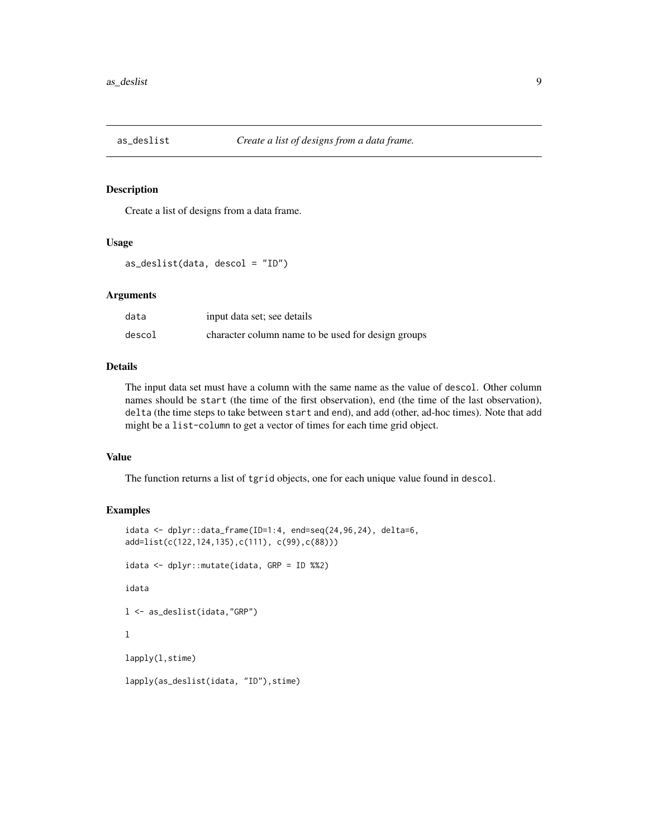<span id="page-8-0"></span>

Create a list of designs from a data frame.

#### Usage

as\_deslist(data, descol = "ID")

#### Arguments

| data   | input data set; see details                        |
|--------|----------------------------------------------------|
| descol | character column name to be used for design groups |

#### Details

The input data set must have a column with the same name as the value of descol. Other column names should be start (the time of the first observation), end (the time of the last observation), delta (the time steps to take between start and end), and add (other, ad-hoc times). Note that add might be a list-column to get a vector of times for each time grid object.

#### Value

The function returns a list of tgrid objects, one for each unique value found in descol.

```
idata < - dplyr::data_frame(ID=1:4, end=seq(24,96,24), delta=6,
add=list(c(122,124,135),c(111), c(99),c(88)))
idata <- dplyr::mutate(idata, GRP = ID %%2)
idata
l <- as_deslist(idata,"GRP")
\mathbf 1lapply(l,stime)
lapply(as_deslist(idata, "ID"), stime)
```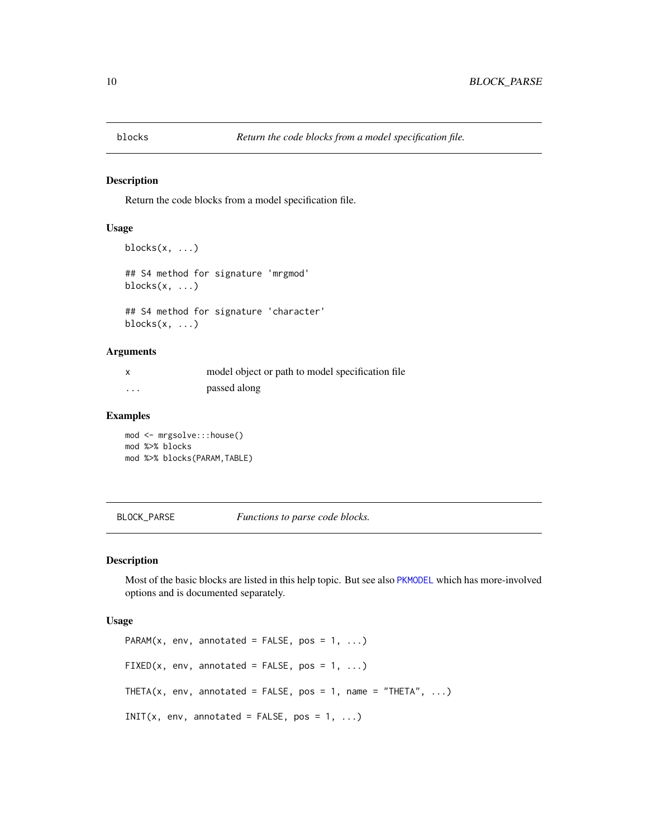<span id="page-9-0"></span>

Return the code blocks from a model specification file.

#### Usage

```
blocks(x, \ldots)## S4 method for signature 'mrgmod'
blocks(x, ...)
## S4 method for signature 'character'
blocks(x, \ldots)
```
#### Arguments

| $\boldsymbol{\mathsf{x}}$ | model object or path to model specification file |
|---------------------------|--------------------------------------------------|
| .                         | passed along                                     |

#### Examples

mod <- mrgsolve:::house() mod %>% blocks mod %>% blocks(PARAM,TABLE)

BLOCK\_PARSE *Functions to parse code blocks.*

#### Description

Most of the basic blocks are listed in this help topic. But see also [PKMODEL](#page-65-1) which has more-involved options and is documented separately.

#### Usage

```
PARAM(x, env, annotated = FALSE, pos = 1, ...)
FIXED(x, env, annotated = FALSE, pos = 1, ...)
THETA(x, env, annotated = FALSE, pos = 1, name = "THETA", \ldots)
INIT(x, env, annotated = FALSE, pos = 1, ...)
```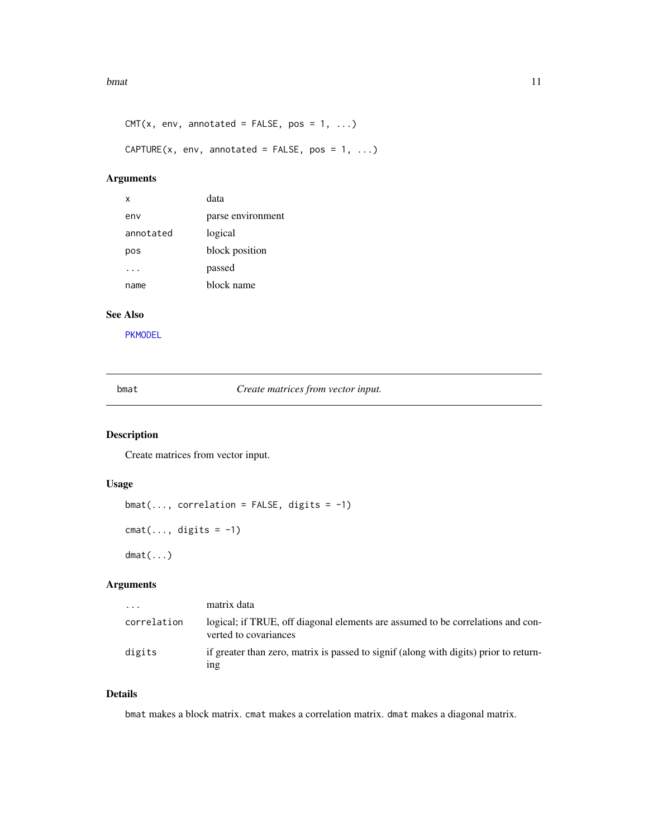#### <span id="page-10-0"></span>bmat 11

```
CMT(x, env, annotated = FALSE, pos = 1, ...)CAPTURE(x, env, annotated = FALSE, pos = 1, ...)
```
# Arguments

| х         | data              |
|-----------|-------------------|
| env       | parse environment |
| annotated | logical           |
| pos       | block position    |
|           | passed            |
| name      | block name        |

# See Also

[PKMODEL](#page-65-1)

<span id="page-10-1"></span>bmat *Create matrices from vector input.*

# <span id="page-10-2"></span>Description

Create matrices from vector input.

# Usage

```
bmat(..., correlation = FALSE, digits = -1)cmat(..., digits = -1)
dmat(...)
```
# Arguments

| .           | matrix data                                                                                              |
|-------------|----------------------------------------------------------------------------------------------------------|
| correlation | logical; if TRUE, off diagonal elements are assumed to be correlations and con-<br>verted to covariances |
| digits      | if greater than zero, matrix is passed to signif (along with digits) prior to return-<br>1ng             |

# Details

bmat makes a block matrix. cmat makes a correlation matrix. dmat makes a diagonal matrix.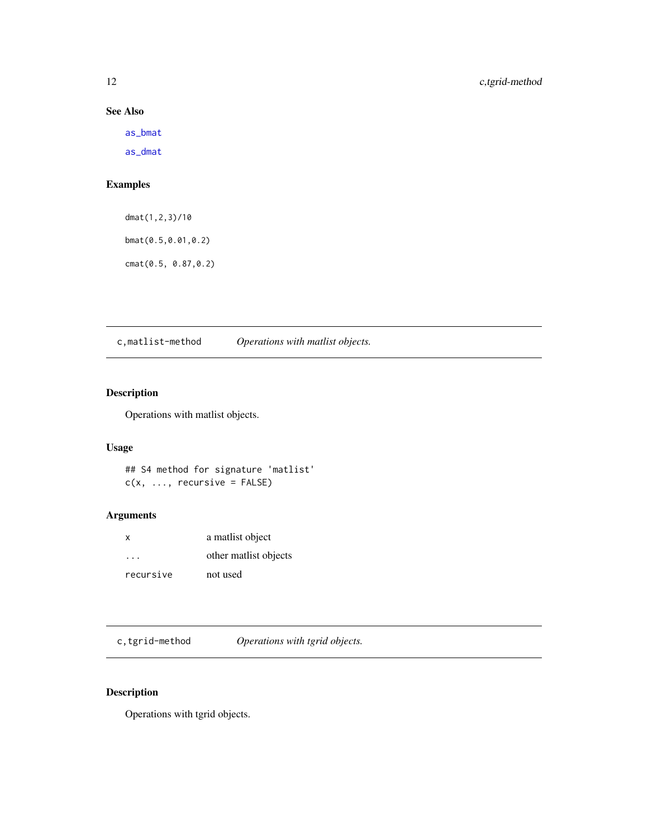# See Also

[as\\_bmat](#page-5-1)

[as\\_dmat](#page-5-2)

# Examples

dmat(1,2,3)/10 bmat(0.5,0.01,0.2) cmat(0.5, 0.87,0.2)

c,matlist-method *Operations with matlist objects.*

# Description

Operations with matlist objects.

# Usage

```
## S4 method for signature 'matlist'
c(x, \ldots, recursive = FALSE)
```
# Arguments

| $\times$             | a matlist object      |
|----------------------|-----------------------|
| $\sim$ $\sim$ $\sim$ | other matlist objects |
| recursive            | not used              |

c,tgrid-method *Operations with tgrid objects.*

# Description

Operations with tgrid objects.

<span id="page-11-0"></span>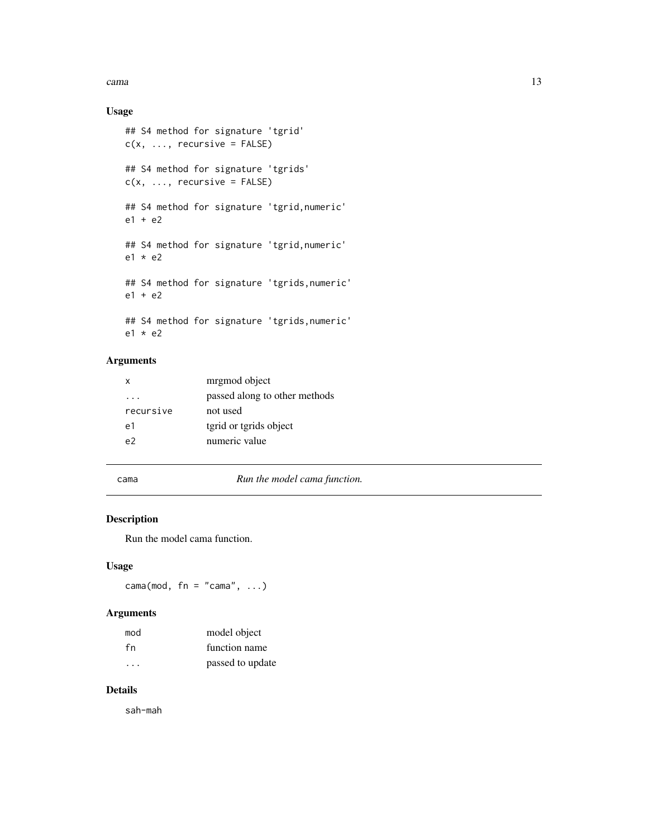<span id="page-12-0"></span>cama and the contract of the contract of the contract of the contract of the contract of the contract of the contract of the contract of the contract of the contract of the contract of the contract of the contract of the c

# Usage

```
## S4 method for signature 'tgrid'
c(x, \ldots, recursive = FALSE)
## S4 method for signature 'tgrids'
c(x, \ldots, recursive = FALSE)
## S4 method for signature 'tgrid,numeric'
e1 + e2
## S4 method for signature 'tgrid,numeric'
e1 * e2
## S4 method for signature 'tgrids,numeric'
e1 + e2
## S4 method for signature 'tgrids,numeric'
e1 * e2
```
# Arguments

| x         | mrgmod object                 |
|-----------|-------------------------------|
|           | passed along to other methods |
| recursive | not used                      |
| e1        | tgrid or tgrids object        |
| م -       | numeric value                 |
|           |                               |

cama *Run the model cama function.*

# Description

Run the model cama function.

#### Usage

 $cama(mod, fn = "cama", ...)$ 

### Arguments

| mod                     | model object     |
|-------------------------|------------------|
| fn                      | function name    |
| $\cdot$ $\cdot$ $\cdot$ | passed to update |

# Details

sah-mah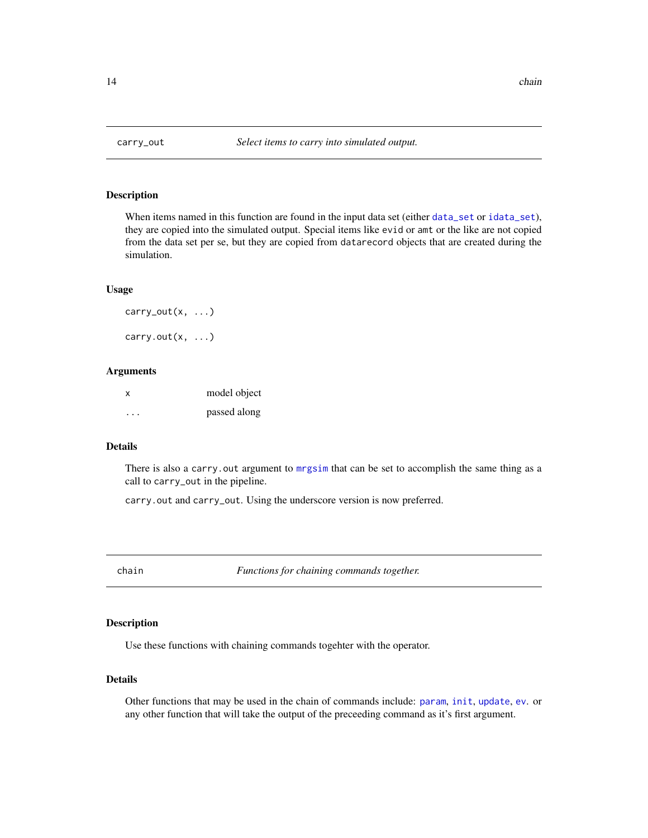<span id="page-13-0"></span>

When items named in this function are found in the input data set (either [data\\_set](#page-16-1) or [idata\\_set](#page-28-1)), they are copied into the simulated output. Special items like evid or amt or the like are not copied from the data set per se, but they are copied from datarecord objects that are created during the simulation.

#### Usage

carry\_out $(x, \ldots)$ carry.out $(x, \ldots)$ 

#### Arguments

| X        | model object |
|----------|--------------|
| $\cdots$ | passed along |

#### Details

There is also a carry. out argument to [mrgsim](#page-49-1) that can be set to accomplish the same thing as a call to carry\_out in the pipeline.

carry.out and carry\_out. Using the underscore version is now preferred.

chain *Functions for chaining commands together.*

#### Description

Use these functions with chaining commands togehter with the operator.

# Details

Other functions that may be used in the chain of commands include: [param](#page-85-1), [init](#page-29-1), [update](#page-83-1), [ev](#page-21-1). or any other function that will take the output of the preceeding command as it's first argument.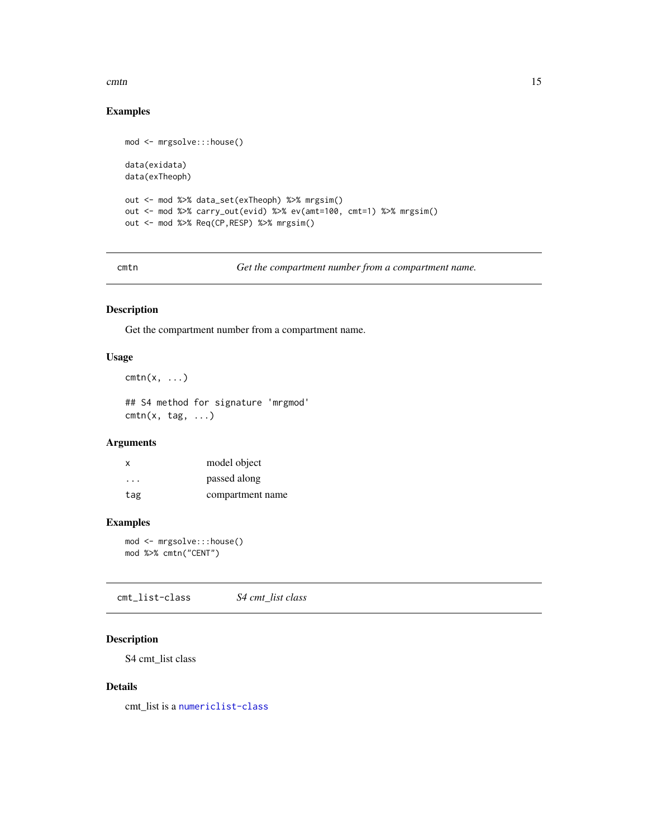#### <span id="page-14-0"></span>cmtn and the contract of the contract of the contract of the contract of the contract of the contract of the contract of the contract of the contract of the contract of the contract of the contract of the contract of the c

# Examples

```
mod <- mrgsolve:::house()
data(exidata)
data(exTheoph)
out <- mod %>% data_set(exTheoph) %>% mrgsim()
out <- mod %>% carry_out(evid) %>% ev(amt=100, cmt=1) %>% mrgsim()
out <- mod %>% Req(CP,RESP) %>% mrgsim()
```
cmtn *Get the compartment number from a compartment name.*

#### Description

Get the compartment number from a compartment name.

#### Usage

```
cmtn(x, \ldots)
```
## S4 method for signature 'mrgmod'  $cmin(x, tag, \ldots)$ 

#### Arguments

| x         | model object     |
|-----------|------------------|
| $\ddotsc$ | passed along     |
| tag       | compartment name |

# Examples

mod <- mrgsolve:::house() mod %>% cmtn("CENT")

cmt\_list-class *S4 cmt\_list class*

# Description

S4 cmt\_list class

#### Details

cmt\_list is a [numericlist-class](#page-62-1)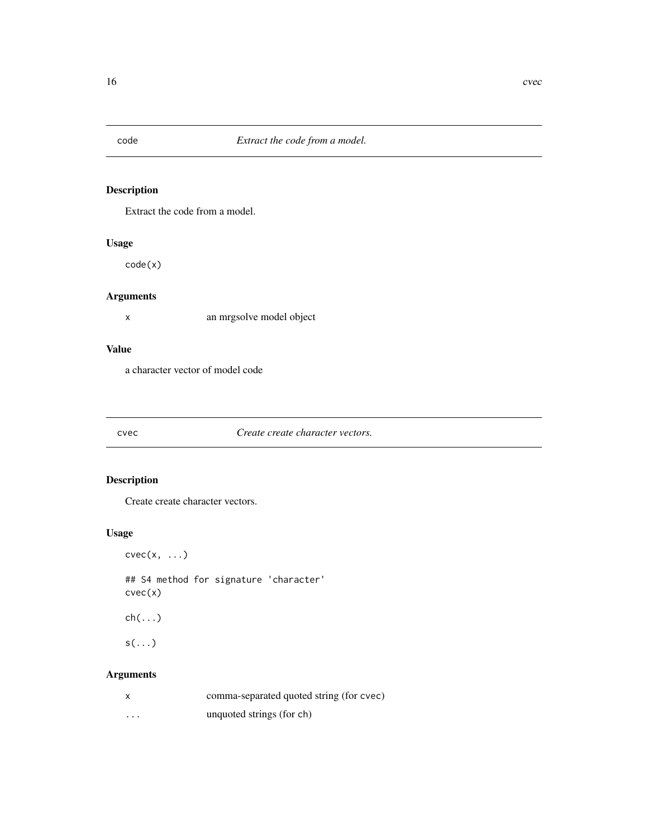<span id="page-15-0"></span>

Extract the code from a model.

# Usage

code(x)

# Arguments

x an mrgsolve model object

#### Value

a character vector of model code

#### cvec *Create create character vectors.*

# Description

Create create character vectors.

# Usage

 $cvec(x, \ldots)$ 

## S4 method for signature 'character' cvec(x)

ch(...)

 $s(\ldots)$ 

# Arguments

|          | comma-separated quoted string (for cvec) |
|----------|------------------------------------------|
| $\cdots$ | unquoted strings (for ch)                |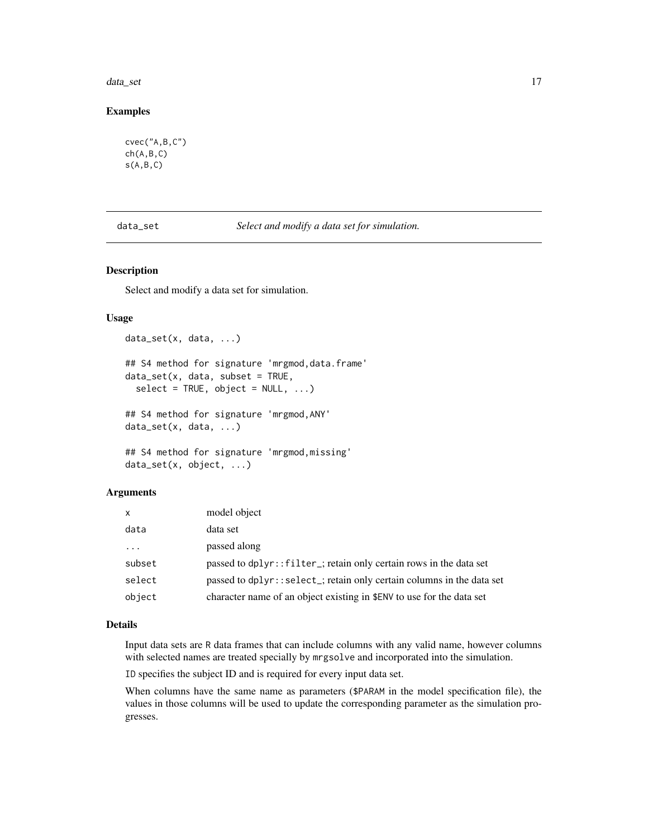#### <span id="page-16-0"></span>data\_set 17

#### Examples

```
cvec("A,B,C")
ch(A,B,C)
s(A,B,C)
```
<span id="page-16-1"></span>data\_set *Select and modify a data set for simulation.*

#### Description

Select and modify a data set for simulation.

#### Usage

```
data_set(x, data, ...)
## S4 method for signature 'mrgmod, data.frame'
data_set(x, data, subset = TRUE,select = TRUE, object = NULL, ...)## S4 method for signature 'mrgmod,ANY'
data_set(x, data, ...)
```

```
## S4 method for signature 'mrgmod,missing'
data_set(x, object, ...)
```
#### Arguments

| $\mathsf{x}$ | model object                                                          |
|--------------|-----------------------------------------------------------------------|
| data         | data set                                                              |
| .            | passed along                                                          |
| subset       | passed to dplyr::filter_; retain only certain rows in the data set    |
| select       | passed to dplyr::select_; retain only certain columns in the data set |
| object       | character name of an object existing in \$ENV to use for the data set |

#### Details

Input data sets are R data frames that can include columns with any valid name, however columns with selected names are treated specially by mrgsolve and incorporated into the simulation.

ID specifies the subject ID and is required for every input data set.

When columns have the same name as parameters (\$PARAM in the model specification file), the values in those columns will be used to update the corresponding parameter as the simulation progresses.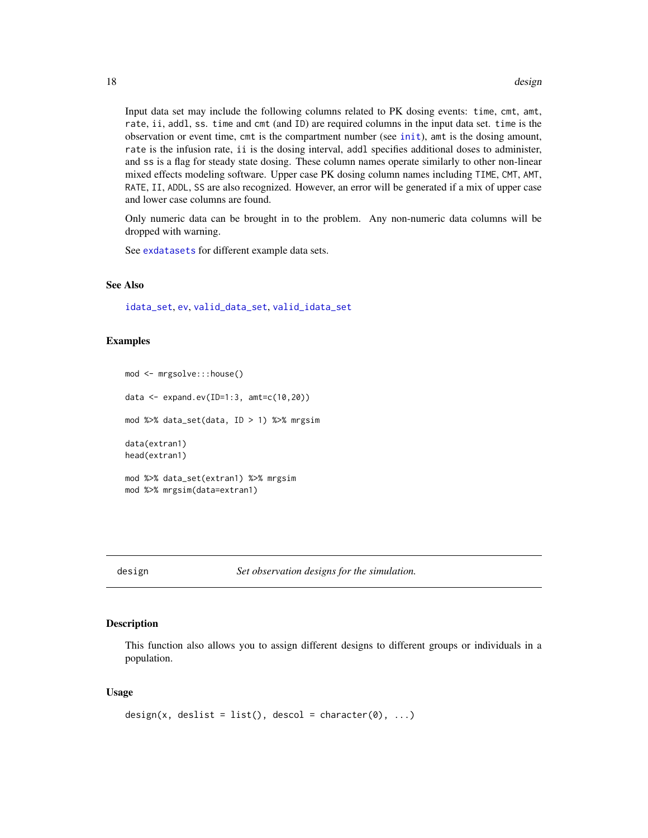Input data set may include the following columns related to PK dosing events: time, cmt, amt, rate, ii, addl, ss. time and cmt (and ID) are required columns in the input data set. time is the observation or event time, cmt is the compartment number (see [init](#page-29-1)), amt is the dosing amount, rate is the infusion rate, ii is the dosing interval, addl specifies additional doses to administer, and ss is a flag for steady state dosing. These column names operate similarly to other non-linear mixed effects modeling software. Upper case PK dosing column names including TIME, CMT, AMT, RATE, II, ADDL, SS are also recognized. However, an error will be generated if a mix of upper case and lower case columns are found.

Only numeric data can be brought in to the problem. Any non-numeric data columns will be dropped with warning.

See [exdatasets](#page-25-1) for different example data sets.

#### See Also

[idata\\_set](#page-28-1), [ev](#page-21-1), [valid\\_data\\_set](#page-84-1), [valid\\_idata\\_set](#page-84-1)

#### Examples

```
mod <- mrgsolve:::house()
data <- expand.ev(ID=1:3, amt=c(10,20))
mod %>% data_set(data, ID > 1) %>% mrgsim
data(extran1)
head(extran1)
mod %>% data_set(extran1) %>% mrgsim
mod %>% mrgsim(data=extran1)
```
design *Set observation designs for the simulation.*

#### Description

This function also allows you to assign different designs to different groups or individuals in a population.

#### Usage

```
design(x, deslist = list(), descol = character(0), ...)
```
<span id="page-17-0"></span>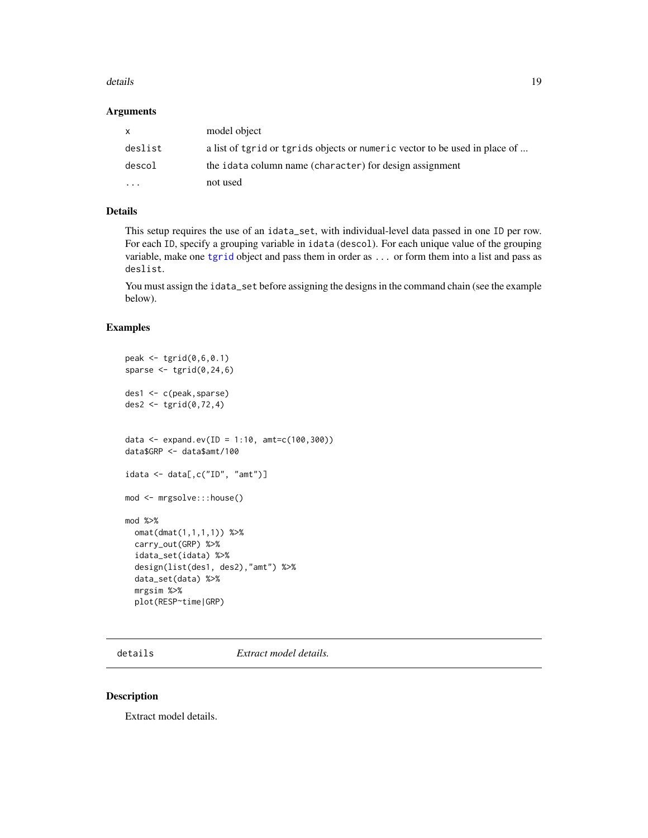#### <span id="page-18-0"></span>details and the contract of the contract of the contract of the contract of the contract of the contract of the contract of the contract of the contract of the contract of the contract of the contract of the contract of th

#### Arguments

| X       | model object                                                               |
|---------|----------------------------------------------------------------------------|
| deslist | a list of tgrid or tgrids objects or numeric vector to be used in place of |
| descol  | the idata column name (character) for design assignment                    |
| .       | not used                                                                   |

# Details

This setup requires the use of an idata\_set, with individual-level data passed in one ID per row. For each ID, specify a grouping variable in idata (descol). For each unique value of the grouping variable, make one [tgrid](#page-80-1) object and pass them in order as ... or form them into a list and pass as deslist.

You must assign the idata\_set before assigning the designs in the command chain (see the example below).

#### Examples

```
peak <- tgrid(0,6,0.1)
sparse <- tgrid(0, 24, 6)des1 <- c(peak,sparse)
des2 \leftarrow tgrid(0, 72, 4)data <- expand.ev(ID = 1:10, amt=c(100,300))
data$GRP <- data$amt/100
idata <- data[,c("ID", "amt")]
mod <- mrgsolve:::house()
mod %>%
  omat(dmat(1,1,1,1)) %>%
  carry_out(GRP) %>%
  idata_set(idata) %>%
  design(list(des1, des2),"amt") %>%
  data_set(data) %>%
  mrgsim %>%
  plot(RESP~time|GRP)
```
details *Extract model details.*

#### Description

Extract model details.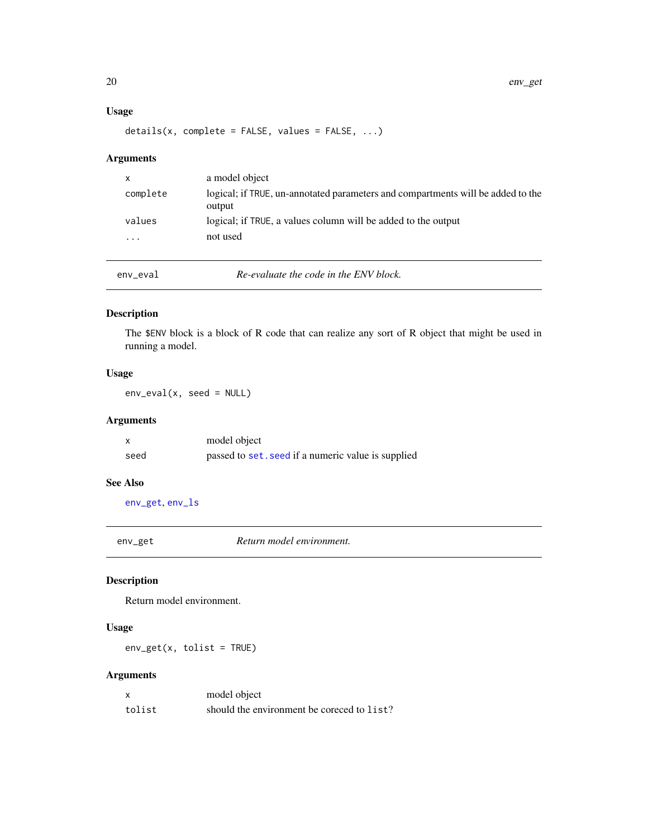#### Usage

 $details(x, complete = FALSE, values = FALSE, ...)$ 

# Arguments

| x        | a model object                                                                            |
|----------|-------------------------------------------------------------------------------------------|
| complete | logical; if TRUE, un-annotated parameters and compartments will be added to the<br>output |
| values   | logical; if TRUE, a values column will be added to the output                             |
| $\cdots$ | not used                                                                                  |
|          |                                                                                           |
|          |                                                                                           |

env\_eval *Re-evaluate the code in the ENV block.*

# Description

The \$ENV block is a block of R code that can realize any sort of R object that might be used in running a model.

# Usage

env\_eval(x, seed = NULL)

# Arguments

|      | model object                                       |
|------|----------------------------------------------------|
| seed | passed to set. seed if a numeric value is supplied |

#### See Also

[env\\_get](#page-19-1), [env\\_ls](#page-20-1)

<span id="page-19-1"></span>env\_get *Return model environment.*

# Description

Return model environment.

# Usage

 $env\_get(x, tolist = TRUE)$ 

# Arguments

| x      | model object                               |
|--------|--------------------------------------------|
| tolist | should the environment be coreced to list? |

<span id="page-19-0"></span>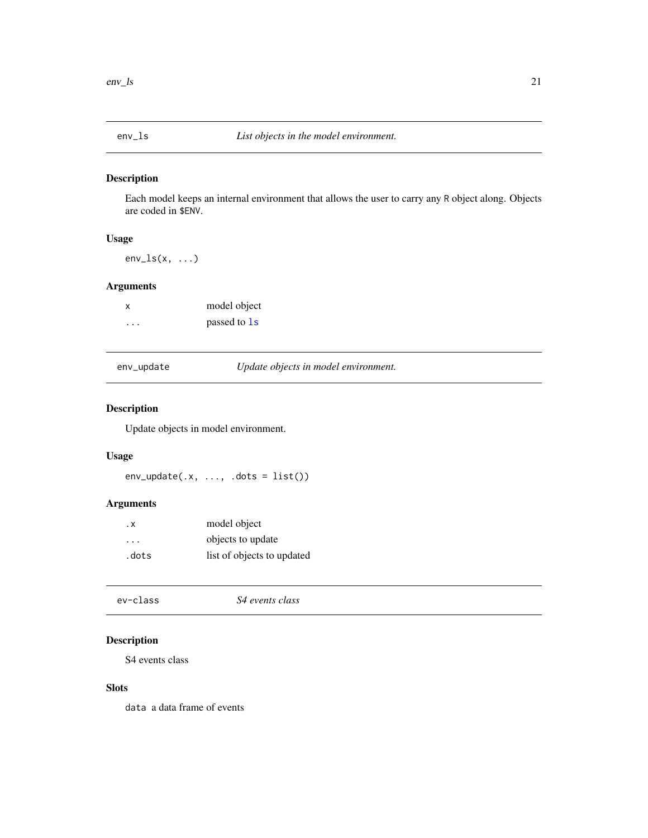<span id="page-20-1"></span><span id="page-20-0"></span>

Each model keeps an internal environment that allows the user to carry any R object along. Objects are coded in \$ENV.

# Usage

 $env_ls(x, \ldots)$ 

# Arguments

| model object<br>X       |              |
|-------------------------|--------------|
| $\cdot$ $\cdot$ $\cdot$ | passed to 1s |

| env_update |  |
|------------|--|
|------------|--|

Update *objects in model environment*.

# Description

Update objects in model environment.

#### Usage

 $env\_update(x, ..., dots = list())$ 

# Arguments

| . х                     | model object               |  |
|-------------------------|----------------------------|--|
| $\cdot$ $\cdot$ $\cdot$ | objects to update          |  |
| .dots                   | list of objects to updated |  |

```
ev-class S4 events class
```
# Description

S4 events class

#### Slots

data a data frame of events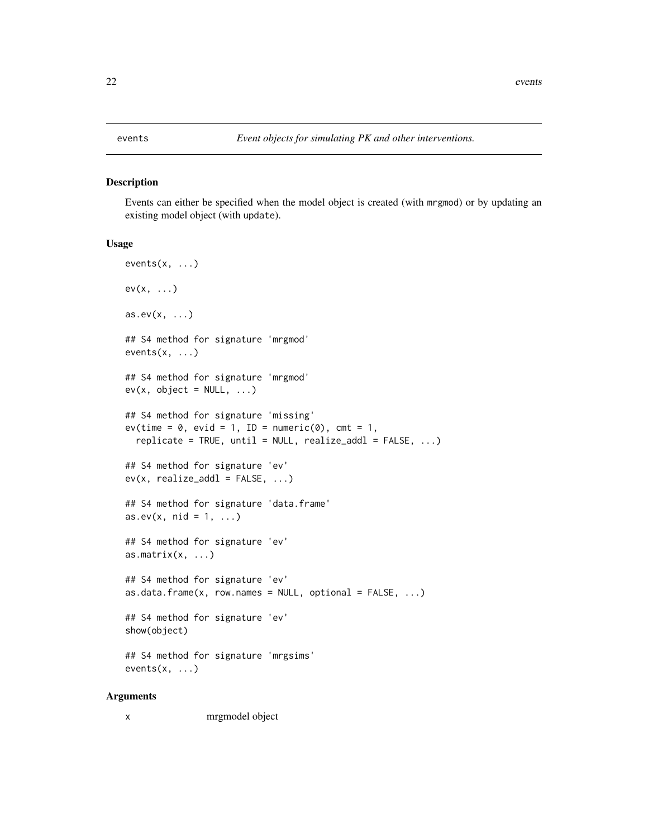<span id="page-21-1"></span><span id="page-21-0"></span>Events can either be specified when the model object is created (with mrgmod) or by updating an existing model object (with update).

#### Usage

```
events(x, ...)
ev(x, \ldots)as.ev(x, \ldots)## S4 method for signature 'mrgmod'
events(x, ...)
## S4 method for signature 'mrgmod'
ev(x, object = NULL, ...)## S4 method for signature 'missing'
ev(time = 0, evid = 1, ID = numeric(0), cmt = 1,replicate = TRUE, until = NULL, realize\_add1 = FALSE, ...)## S4 method for signature 'ev'
ev(x, realize\_add1 = FALSE, ...)## S4 method for signature 'data.frame'
as.ev(x, mid = 1, ...)
## S4 method for signature 'ev'
as.matrix(x, \ldots)## S4 method for signature 'ev'
as.data.frame(x, row.names = NULL, optional = FALSE, ...)
## S4 method for signature 'ev'
show(object)
## S4 method for signature 'mrgsims'
events(x, ...)
```
#### Arguments

x mrgmodel object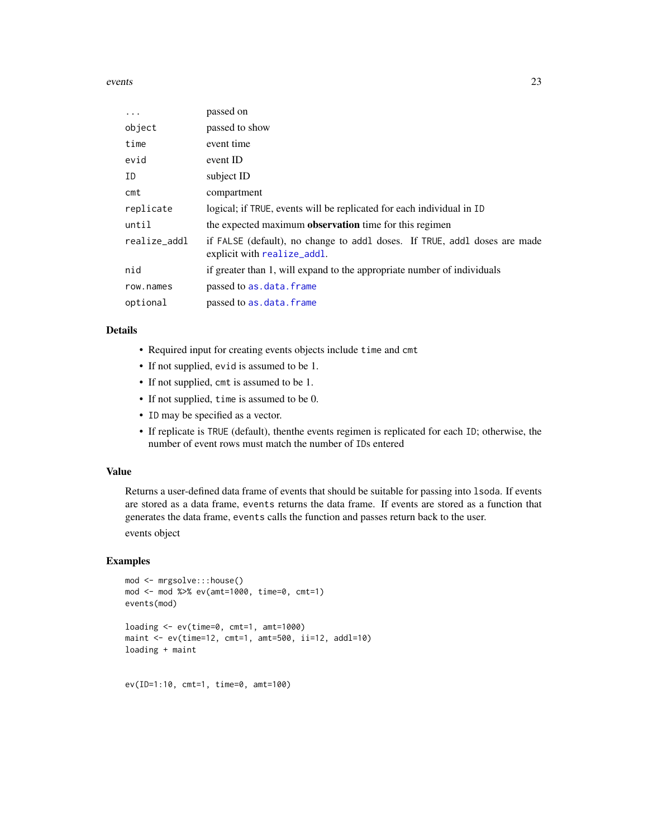events 23

| $\ddots$ .   | passed on                                                                                                |
|--------------|----------------------------------------------------------------------------------------------------------|
| object       | passed to show                                                                                           |
| time         | event time                                                                                               |
| evid         | event ID                                                                                                 |
| ID           | subject ID                                                                                               |
| cmt          | compartment                                                                                              |
| replicate    | logical; if TRUE, events will be replicated for each individual in ID                                    |
| until        | the expected maximum <b>observation</b> time for this regimen                                            |
| realize_addl | if FALSE (default), no change to addl doses. If TRUE, addl doses are made<br>explicit with realize_addl. |
| nid          | if greater than 1, will expand to the appropriate number of individuals                                  |
| row.names    | passed to as.data.frame                                                                                  |
| optional     | passed to as.data.frame                                                                                  |

#### Details

- Required input for creating events objects include time and cmt
- If not supplied, evid is assumed to be 1.
- If not supplied, cmt is assumed to be 1.
- If not supplied, time is assumed to be 0.
- ID may be specified as a vector.
- If replicate is TRUE (default), thenthe events regimen is replicated for each ID; otherwise, the number of event rows must match the number of IDs entered

# Value

Returns a user-defined data frame of events that should be suitable for passing into lsoda. If events are stored as a data frame, events returns the data frame. If events are stored as a function that generates the data frame, events calls the function and passes return back to the user. events object

#### Examples

```
mod <- mrgsolve:::house()
mod <- mod %>% ev(amt=1000, time=0, cmt=1)
events(mod)
loading <- ev(time=0, cmt=1, amt=1000)
maint <- ev(time=12, cmt=1, amt=500, ii=12, addl=10)
loading + maint
```
ev(ID=1:10, cmt=1, time=0, amt=100)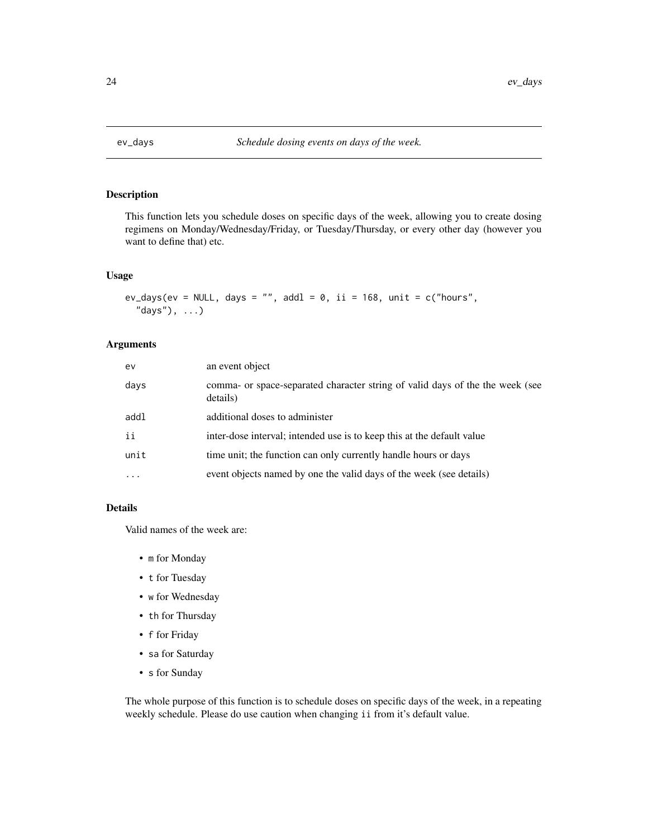<span id="page-23-0"></span>

This function lets you schedule doses on specific days of the week, allowing you to create dosing regimens on Monday/Wednesday/Friday, or Tuesday/Thursday, or every other day (however you want to define that) etc.

#### Usage

```
ev_days(ev = NULL, days = "", addl = 0, ii = 168, unit = c("hours","days"), ...)
```
# Arguments

| ev        | an event object                                                                           |
|-----------|-------------------------------------------------------------------------------------------|
| days      | comma- or space-separated character string of valid days of the the week (see<br>details) |
| addl      | additional doses to administer                                                            |
| ii        | inter-dose interval; intended use is to keep this at the default value                    |
| unit      | time unit; the function can only currently handle hours or days                           |
| $\ddotsc$ | event objects named by one the valid days of the week (see details)                       |

#### Details

Valid names of the week are:

- m for Monday
- t for Tuesday
- w for Wednesday
- th for Thursday
- f for Friday
- sa for Saturday
- s for Sunday

The whole purpose of this function is to schedule doses on specific days of the week, in a repeating weekly schedule. Please do use caution when changing ii from it's default value.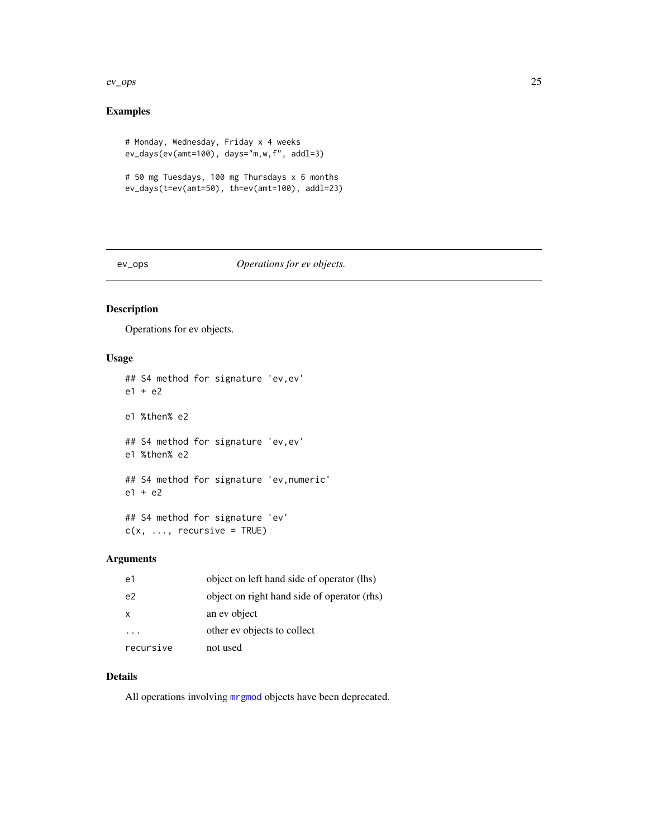#### <span id="page-24-0"></span>ev\_ops 25

# Examples

```
# Monday, Wednesday, Friday x 4 weeks
ev_days(ev(amt=100), days="m,w,f", addl=3)
# 50 mg Tuesdays, 100 mg Thursdays x 6 months
ev_days(t=ev(amt=50), th=ev(amt=100), addl=23)
```
#### ev\_ops *Operations for ev objects.*

# Description

Operations for ev objects.

# Usage

```
## S4 method for signature 'ev,ev'
e1 + e2
e1 %then% e2
## S4 method for signature 'ev,ev'
e1 %then% e2
## S4 method for signature 'ev,numeric'
e1 + e2
## S4 method for signature 'ev'
c(x, \ldots, recursive = TRUE)
```
# Arguments

| e1             | object on left hand side of operator (lhs)  |
|----------------|---------------------------------------------|
| e <sup>2</sup> | object on right hand side of operator (rhs) |
| x              | an ev object                                |
|                | other ev objects to collect                 |
| recursive      | not used                                    |

#### Details

All operations involving [mrgmod](#page-48-1) objects have been deprecated.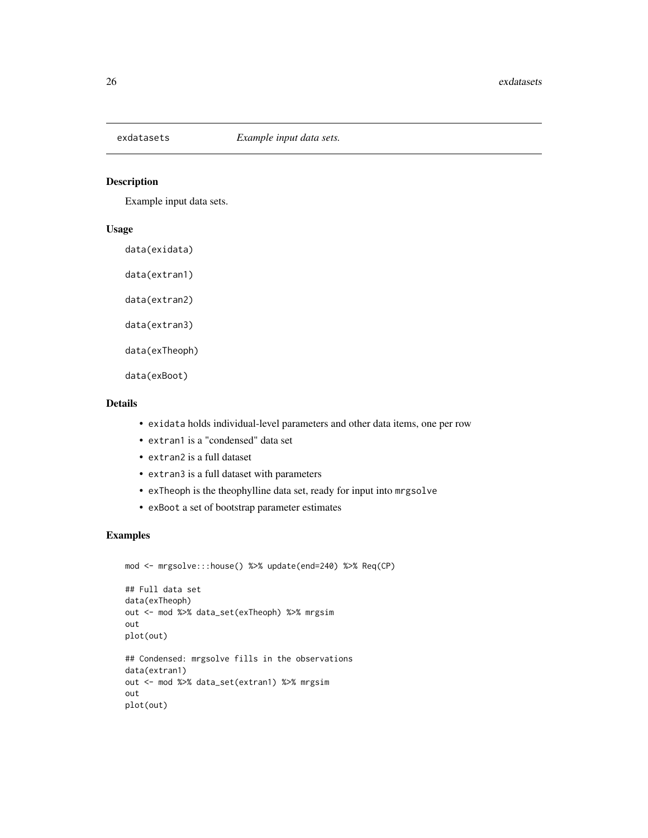<span id="page-25-1"></span><span id="page-25-0"></span>

Example input data sets.

#### Usage

data(exidata)

data(extran1)

data(extran2)

data(extran3)

data(exTheoph)

data(exBoot)

### Details

- exidata holds individual-level parameters and other data items, one per row
- extran1 is a "condensed" data set
- extran2 is a full dataset
- extran3 is a full dataset with parameters
- exTheoph is the theophylline data set, ready for input into mrgsolve
- exBoot a set of bootstrap parameter estimates

```
mod <- mrgsolve:::house() %>% update(end=240) %>% Req(CP)
## Full data set
data(exTheoph)
out <- mod %>% data_set(exTheoph) %>% mrgsim
out
plot(out)
## Condensed: mrgsolve fills in the observations
data(extran1)
out <- mod %>% data_set(extran1) %>% mrgsim
out
plot(out)
```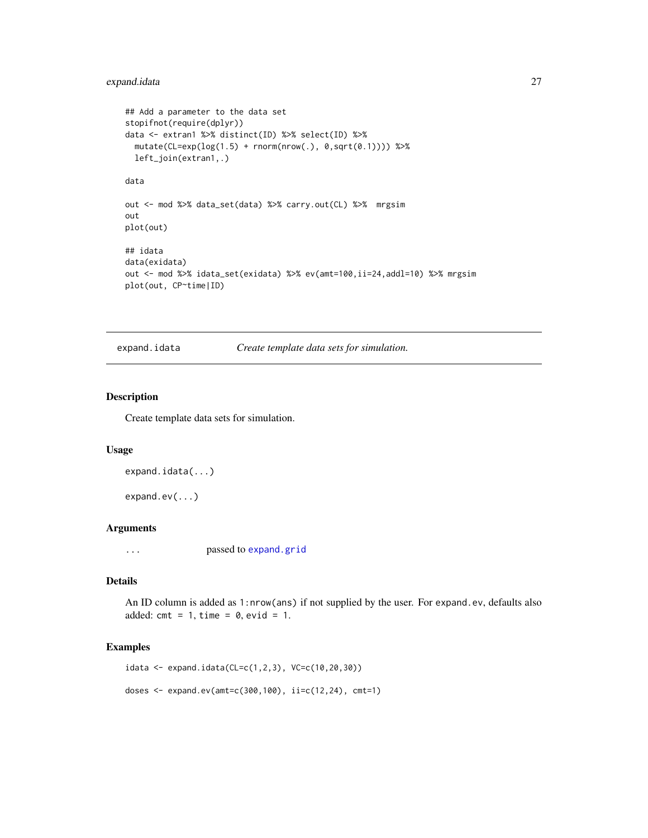# <span id="page-26-0"></span>expand.idata 27

```
## Add a parameter to the data set
stopifnot(require(dplyr))
data <- extran1 %>% distinct(ID) %>% select(ID) %>%
 mutate(CL=exp(log(1.5) + rnorm(nrow(.), 0,sqrt(0.1)))) %>%
 left_join(extran1,.)
data
out <- mod %>% data_set(data) %>% carry.out(CL) %>% mrgsim
out
plot(out)
## idata
data(exidata)
out <- mod %>% idata_set(exidata) %>% ev(amt=100,ii=24,addl=10) %>% mrgsim
plot(out, CP~time|ID)
```
expand.idata *Create template data sets for simulation.*

## <span id="page-26-1"></span>Description

Create template data sets for simulation.

#### Usage

```
expand.idata(...)
```
expand.ev(...)

#### Arguments

... passed to [expand.grid](#page-0-0)

# Details

An ID column is added as 1:nrow(ans) if not supplied by the user. For expand.ev, defaults also added:  $cmt = 1$ ,  $time = 0$ ,  $evid = 1$ .

```
idata \leq expand.idata(CL=c(1,2,3), VC=c(10,20,30))doses <- expand.ev(amt=c(300,100), ii=c(12,24), cmt=1)
```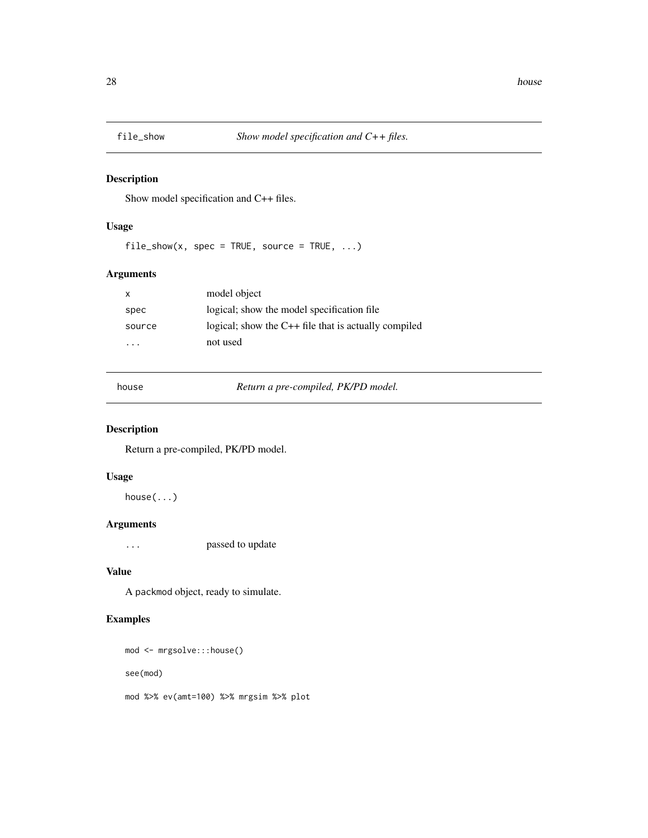<span id="page-27-0"></span>

Show model specification and C++ files.

# Usage

 $file\_show(x, spec = TRUE, source = TRUE, ...)$ 

# Arguments

| $\mathsf{x}$ | model object                                           |
|--------------|--------------------------------------------------------|
| spec         | logical; show the model specification file             |
| source       | logical; show the $C++$ file that is actually compiled |
| .            | not used                                               |

house *Return a pre-compiled, PK/PD model.*

# Description

Return a pre-compiled, PK/PD model.

# Usage

house(...)

# Arguments

... passed to update

#### Value

A packmod object, ready to simulate.

```
mod <- mrgsolve:::house()
see(mod)
mod %>% ev(amt=100) %>% mrgsim %>% plot
```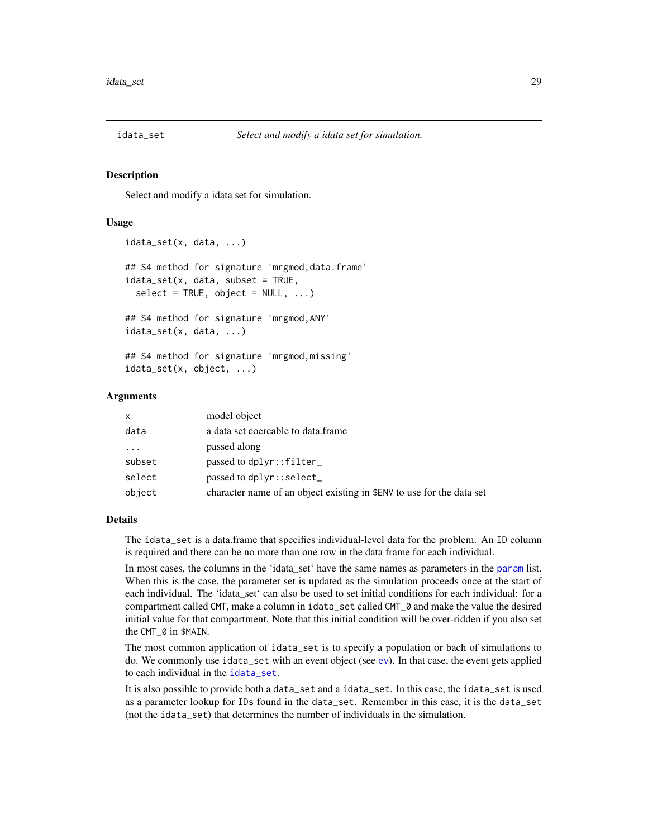<span id="page-28-1"></span><span id="page-28-0"></span>

Select and modify a idata set for simulation.

#### Usage

```
idata_set(x, data, ...)
## S4 method for signature 'mrgmod,data.frame'
idata_set(x, data, subset = TRUE,select = TRUE, object = NULL, ...)## S4 method for signature 'mrgmod,ANY'
idata_set(x, data, ...)
## S4 method for signature 'mrgmod,missing'
idata_set(x, object, ...)
```
#### **Arguments**

| X        | model object                                                          |
|----------|-----------------------------------------------------------------------|
| data     | a data set coercable to data frame                                    |
| $\cdots$ | passed along                                                          |
| subset   | passed to dplyr::filter_                                              |
| select   | passed to dplyr::select_                                              |
| object   | character name of an object existing in \$ENV to use for the data set |

#### Details

The idata\_set is a data.frame that specifies individual-level data for the problem. An ID column is required and there can be no more than one row in the data frame for each individual.

In most cases, the columns in the 'idata\_set' have the same names as [param](#page-85-1)eters in the param list. When this is the case, the parameter set is updated as the simulation proceeds once at the start of each individual. The 'idata\_set' can also be used to set initial conditions for each individual: for a compartment called CMT, make a column in idata\_set called CMT\_0 and make the value the desired initial value for that compartment. Note that this initial condition will be over-ridden if you also set the CMT\_0 in \$MAIN.

The most common application of idata\_set is to specify a population or bach of simulations to do. We commonly use idata\_set with an event object (see [ev](#page-21-1)). In that case, the event gets applied to each individual in the [idata\\_set](#page-28-1).

It is also possible to provide both a data\_set and a idata\_set. In this case, the idata\_set is used as a parameter lookup for IDs found in the data\_set. Remember in this case, it is the data\_set (not the idata\_set) that determines the number of individuals in the simulation.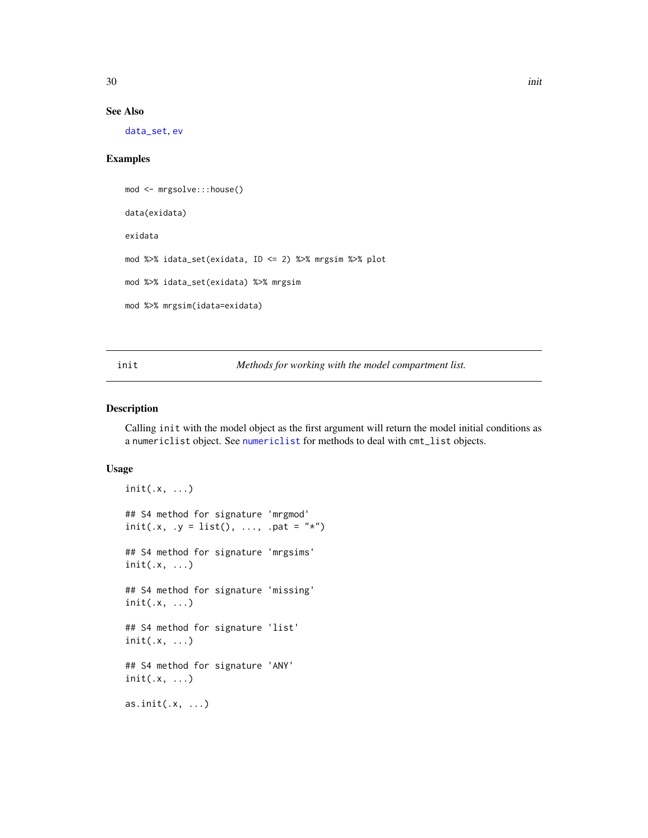<span id="page-29-0"></span>

#### See Also

[data\\_set](#page-16-1), [ev](#page-21-1)

# Examples

```
mod <- mrgsolve:::house()
data(exidata)
exidata
mod %>% idata_set(exidata, ID <= 2) %>% mrgsim %>% plot
mod %>% idata_set(exidata) %>% mrgsim
mod %>% mrgsim(idata=exidata)
```
<span id="page-29-1"></span>init *Methods for working with the model compartment list.*

# Description

Calling init with the model object as the first argument will return the model initial conditions as a numericlist object. See [numericlist](#page-61-1) for methods to deal with cmt\_list objects.

#### Usage

```
init(.x, \ldots)## S4 method for signature 'mrgmod'
init(.x, .y = list(), . . ., .pat = "*")## S4 method for signature 'mrgsims'
init(.x, ...)
## S4 method for signature 'missing'
init(.x, \ldots)## S4 method for signature 'list'
init(.x, ...)
## S4 method for signature 'ANY'
init(.x, \ldots)as.init(.x, ...)
```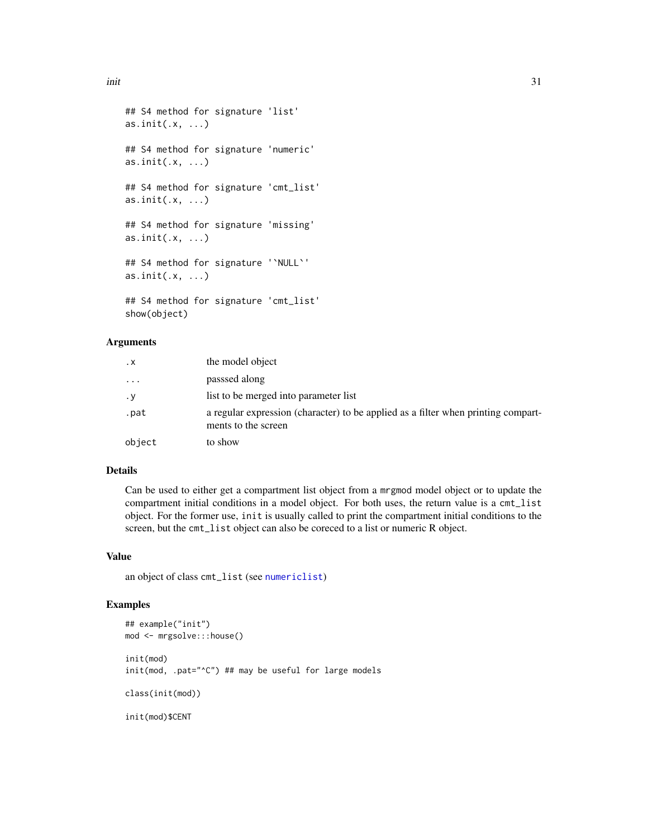```
## S4 method for signature 'list'
as.init(x, \ldots)## S4 method for signature 'numeric'
as.init(x, \ldots)## S4 method for signature 'cmt_list'
as.init(x, \ldots)## S4 method for signature 'missing'
as.init(.x, ...)
## S4 method for signature '`NULL`'
as.init(.x, ...)## S4 method for signature 'cmt_list'
show(object)
```
#### Arguments

| $\cdot$ X               | the model object                                                                                         |
|-------------------------|----------------------------------------------------------------------------------------------------------|
| $\cdot$ $\cdot$ $\cdot$ | passsed along                                                                                            |
| $\cdot$ y               | list to be merged into parameter list                                                                    |
| .pat                    | a regular expression (character) to be applied as a filter when printing compart-<br>ments to the screen |
| object                  | to show                                                                                                  |

## Details

Can be used to either get a compartment list object from a mrgmod model object or to update the compartment initial conditions in a model object. For both uses, the return value is a cmt\_list object. For the former use, init is usually called to print the compartment initial conditions to the screen, but the cmt\_list object can also be coreced to a list or numeric R object.

#### Value

an object of class cmt\_list (see [numericlist](#page-61-1))

```
## example("init")
mod <- mrgsolve:::house()
init(mod)
init(mod, .pat="^C") ## may be useful for large models
class(init(mod))
init(mod)$CENT
```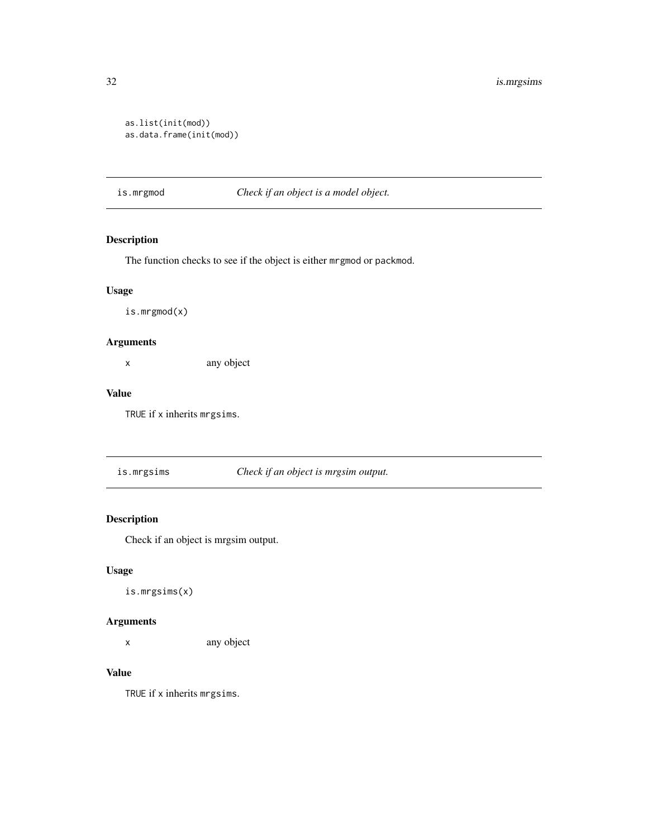```
as.list(init(mod))
as.data.frame(init(mod))
```
is.mrgmod *Check if an object is a model object.*

# Description

The function checks to see if the object is either mrgmod or packmod.

# Usage

is.mrgmod(x)

# Arguments

x any object

#### Value

TRUE if x inherits mrgsims.

is.mrgsims *Check if an object is mrgsim output.*

# Description

Check if an object is mrgsim output.

# Usage

is.mrgsims(x)

#### Arguments

x any object

#### Value

TRUE if x inherits mrgsims.

<span id="page-31-0"></span>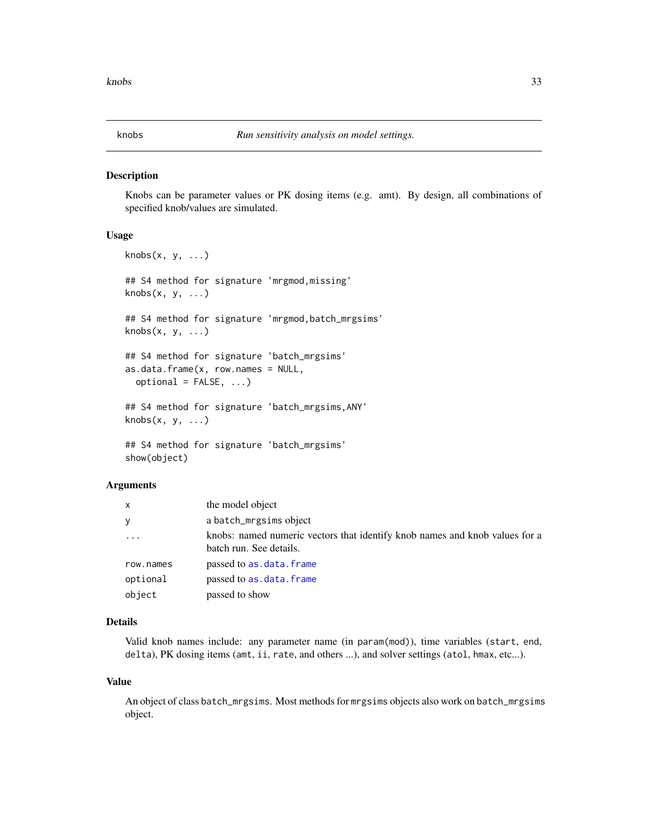<span id="page-32-0"></span>

Knobs can be parameter values or PK dosing items (e.g. amt). By design, all combinations of specified knob/values are simulated.

#### Usage

```
knots(x, y, \ldots)## S4 method for signature 'mrgmod,missing'
knobs(x, y, \ldots)## S4 method for signature 'mrgmod,batch_mrgsims'
knobs(x, y, ...)## S4 method for signature 'batch_mrgsims'
as.data.frame(x, row.name = NULL,optional = FALSE, ...)## S4 method for signature 'batch_mrgsims,ANY'
knobs(x, y, \ldots)## S4 method for signature 'batch_mrgsims'
show(object)
```
#### **Arguments**

| X         | the model object                                                                                       |
|-----------|--------------------------------------------------------------------------------------------------------|
| y         | a batch_mrgsims object                                                                                 |
| $\cdot$   | knobs: named numeric vectors that identify knob names and knob values for a<br>batch run. See details. |
| row.names | passed to as.data.frame                                                                                |
| optional  | passed to as.data.frame                                                                                |
| object    | passed to show                                                                                         |

# Details

Valid knob names include: any parameter name (in param(mod)), time variables (start, end, delta), PK dosing items (amt, ii, rate, and others ...), and solver settings (atol, hmax, etc...).

#### Value

An object of class batch\_mrgsims. Most methods for mrgsims objects also work on batch\_mrgsims object.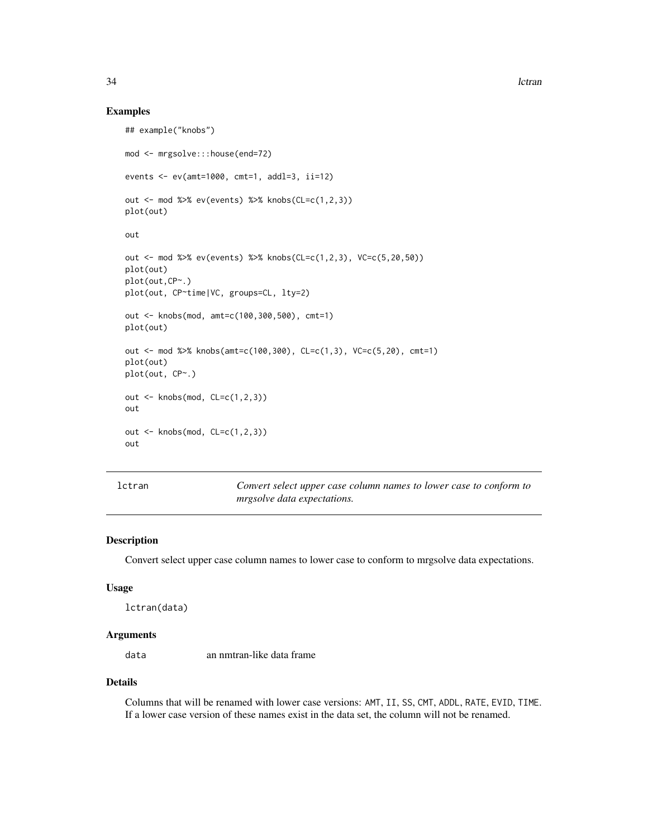#### Examples

```
## example("knobs")
mod <- mrgsolve:::house(end=72)
events <- ev(amt=1000, cmt=1, addl=3, ii=12)
out <- mod %>% ev(events) %>% knobs(CL=c(1,2,3))
plot(out)
out
out <- mod %>% ev(events) %>% knobs(CL=c(1,2,3), VC=c(5,20,50))
plot(out)
plot(out,CP~.)
plot(out, CP~time|VC, groups=CL, lty=2)
out <- knobs(mod, amt=c(100,300,500), cmt=1)
plot(out)
out <- mod %>% knobs(amt=c(100,300), CL=c(1,3), VC=c(5,20), cmt=1)
plot(out)
plot(out, CP~.)
out <- knobs(mod, CL=c(1,2,3))
out
out <- knobs(mod, CL=c(1,2,3))
out
```
lctran *Convert select upper case column names to lower case to conform to mrgsolve data expectations.*

# Description

Convert select upper case column names to lower case to conform to mrgsolve data expectations.

#### Usage

```
lctran(data)
```
#### **Arguments**

data an nmtran-like data frame

# Details

Columns that will be renamed with lower case versions: AMT, II, SS, CMT, ADDL, RATE, EVID, TIME. If a lower case version of these names exist in the data set, the column will not be renamed.

<span id="page-33-0"></span>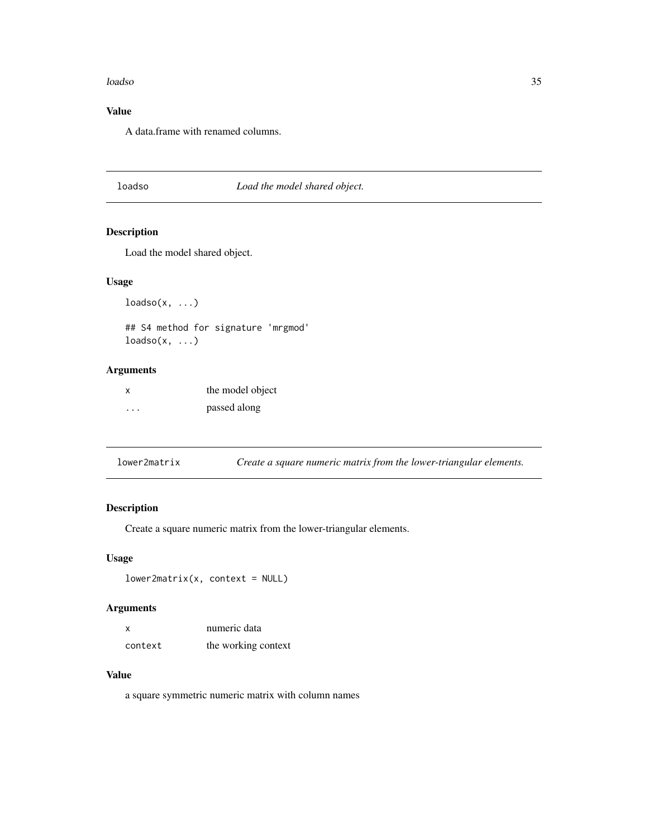#### <span id="page-34-0"></span>loadso 35

# Value

A data.frame with renamed columns.

# loadso *Load the model shared object.*

# Description

Load the model shared object.

# Usage

 $loadso(x, ...)$ 

## S4 method for signature 'mrgmod'  $loadso(x, ...)$ 

# Arguments

| x                    | the model object |
|----------------------|------------------|
| $\ddot{\phantom{0}}$ | passed along     |

| lower2matrix |  | Create a square numeric matrix from the lower-triangular elements. |
|--------------|--|--------------------------------------------------------------------|
|              |  |                                                                    |

# Description

Create a square numeric matrix from the lower-triangular elements.

# Usage

```
lower2matrix(x, context = NULL)
```
# Arguments

| x       | numeric data        |  |
|---------|---------------------|--|
| context | the working context |  |

# Value

a square symmetric numeric matrix with column names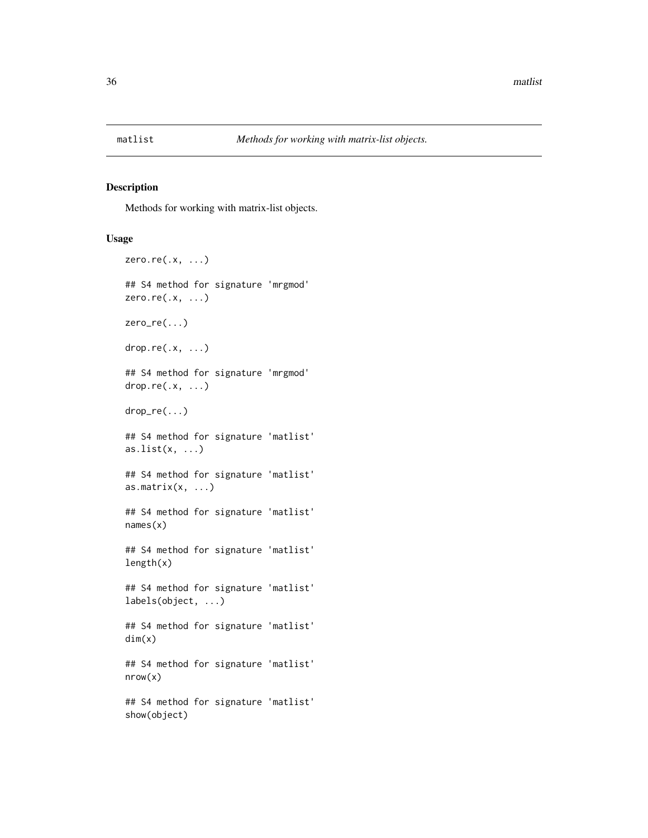<span id="page-35-0"></span>

Methods for working with matrix-list objects.

# Usage

```
zero.re(.x, \ldots)## S4 method for signature 'mrgmod'
zero.re(.x, ...)
zero_re(...)
drop.re(.x, ...)## S4 method for signature 'mrgmod'
drop.re(.x, ...)drop_re(...)
## S4 method for signature 'matlist'
as.list(x, \ldots)## S4 method for signature 'matlist'
as.matrix(x, ...)## S4 method for signature 'matlist'
names(x)
## S4 method for signature 'matlist'
length(x)
## S4 method for signature 'matlist'
labels(object, ...)
## S4 method for signature 'matlist'
dim(x)
## S4 method for signature 'matlist'
nrow(x)
## S4 method for signature 'matlist'
show(object)
```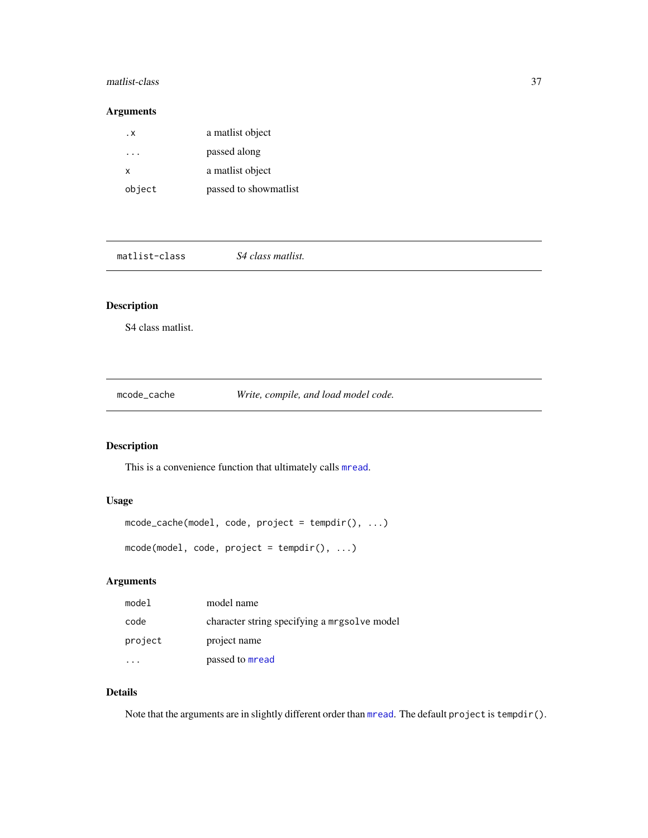### matlist-class 37

# Arguments

| . x    | a matlist object      |
|--------|-----------------------|
|        | passed along          |
| x      | a matlist object      |
| object | passed to showmatlist |

matlist-class *S4 class matlist.*

# Description

S4 class matlist.

mcode\_cache *Write, compile, and load model code.*

## Description

This is a convenience function that ultimately calls [mread](#page-46-0).

# Usage

mcode\_cache(model, code, project = tempdir(), ...) mcode(model, code, project = tempdir(), ...)

## Arguments

| model   | model name                                   |
|---------|----------------------------------------------|
| code    | character string specifying a mrgsolve model |
| project | project name                                 |
|         | passed to mread                              |

# Details

Note that the arguments are in slightly different order than [mread](#page-46-0). The default project is tempdir().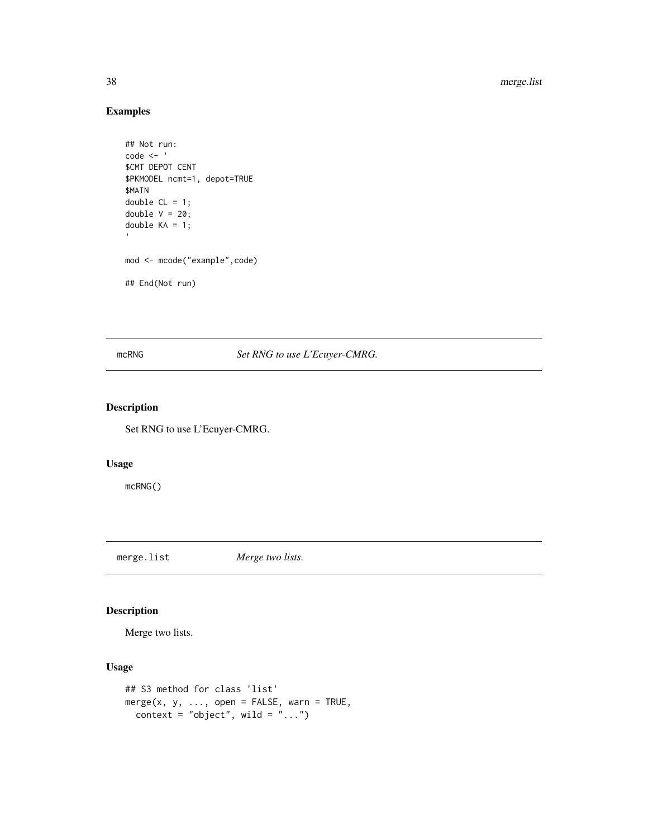# Examples

```
## Not run:
code <- '
$CMT DEPOT CENT
$PKMODEL ncmt=1, depot=TRUE
$MAIN
double CL = 1;
double V = 20;
double KA = 1;
mod <- mcode("example",code)
## End(Not run)
```
mcRNG *Set RNG to use L'Ecuyer-CMRG*.

# Description

Set RNG to use L'Ecuyer-CMRG.

#### Usage

mcRNG()

<span id="page-37-0"></span>merge.list *Merge two lists.*

# Description

Merge two lists.

## Usage

```
## S3 method for class 'list'
merge(x, y, \ldots, open = FALSE, warn = TRUE,context = "object", wild = ".."
```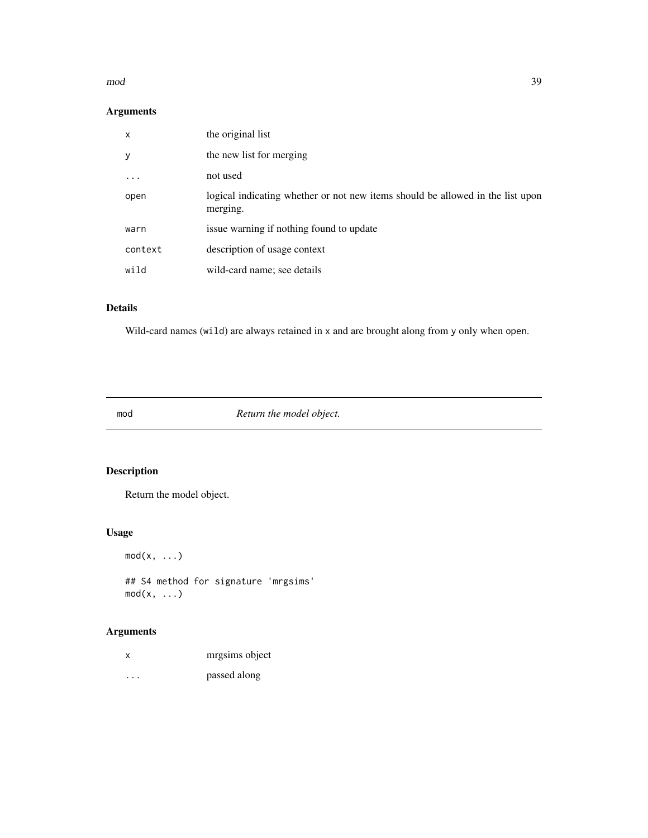#### mod 39

# Arguments

| X       | the original list                                                                          |
|---------|--------------------------------------------------------------------------------------------|
| У       | the new list for merging                                                                   |
| .       | not used                                                                                   |
| open    | logical indicating whether or not new items should be allowed in the list upon<br>merging. |
| warn    | issue warning if nothing found to update                                                   |
| context | description of usage context                                                               |
| wild    | wild-card name; see details                                                                |

## Details

Wild-card names (wild) are always retained in x and are brought along from y only when open.

mod *Return the model object.*

# Description

Return the model object.

# Usage

 $mod(x, \ldots)$ 

## S4 method for signature 'mrgsims'  $mod(x, \ldots)$ 

# Arguments

| x | mrgsims object |
|---|----------------|
| . | passed along   |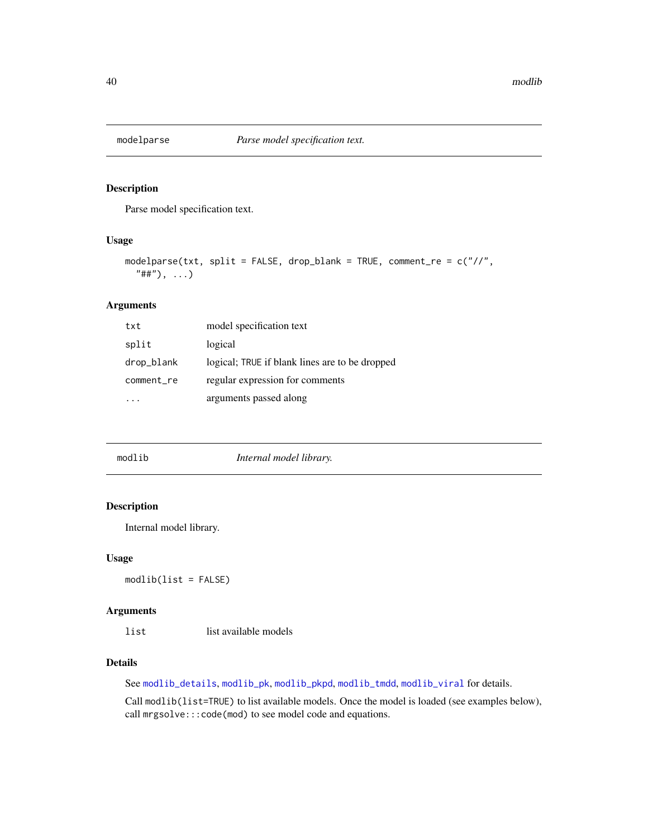Parse model specification text.

#### Usage

```
modelparse(txt, split = FALSE, drop_blank = TRUE, comment_re = c("//",
  "##"), ...)
```
## Arguments

| txt        | model specification text                       |
|------------|------------------------------------------------|
| split      | logical                                        |
| drop_blank | logical; TRUE if blank lines are to be dropped |
| comment_re | regular expression for comments                |
|            | arguments passed along                         |

<span id="page-39-0"></span>

| modlib | Internal model library. |  |
|--------|-------------------------|--|
|        |                         |  |

## Description

Internal model library.

## Usage

modlib(list = FALSE)

# Arguments

list list available models

### Details

See [modlib\\_details](#page-40-0), [modlib\\_pk](#page-41-0), [modlib\\_pkpd](#page-42-0), [modlib\\_tmdd](#page-43-0), [modlib\\_viral](#page-44-0) for details.

Call modlib(list=TRUE) to list available models. Once the model is loaded (see examples below), call mrgsolve:::code(mod) to see model code and equations.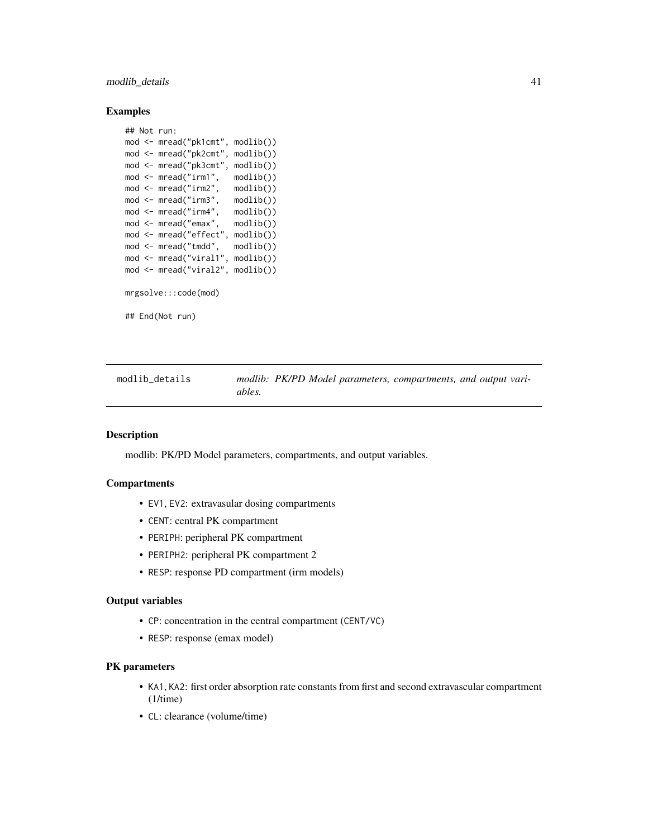modlib\_details 41

#### Examples

## Not run:

```
mod <- mread("pk1cmt", modlib())
mod <- mread("pk2cmt", modlib())
mod <- mread("pk3cmt", modlib())
mod <- mread("irm1", modlib())
mod <- mread("irm2", modlib())
mod <- mread("irm3", modlib())
mod <- mread("irm4", modlib())
mod <- mread("emax", modlib())
mod <- mread("effect", modlib())
mod <- mread("tmdd", modlib())
mod <- mread("viral1", modlib())
mod <- mread("viral2", modlib())
mrgsolve:::code(mod)
## End(Not run)
```
<span id="page-40-0"></span>modlib\_details *modlib: PK/PD Model parameters, compartments, and output variables.*

#### Description

modlib: PK/PD Model parameters, compartments, and output variables.

### **Compartments**

- EV1, EV2: extravasular dosing compartments
- CENT: central PK compartment
- PERIPH: peripheral PK compartment
- PERIPH2: peripheral PK compartment 2
- RESP: response PD compartment (irm models)

#### Output variables

- CP: concentration in the central compartment (CENT/VC)
- RESP: response (emax model)

#### PK parameters

- KA1, KA2: first order absorption rate constants from first and second extravascular compartment (1/time)
- CL: clearance (volume/time)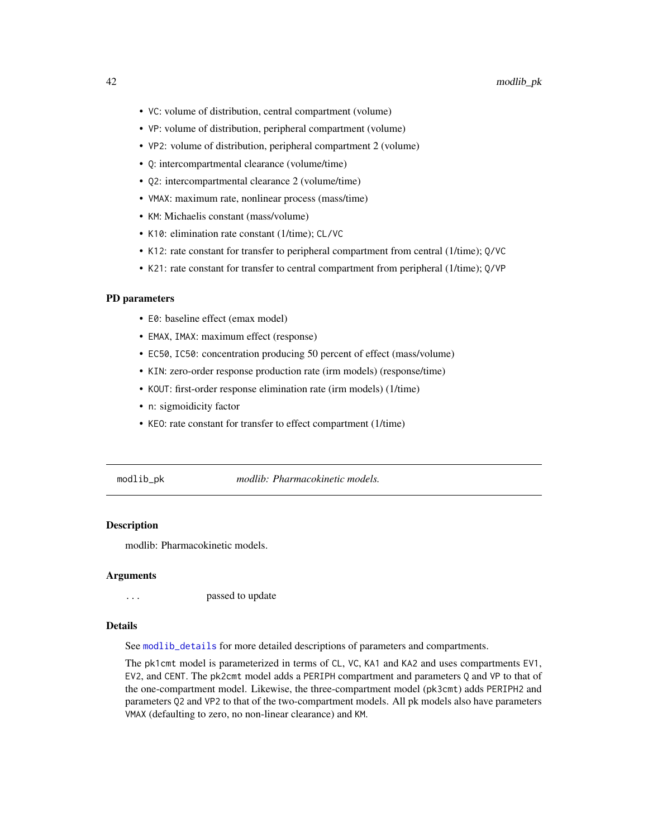- VC: volume of distribution, central compartment (volume)
- VP: volume of distribution, peripheral compartment (volume)
- VP2: volume of distribution, peripheral compartment 2 (volume)
- Q: intercompartmental clearance (volume/time)
- Q2: intercompartmental clearance 2 (volume/time)
- VMAX: maximum rate, nonlinear process (mass/time)
- KM: Michaelis constant (mass/volume)
- K10: elimination rate constant (1/time); CL/VC
- K12: rate constant for transfer to peripheral compartment from central (1/time); Q/VC
- K21: rate constant for transfer to central compartment from peripheral (1/time); Q/VP

#### PD parameters

- E0: baseline effect (emax model)
- EMAX, IMAX: maximum effect (response)
- EC50, IC50: concentration producing 50 percent of effect (mass/volume)
- KIN: zero-order response production rate (irm models) (response/time)
- KOUT: first-order response elimination rate (irm models) (1/time)
- n: sigmoidicity factor
- KEO: rate constant for transfer to effect compartment (1/time)

<span id="page-41-0"></span>modlib\_pk *modlib: Pharmacokinetic models.*

#### **Description**

modlib: Pharmacokinetic models.

## Arguments

... passed to update

#### Details

See [modlib\\_details](#page-40-0) for more detailed descriptions of parameters and compartments.

The pk1cmt model is parameterized in terms of CL, VC, KA1 and KA2 and uses compartments EV1, EV2, and CENT. The pk2cmt model adds a PERIPH compartment and parameters Q and VP to that of the one-compartment model. Likewise, the three-compartment model (pk3cmt) adds PERIPH2 and parameters Q2 and VP2 to that of the two-compartment models. All pk models also have parameters VMAX (defaulting to zero, no non-linear clearance) and KM.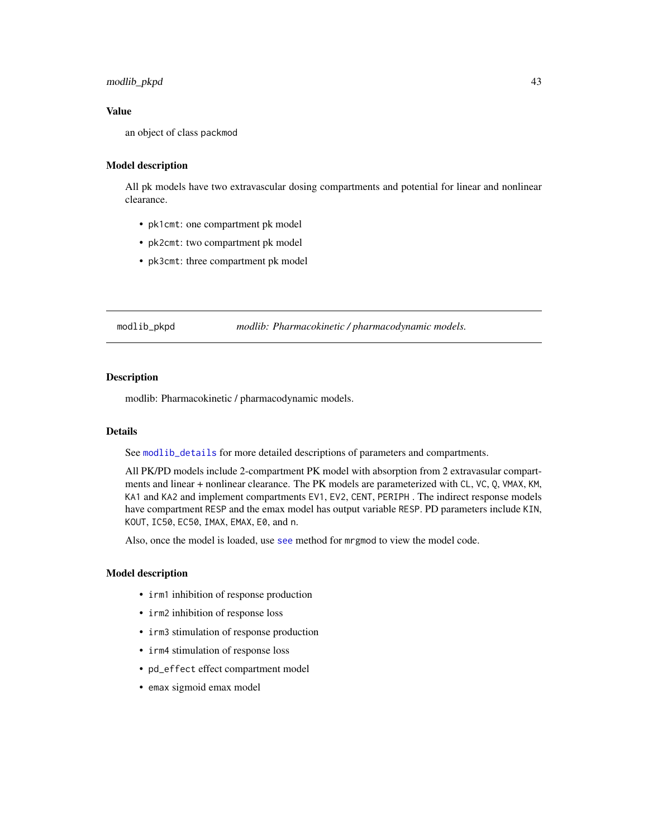## modlib\_pkpd 43

### Value

an object of class packmod

#### Model description

All pk models have two extravascular dosing compartments and potential for linear and nonlinear clearance.

- pk1cmt: one compartment pk model
- pk2cmt: two compartment pk model
- pk3cmt: three compartment pk model

<span id="page-42-0"></span>modlib\_pkpd *modlib: Pharmacokinetic / pharmacodynamic models.*

### Description

modlib: Pharmacokinetic / pharmacodynamic models.

### Details

See [modlib\\_details](#page-40-0) for more detailed descriptions of parameters and compartments.

All PK/PD models include 2-compartment PK model with absorption from 2 extravasular compartments and linear + nonlinear clearance. The PK models are parameterized with CL, VC, Q, VMAX, KM, KA1 and KA2 and implement compartments EV1, EV2, CENT, PERIPH . The indirect response models have compartment RESP and the emax model has output variable RESP. PD parameters include KIN, KOUT, IC50, EC50, IMAX, EMAX, E0, and n.

Also, once the model is loaded, use [see](#page-76-0) method for mrgmod to view the model code.

#### Model description

- irm1 inhibition of response production
- irm2 inhibition of response loss
- irm3 stimulation of response production
- irm4 stimulation of response loss
- pd\_effect effect compartment model
- emax sigmoid emax model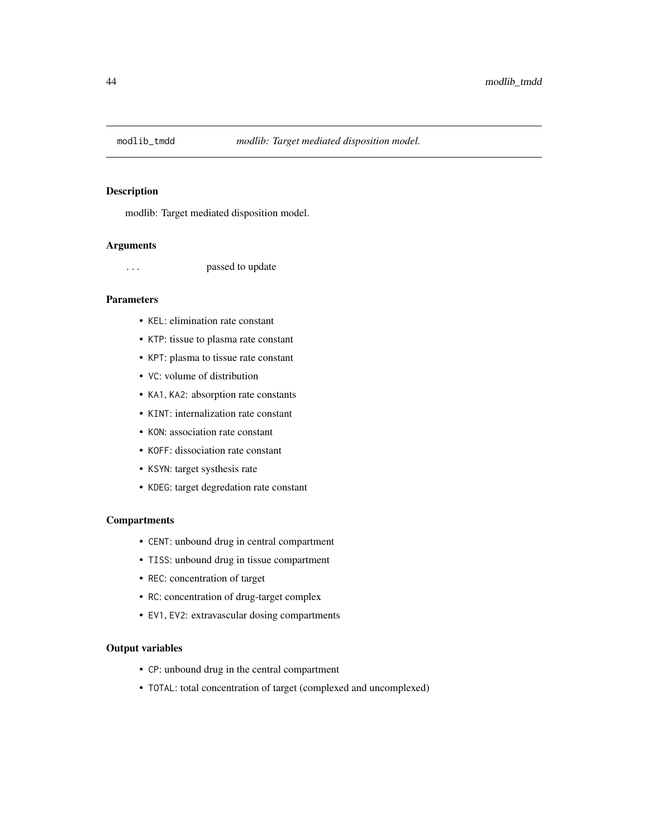<span id="page-43-0"></span>

modlib: Target mediated disposition model.

#### Arguments

... passed to update

## Parameters

- KEL: elimination rate constant
- KTP: tissue to plasma rate constant
- KPT: plasma to tissue rate constant
- VC: volume of distribution
- KA1, KA2: absorption rate constants
- KINT: internalization rate constant
- KON: association rate constant
- KOFF: dissociation rate constant
- KSYN: target systhesis rate
- KDEG: target degredation rate constant

### **Compartments**

- CENT: unbound drug in central compartment
- TISS: unbound drug in tissue compartment
- REC: concentration of target
- RC: concentration of drug-target complex
- EV1, EV2: extravascular dosing compartments

### Output variables

- CP: unbound drug in the central compartment
- TOTAL: total concentration of target (complexed and uncomplexed)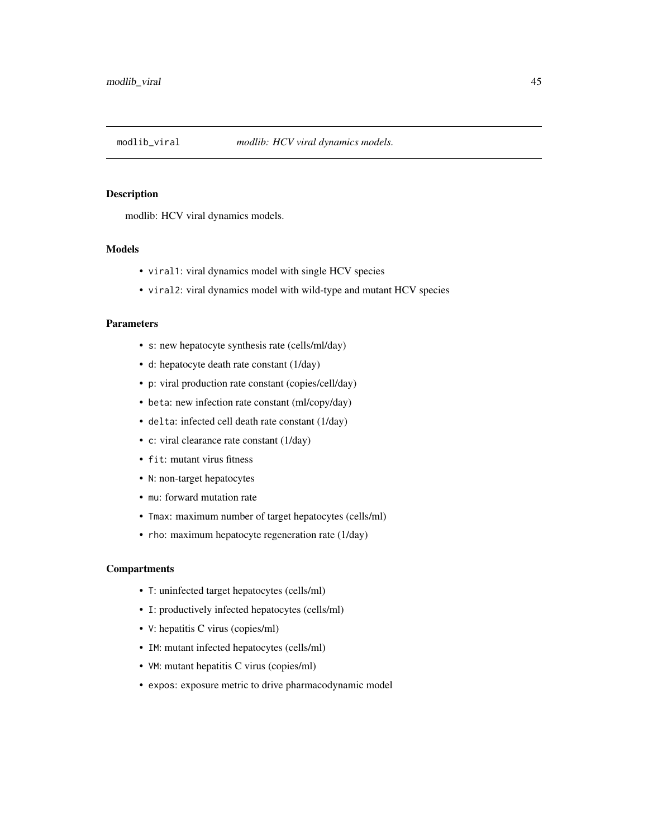<span id="page-44-0"></span>

modlib: HCV viral dynamics models.

# Models

- viral1: viral dynamics model with single HCV species
- viral2: viral dynamics model with wild-type and mutant HCV species

#### Parameters

- s: new hepatocyte synthesis rate (cells/ml/day)
- d: hepatocyte death rate constant (1/day)
- p: viral production rate constant (copies/cell/day)
- beta: new infection rate constant (ml/copy/day)
- delta: infected cell death rate constant (1/day)
- c: viral clearance rate constant (1/day)
- fit: mutant virus fitness
- N: non-target hepatocytes
- mu: forward mutation rate
- Tmax: maximum number of target hepatocytes (cells/ml)
- rho: maximum hepatocyte regeneration rate (1/day)

### **Compartments**

- T: uninfected target hepatocytes (cells/ml)
- I: productively infected hepatocytes (cells/ml)
- V: hepatitis C virus (copies/ml)
- IM: mutant infected hepatocytes (cells/ml)
- VM: mutant hepatitis C virus (copies/ml)
- expos: exposure metric to drive pharmacodynamic model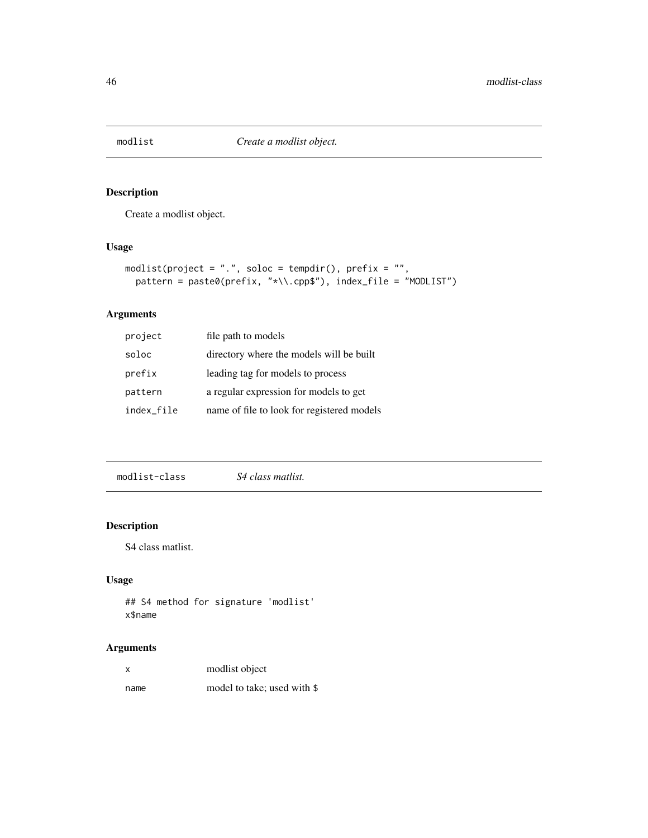Create a modlist object.

## Usage

```
modlist(project = ".", soloc = tempdir(), prefix = "",
 pattern = paste0(prefix, "*\\.cpp$"), index_file = "MODLIST")
```
# Arguments

| project    | file path to models                        |
|------------|--------------------------------------------|
| soloc      | directory where the models will be built   |
| prefix     | leading tag for models to process          |
| pattern    | a regular expression for models to get     |
| index file | name of file to look for registered models |

modlist-class *S4 class matlist.*

# Description

S4 class matlist.

#### Usage

```
## S4 method for signature 'modlist'
x$name
```
## Arguments

| x    | modlist object              |
|------|-----------------------------|
| name | model to take; used with \$ |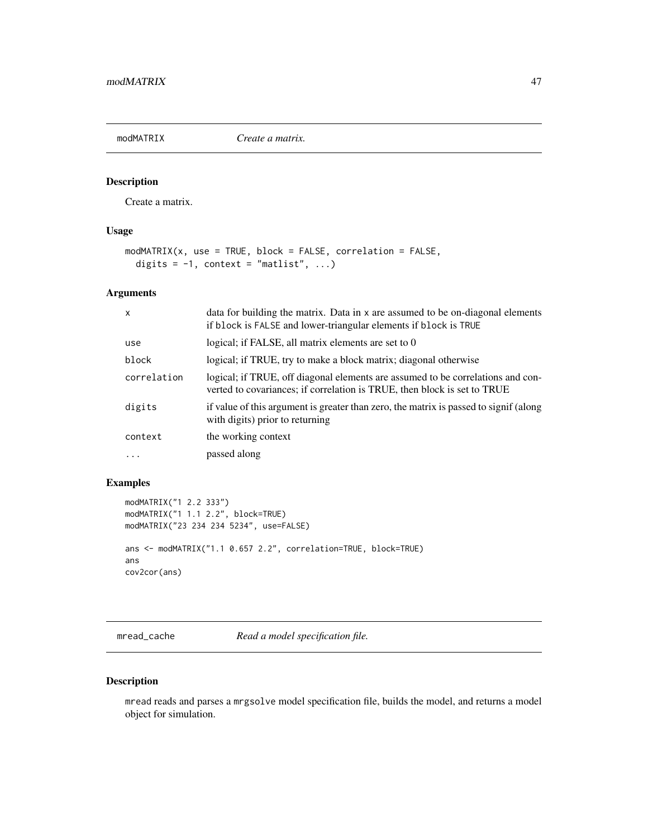<span id="page-46-1"></span>

Create a matrix.

## Usage

```
modMATRIX(x, use = TRUE, block = FALSE, correlation = FALSE,
  digits = -1, context = "matlist", ...)
```
### Arguments

| $\mathsf{x}$ | data for building the matrix. Data in x are assumed to be on-diagonal elements<br>if block is FALSE and lower-triangular elements if block is TRUE          |
|--------------|-------------------------------------------------------------------------------------------------------------------------------------------------------------|
| use          | logical; if FALSE, all matrix elements are set to 0                                                                                                         |
| block        | logical; if TRUE, try to make a block matrix; diagonal otherwise                                                                                            |
| correlation  | logical; if TRUE, off diagonal elements are assumed to be correlations and con-<br>verted to covariances; if correlation is TRUE, then block is set to TRUE |
| digits       | if value of this argument is greater than zero, the matrix is passed to signif (along<br>with digits) prior to returning                                    |
| context      | the working context                                                                                                                                         |
| $\ddots$ .   | passed along                                                                                                                                                |

## Examples

```
modMATRIX("1 2.2 333")
modMATRIX("1 1.1 2.2", block=TRUE)
modMATRIX("23 234 234 5234", use=FALSE)
ans <- modMATRIX("1.1 0.657 2.2", correlation=TRUE, block=TRUE)
ans
cov2cor(ans)
```
mread\_cache *Read a model specification file.*

### <span id="page-46-0"></span>Description

mread reads and parses a mrgsolve model specification file, builds the model, and returns a model object for simulation.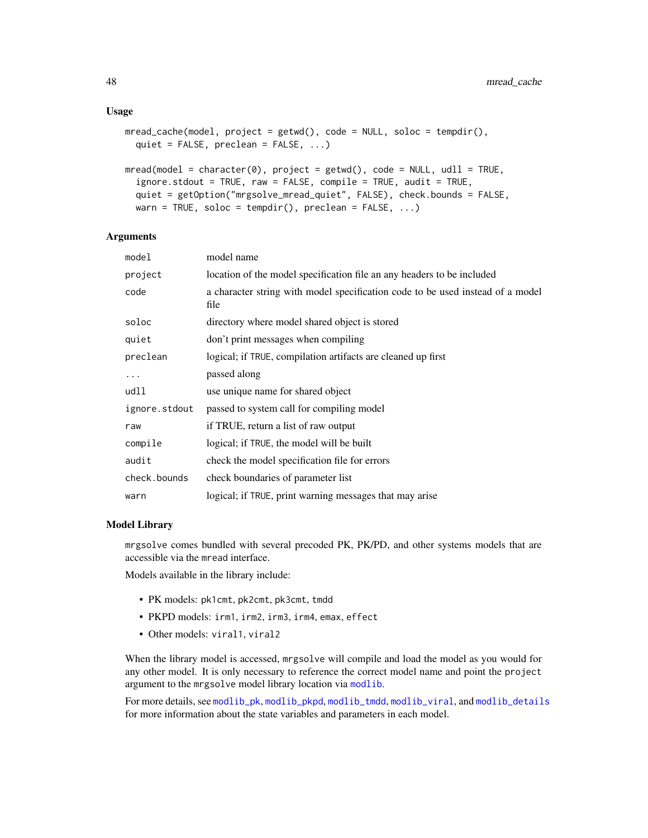#### Usage

```
mread_cache(model, project = getwd(), code = NULL, soloc = tempdir(),
 quiet = FALSE, preclean = FALSE, ...)
```

```
mread(model = character(0), project = getwd(), code = NULL, udl1 = TRUE,ignore.stdout = TRUE, raw = FALSE, compile = TRUE, audit = TRUE,
  quiet = getOption("mrgsolve_mread_quiet", FALSE), check.bounds = FALSE,
 warn = TRUE, soloc = tempdir(), preclean = FALSE, ...)
```
#### Arguments

| model         | model name                                                                             |
|---------------|----------------------------------------------------------------------------------------|
| project       | location of the model specification file an any headers to be included                 |
| code          | a character string with model specification code to be used instead of a model<br>file |
| soloc         | directory where model shared object is stored                                          |
| quiet         | don't print messages when compiling                                                    |
| preclean      | logical; if TRUE, compilation artifacts are cleaned up first                           |
| $\cdots$      | passed along                                                                           |
| udll          | use unique name for shared object                                                      |
| ignore.stdout | passed to system call for compiling model                                              |
| raw           | if TRUE, return a list of raw output                                                   |
| compile       | logical; if TRUE, the model will be built                                              |
| audit         | check the model specification file for errors                                          |
| check.bounds  | check boundaries of parameter list                                                     |
| warn          | logical; if TRUE, print warning messages that may arise                                |

#### Model Library

mrgsolve comes bundled with several precoded PK, PK/PD, and other systems models that are accessible via the mread interface.

Models available in the library include:

- PK models: pk1cmt, pk2cmt, pk3cmt, tmdd
- PKPD models: irm1, irm2, irm3, irm4, emax, effect
- Other models: viral1, viral2

When the library model is accessed, mrgsolve will compile and load the model as you would for any other model. It is only necessary to reference the correct model name and point the project argument to the mrgsolve model library location via [modlib](#page-39-0).

For more details, see [modlib\\_pk](#page-41-0), [modlib\\_pkpd](#page-42-0), [modlib\\_tmdd](#page-43-0), [modlib\\_viral](#page-44-0), and [modlib\\_details](#page-40-0) for more information about the state variables and parameters in each model.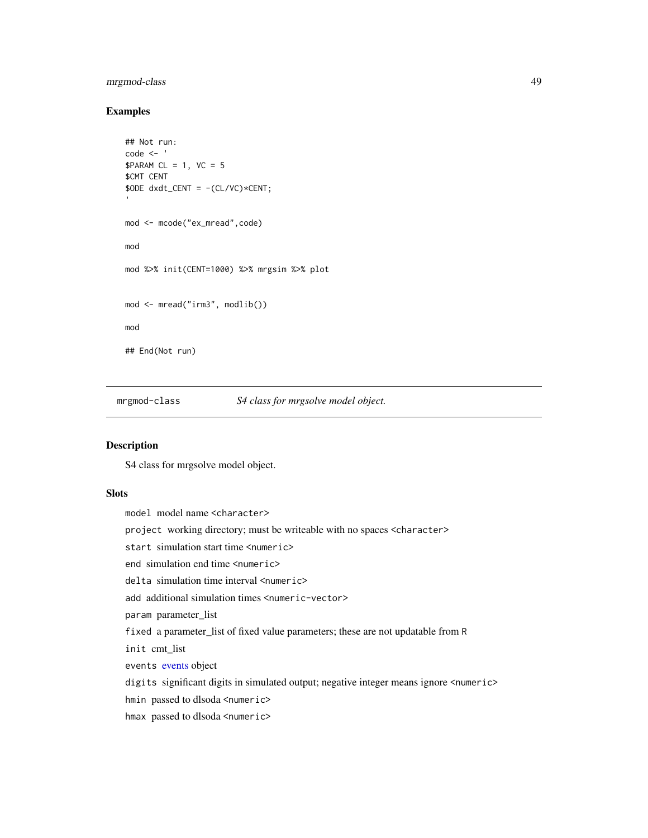## mrgmod-class 49

#### Examples

```
## Not run:
code <- '
$PARAM CL = 1, VC = 5$CMT CENT
$ODE dxdt_CENT = -(CL/VC)*CENT;
mod <- mcode("ex_mread",code)
mod
mod %>% init(CENT=1000) %>% mrgsim %>% plot
mod <- mread("irm3", modlib())
mod
## End(Not run)
```
<span id="page-48-0"></span>mrgmod-class *S4 class for mrgsolve model object.*

### Description

S4 class for mrgsolve model object.

#### Slots

model model name <character> project working directory; must be writeable with no spaces <character> start simulation start time <numeric> end simulation end time <numeric> delta simulation time interval <numeric> add additional simulation times <numeric-vector> param parameter\_list fixed a parameter\_list of fixed value parameters; these are not updatable from R init cmt\_list events [events](#page-21-0) object digits significant digits in simulated output; negative integer means ignore <numeric> hmin passed to dlsoda <numeric> hmax passed to dlsoda <numeric>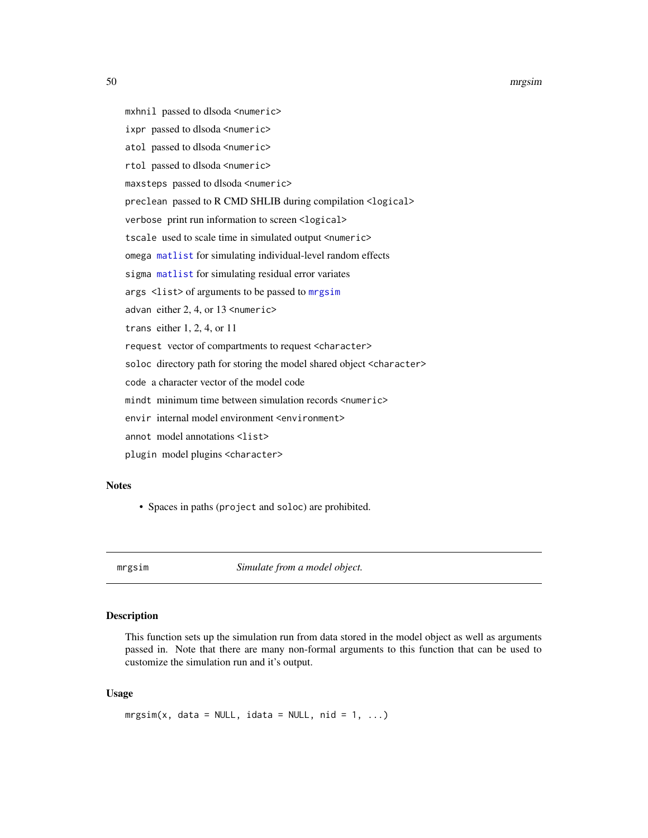#### 50 mrgsim

- mxhnil passed to dlsoda <numeric>
- ixpr passed to dlsoda <numeric>
- atol passed to dlsoda <numeric>
- rtol passed to dlsoda <numeric>
- maxsteps passed to dlsoda <numeric>
- preclean passed to R CMD SHLIB during compilation <logical>
- verbose print run information to screen <logical>
- tscale used to scale time in simulated output <numeric>
- omega [matlist](#page-35-0) for simulating individual-level random effects
- sigma [matlist](#page-35-0) for simulating residual error variates
- args <list> of arguments to be passed to [mrgsim](#page-49-0)
- advan either 2, 4, or 13 <numeric>
- trans either 1, 2, 4, or 11
- request vector of compartments to request <character>
- soloc directory path for storing the model shared object <character>
- code a character vector of the model code
- mindt minimum time between simulation records <numeric>
- envir internal model environment <environment>
- annot model annotations <list>
- plugin model plugins <character>

#### **Notes**

• Spaces in paths (project and soloc) are prohibited.

<span id="page-49-0"></span>

mrgsim *Simulate from a model object.*

### Description

This function sets up the simulation run from data stored in the model object as well as arguments passed in. Note that there are many non-formal arguments to this function that can be used to customize the simulation run and it's output.

### Usage

```
mrgsim(x, data = NULL, idata = NULL, nid = 1, ...)
```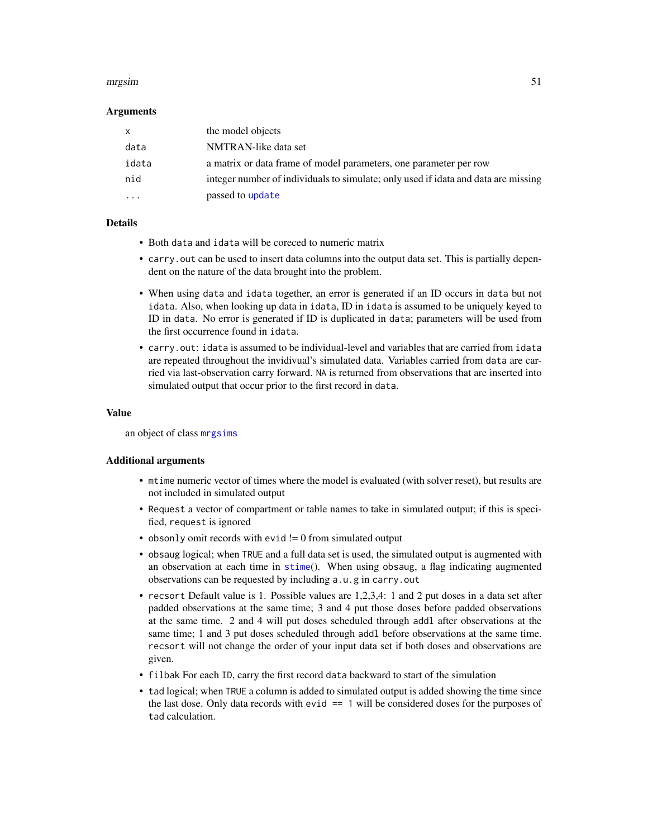#### mrgsim 51

#### Arguments

| <b>X</b> | the model objects                                                                  |
|----------|------------------------------------------------------------------------------------|
| data     | NMTRAN-like data set                                                               |
| idata    | a matrix or data frame of model parameters, one parameter per row                  |
| nid      | integer number of individuals to simulate; only used if idata and data are missing |
| $\cdots$ | passed to update                                                                   |

#### Details

- Both data and idata will be coreced to numeric matrix
- carry. out can be used to insert data columns into the output data set. This is partially dependent on the nature of the data brought into the problem.
- When using data and idata together, an error is generated if an ID occurs in data but not idata. Also, when looking up data in idata, ID in idata is assumed to be uniquely keyed to ID in data. No error is generated if ID is duplicated in data; parameters will be used from the first occurrence found in idata.
- carry.out: idata is assumed to be individual-level and variables that are carried from idata are repeated throughout the invidivual's simulated data. Variables carried from data are carried via last-observation carry forward. NA is returned from observations that are inserted into simulated output that occur prior to the first record in data.

#### Value

an object of class [mrgsims](#page-51-0)

#### Additional arguments

- mtime numeric vector of times where the model is evaluated (with solver reset), but results are not included in simulated output
- Request a vector of compartment or table names to take in simulated output; if this is specified, request is ignored
- obsonly omit records with evid  $!= 0$  from simulated output
- obsaug logical; when TRUE and a full data set is used, the simulated output is augmented with an observation at each time in [stime](#page-80-0)(). When using obsaug, a flag indicating augmented observations can be requested by including a.u.g in carry.out
- recsort Default value is 1. Possible values are 1,2,3,4: 1 and 2 put doses in a data set after padded observations at the same time; 3 and 4 put those doses before padded observations at the same time. 2 and 4 will put doses scheduled through addl after observations at the same time; 1 and 3 put doses scheduled through addl before observations at the same time. recsort will not change the order of your input data set if both doses and observations are given.
- filbak For each ID, carry the first record data backward to start of the simulation
- tad logical; when TRUE a column is added to simulated output is added showing the time since the last dose. Only data records with evid == 1 will be considered doses for the purposes of tad calculation.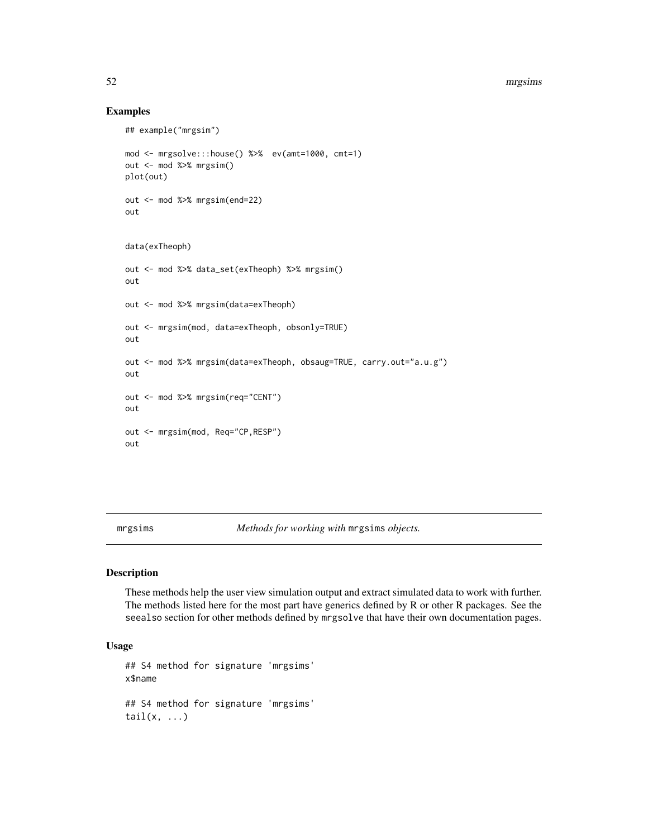#### 52 mrgsims and the contract of the contract of the contract of the contract of the contract of the contract of the contract of the contract of the contract of the contract of the contract of the contract of the contract of

### Examples

```
## example("mrgsim")
mod <- mrgsolve:::house() %>% ev(amt=1000, cmt=1)
out <- mod %>% mrgsim()
plot(out)
out <- mod %>% mrgsim(end=22)
out
data(exTheoph)
out <- mod %>% data_set(exTheoph) %>% mrgsim()
out
out <- mod %>% mrgsim(data=exTheoph)
out <- mrgsim(mod, data=exTheoph, obsonly=TRUE)
out
out <- mod %>% mrgsim(data=exTheoph, obsaug=TRUE, carry.out="a.u.g")
out
out <- mod %>% mrgsim(req="CENT")
out
out <- mrgsim(mod, Req="CP,RESP")
out
```
<span id="page-51-0"></span>mrgsims *Methods for working with* mrgsims *objects.*

#### Description

These methods help the user view simulation output and extract simulated data to work with further. The methods listed here for the most part have generics defined by R or other R packages. See the seealso section for other methods defined by mrgsolve that have their own documentation pages.

### Usage

```
## S4 method for signature 'mrgsims'
x$name
## S4 method for signature 'mrgsims'
tail(x, \ldots)
```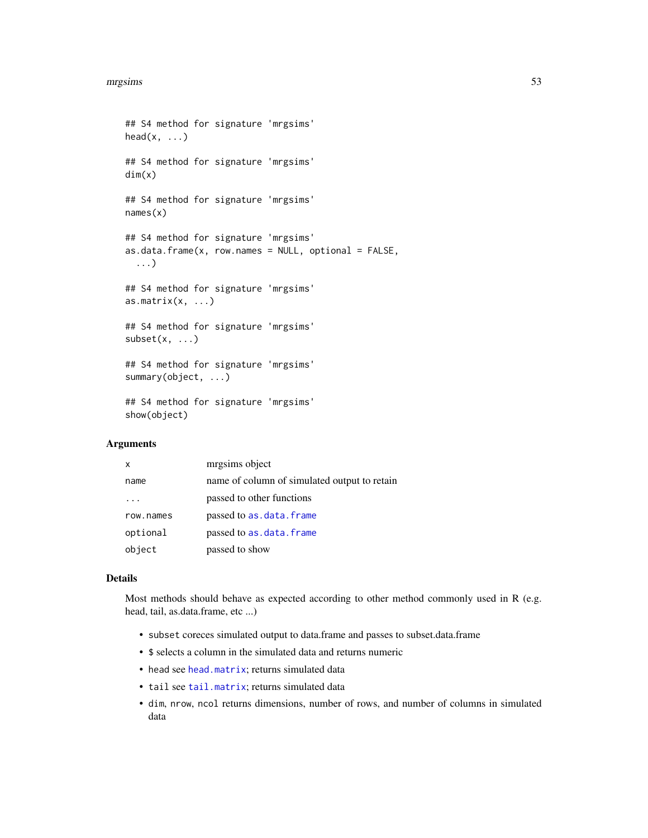```
## S4 method for signature 'mrgsims'
head(x, \ldots)## S4 method for signature 'mrgsims'
dim(x)
## S4 method for signature 'mrgsims'
names(x)
## S4 method for signature 'mrgsims'
as.data. frame(x, row. names = NULL, optional = FALSE,...)
## S4 method for signature 'mrgsims'
as.matrix(x, ...)## S4 method for signature 'mrgsims'
subset(x, \ldots)## S4 method for signature 'mrgsims'
summary(object, ...)
```
## S4 method for signature 'mrgsims' show(object)

### **Arguments**

| x         | mrgsims object                               |
|-----------|----------------------------------------------|
| name      | name of column of simulated output to retain |
|           | passed to other functions                    |
| row.names | passed to as.data.frame                      |
| optional  | passed to as.data.frame                      |
| object    | passed to show                               |

### Details

Most methods should behave as expected according to other method commonly used in R (e.g. head, tail, as.data.frame, etc ...)

- subset coreces simulated output to data.frame and passes to subset.data.frame
- \$ selects a column in the simulated data and returns numeric
- head see [head.matrix](#page-0-0); returns simulated data
- tail see [tail.matrix](#page-0-0); returns simulated data
- dim, nrow, ncol returns dimensions, number of rows, and number of columns in simulated data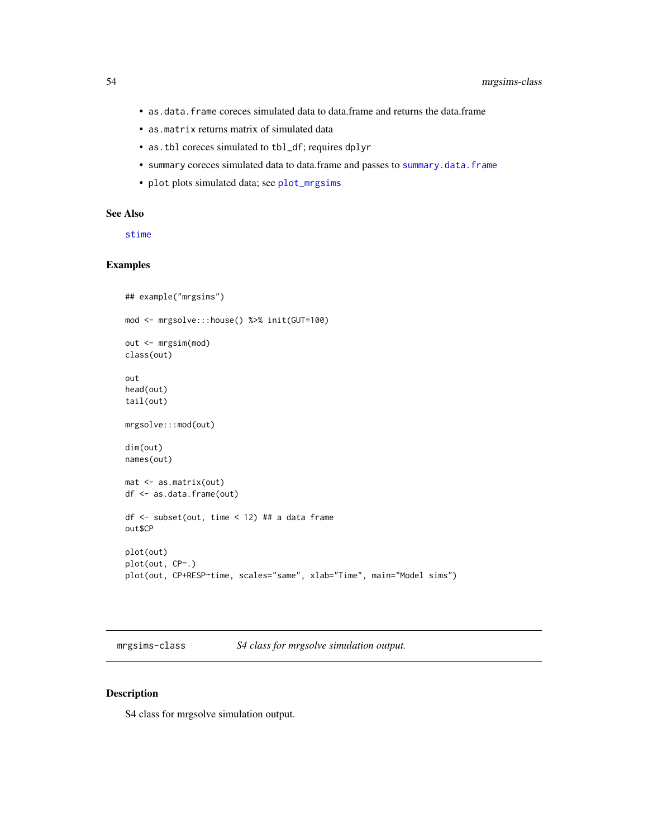- as.data.frame coreces simulated data to data.frame and returns the data.frame
- as.matrix returns matrix of simulated data
- as.tbl coreces simulated to tbl\_df; requires dplyr
- summary coreces simulated data to data.frame and passes to [summary.data.frame](#page-0-0)
- plot plots simulated data; see [plot\\_mrgsims](#page-68-0)

### See Also

[stime](#page-80-0)

### Examples

```
## example("mrgsims")
mod <- mrgsolve:::house() %>% init(GUT=100)
out <- mrgsim(mod)
class(out)
out
head(out)
tail(out)
mrgsolve:::mod(out)
dim(out)
names(out)
mat <- as.matrix(out)
df <- as.data.frame(out)
df <- subset(out, time < 12) ## a data frame
out$CP
plot(out)
plot(out, CP~.)
plot(out, CP+RESP~time, scales="same", xlab="Time", main="Model sims")
```
mrgsims-class *S4 class for mrgsolve simulation output.*

### Description

S4 class for mrgsolve simulation output.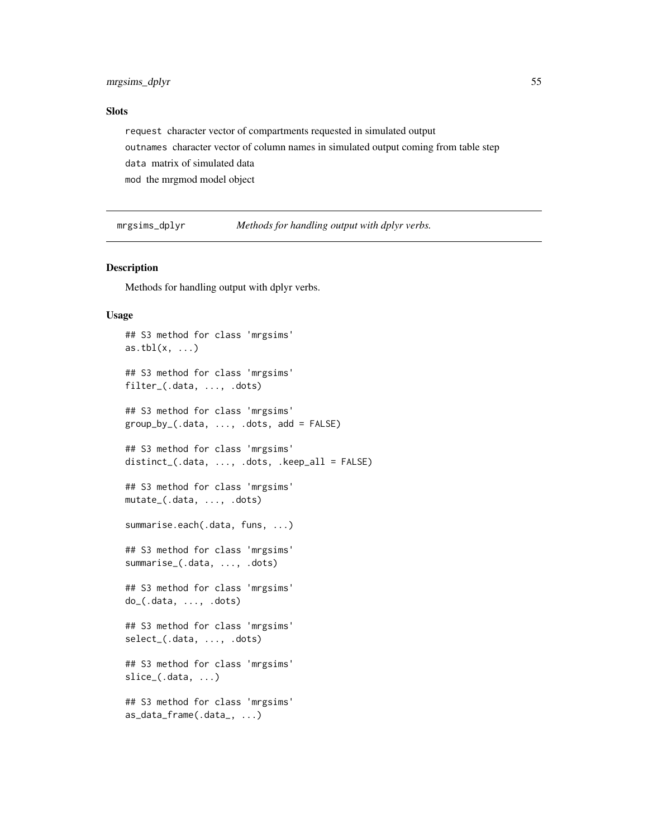### Slots

request character vector of compartments requested in simulated output outnames character vector of column names in simulated output coming from table step data matrix of simulated data mod the mrgmod model object

mrgsims\_dplyr *Methods for handling output with dplyr verbs.*

#### Description

Methods for handling output with dplyr verbs.

#### Usage

```
## S3 method for class 'mrgsims'
as.tbl(x, \ldots)## S3 method for class 'mrgsims'
filter_(.data, ..., .dots)
## S3 method for class 'mrgsims'
group_by_(.data, ..., .dots, add = FALSE)
## S3 method for class 'mrgsims'
distinct_(.data, \dots, .dots, .keep_all = FALSE)
## S3 method for class 'mrgsims'
mutate_(.data, ..., .dots)
summarise.each(.data, funs, ...)
## S3 method for class 'mrgsims'
summarise_(.data, ..., .dots)
## S3 method for class 'mrgsims'
do_(.data, ..., .dots)
## S3 method for class 'mrgsims'
select_(.data, ..., .dots)
## S3 method for class 'mrgsims'
slice_(.data, ...)
## S3 method for class 'mrgsims'
as_data_frame(.data_, ...)
```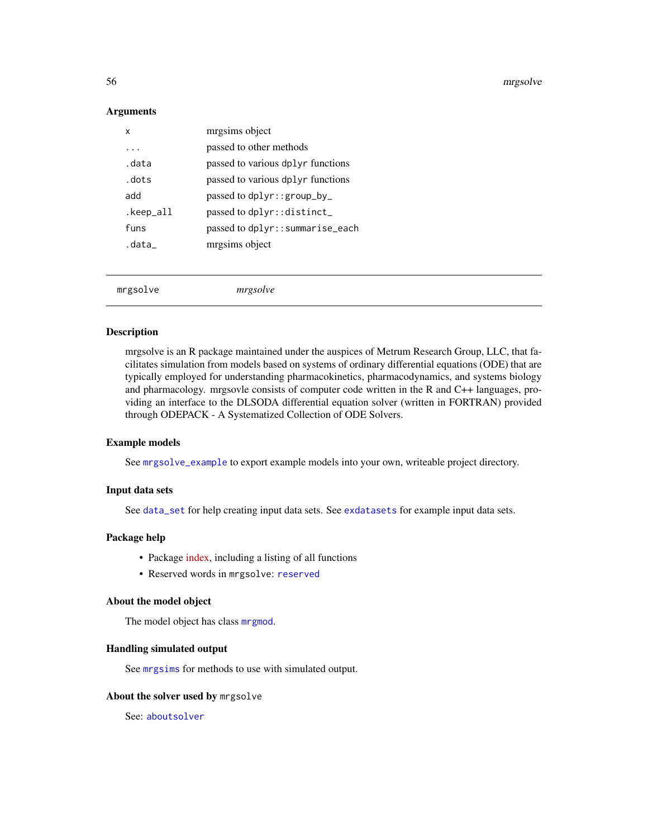#### 56 mrgsolve

#### **Arguments**

| x         | mrgsims object                    |
|-----------|-----------------------------------|
| $\ddotsc$ | passed to other methods           |
| data      | passed to various dplyr functions |
| . dots    | passed to various dplyr functions |
| add       | passed to $dplyr$ : : $group_by$  |
| .keep_all | passed to dplyr:: distinct        |
| funs      | passed to dplyr::summarise_each   |
| .data     | mrgsims object                    |
|           |                                   |
|           |                                   |

mrgsolve *mrgsolve*

#### Description

mrgsolve is an R package maintained under the auspices of Metrum Research Group, LLC, that facilitates simulation from models based on systems of ordinary differential equations (ODE) that are typically employed for understanding pharmacokinetics, pharmacodynamics, and systems biology and pharmacology. mrgsovle consists of computer code written in the R and C++ languages, providing an interface to the DLSODA differential equation solver (written in FORTRAN) provided through ODEPACK - A Systematized Collection of ODE Solvers.

### Example models

See [mrgsolve\\_example](#page-57-0) to export example models into your own, writeable project directory.

#### Input data sets

See [data\\_set](#page-16-0) for help creating input data sets. See [exdatasets](#page-25-0) for example input data sets.

#### Package help

- Package [index,](00Index.html) including a listing of all functions
- Reserved words in mrgsolve: [reserved](#page-74-0)

### About the model object

The model object has class [mrgmod](#page-48-0).

#### Handling simulated output

See [mrgsims](#page-51-0) for methods to use with simulated output.

#### About the solver used by mrgsolve

See: [aboutsolver](#page-3-0)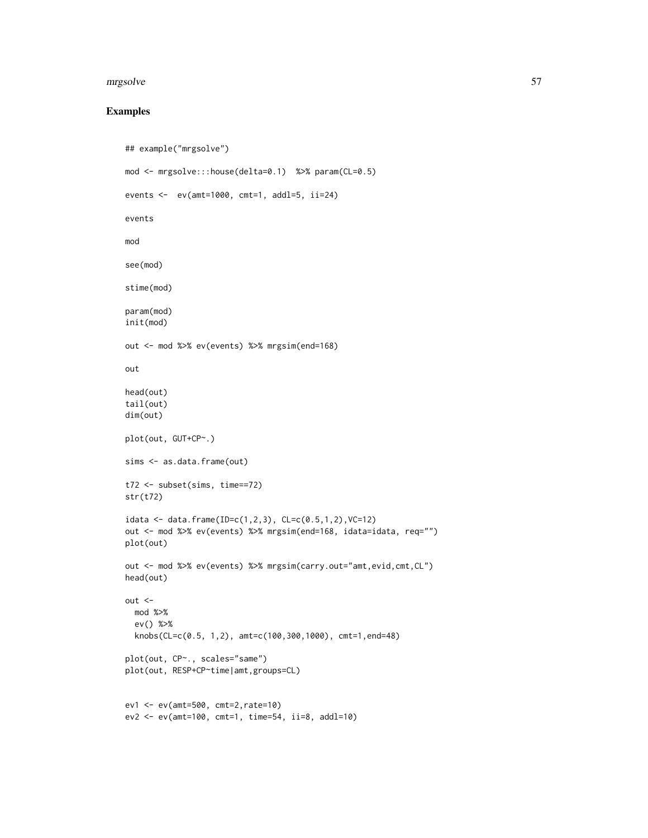#### mrgsolve 57

## Examples

```
## example("mrgsolve")
mod <- mrgsolve:::house(delta=0.1) %>% param(CL=0.5)
events <- ev(amt=1000, cmt=1, addl=5, ii=24)
events
mod
see(mod)
stime(mod)
param(mod)
init(mod)
out <- mod %>% ev(events) %>% mrgsim(end=168)
out
head(out)
tail(out)
dim(out)
plot(out, GUT+CP~.)
sims <- as.data.frame(out)
t72 <- subset(sims, time==72)
str(t72)
idata <- data.frame(ID=c(1,2,3), CL=c(0.5,1,2),VC=12)
out <- mod %>% ev(events) %>% mrgsim(end=168, idata=idata, req="")
plot(out)
out <- mod %>% ev(events) %>% mrgsim(carry.out="amt,evid,cmt,CL")
head(out)
out <-
  mod %>%
  ev() %>%
  knobs(CL=c(0.5, 1,2), amt=c(100,300,1000), cmt=1,end=48)
plot(out, CP~., scales="same")
plot(out, RESP+CP~time|amt,groups=CL)
ev1 <- ev(amt=500, cmt=2,rate=10)
ev2 <- ev(amt=100, cmt=1, time=54, ii=8, addl=10)
```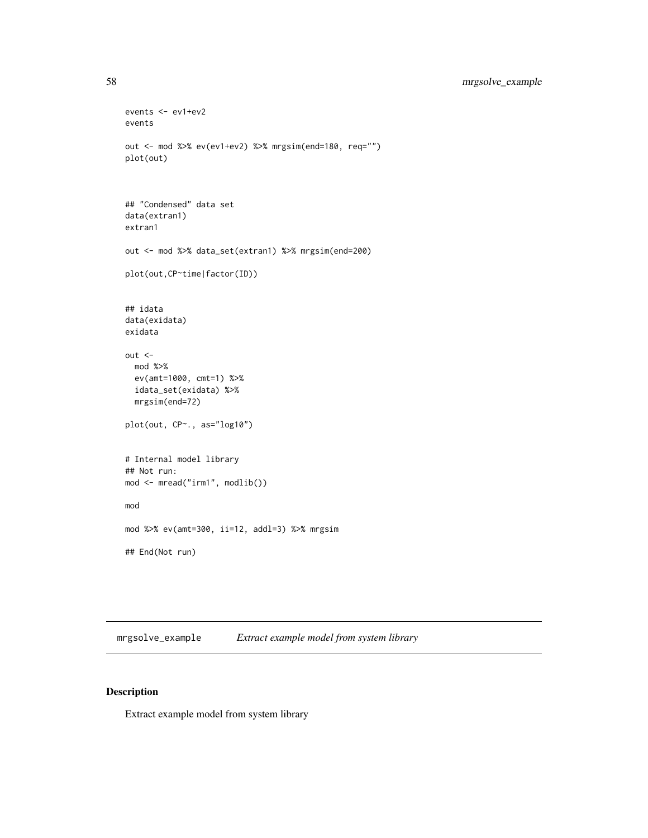```
events <- ev1+ev2
events
out <- mod %>% ev(ev1+ev2) %>% mrgsim(end=180, req="")
plot(out)
## "Condensed" data set
data(extran1)
extran1
out <- mod %>% data_set(extran1) %>% mrgsim(end=200)
plot(out,CP~time|factor(ID))
## idata
data(exidata)
exidata
out <-
  mod %>%
  ev(amt=1000, cmt=1) %>%
  idata_set(exidata) %>%
  mrgsim(end=72)
plot(out, CP~., as="log10")
# Internal model library
## Not run:
mod <- mread("irm1", modlib())
mod
mod %>% ev(amt=300, ii=12, addl=3) %>% mrgsim
## End(Not run)
```
<span id="page-57-0"></span>mrgsolve\_example *Extract example model from system library*

## Description

Extract example model from system library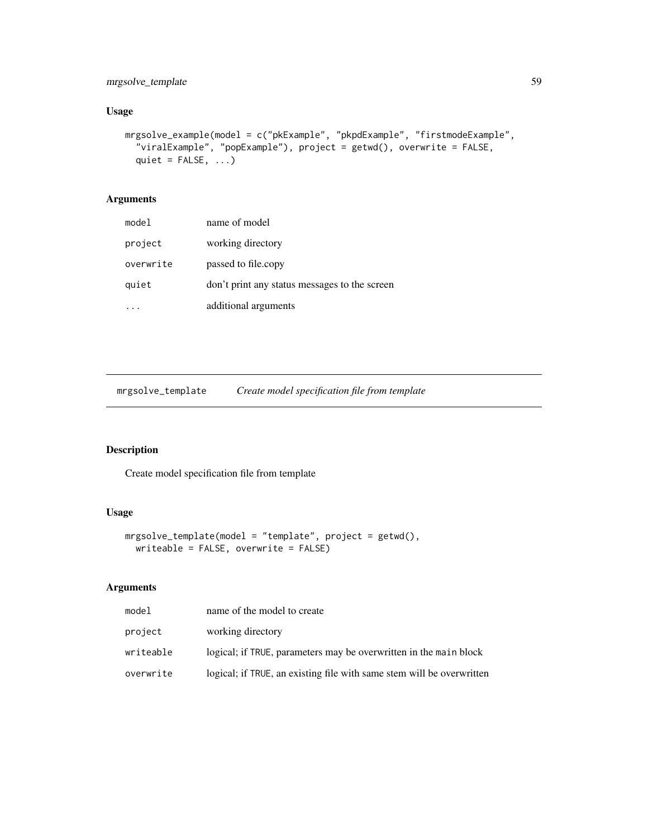## mrgsolve\_template 59

# Usage

```
mrgsolve_example(model = c("pkExample", "pkpdExample", "firstmodeExample",
  "viralExample", "popExample"), project = getwd(), overwrite = FALSE,
 quiet = FALSE, ...)
```
# Arguments

| model     | name of model                                 |
|-----------|-----------------------------------------------|
| project   | working directory                             |
| overwrite | passed to file.copy                           |
| quiet     | don't print any status messages to the screen |
|           | additional arguments                          |

mrgsolve\_template *Create model specification file from template*

### Description

Create model specification file from template

# Usage

```
mrgsolve_template(model = "template", project = getwd(),
 writeable = FALSE, overwrite = FALSE)
```
## Arguments

| model     | name of the model to create                                           |
|-----------|-----------------------------------------------------------------------|
| project   | working directory                                                     |
| writeable | logical; if TRUE, parameters may be overwritten in the main block     |
| overwrite | logical; if TRUE, an existing file with same stem will be overwritten |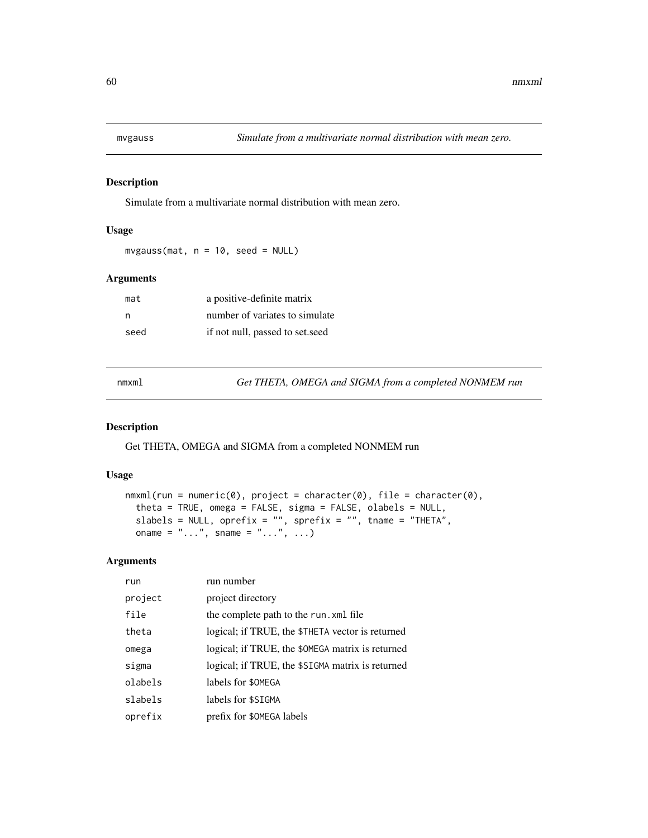Simulate from a multivariate normal distribution with mean zero.

### Usage

 $mvgauss(mat, n = 10, seed = NULL)$ 

#### Arguments

| mat  | a positive-definite matrix      |
|------|---------------------------------|
| n    | number of variates to simulate  |
| seed | if not null, passed to set.seed |

nmxml *Get THETA, OMEGA and SIGMA from a completed NONMEM run*

#### Description

Get THETA, OMEGA and SIGMA from a completed NONMEM run

#### Usage

```
nmxml(run = numeric(0), project = character(0), file = character(0),
  theta = TRUE, omega = FALSE, sigma = FALSE, olabels = NULL,
  slabels = NULL, oprefix = "", sprefix = "", tname = "THETA",oname = " \dots", sname = " \dots", \dots)
```
### Arguments

| run     | run number                                       |
|---------|--------------------------------------------------|
| project | project directory                                |
| file    | the complete path to the run. xml file           |
| theta   | logical; if TRUE, the \$THETA vector is returned |
| omega   | logical; if TRUE, the \$0MEGA matrix is returned |
| sigma   | logical; if TRUE, the \$SIGMA matrix is returned |
| olabels | labels for \$0MEGA                               |
| slabels | labels for \$SIGMA                               |
| oprefix | prefix for \$0MEGA labels                        |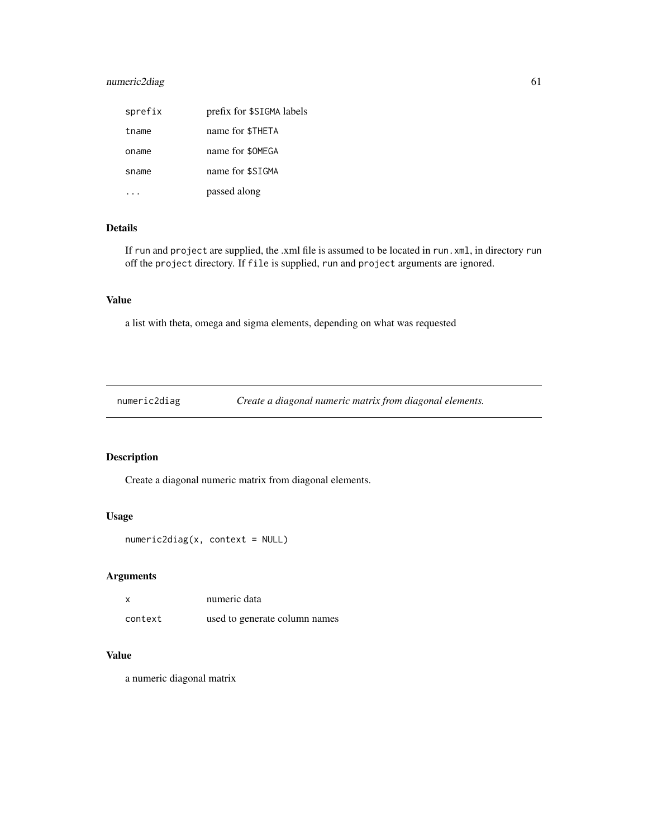## numeric2diag 61

| sprefix | prefix for \$SIGMA labels |
|---------|---------------------------|
| tname   | name for \$THETA          |
| oname   | name for \$0MEGA          |
| sname   | name for \$SIGMA          |
|         | passed along              |

# Details

If run and project are supplied, the .xml file is assumed to be located in run.xml, in directory run off the project directory. If file is supplied, run and project arguments are ignored.

# Value

a list with theta, omega and sigma elements, depending on what was requested

numeric2diag *Create a diagonal numeric matrix from diagonal elements.*

# Description

Create a diagonal numeric matrix from diagonal elements.

#### Usage

numeric2diag(x, context = NULL)

# Arguments

| x       | numeric data                  |
|---------|-------------------------------|
| context | used to generate column names |

# Value

a numeric diagonal matrix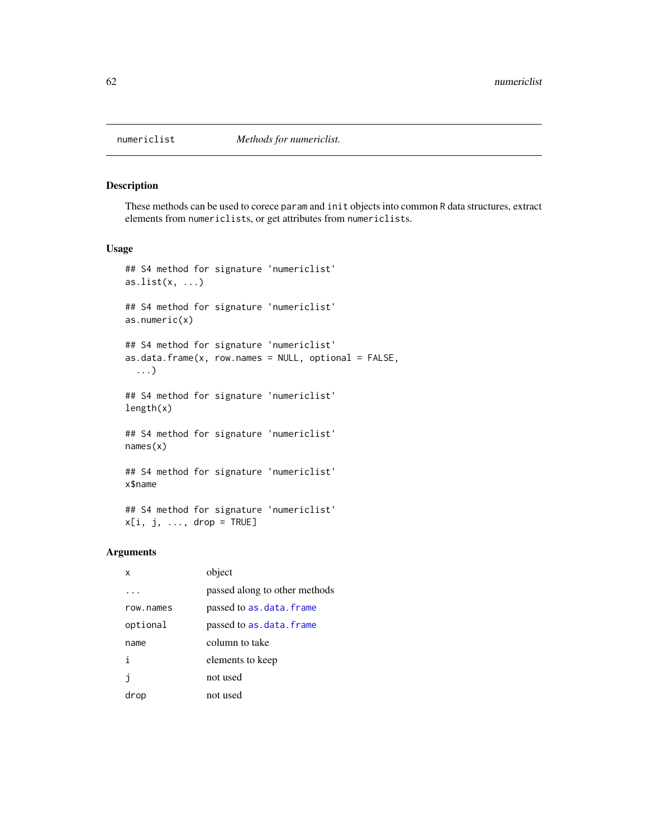These methods can be used to corece param and init objects into common R data structures, extract elements from numericlists, or get attributes from numericlists.

#### Usage

```
## S4 method for signature 'numericlist'
as.list(x, \ldots)## S4 method for signature 'numericlist'
as.numeric(x)
## S4 method for signature 'numericlist'
as.data.frame(x, row.names = NULL, optional = FALSE,
  ...)
## S4 method for signature 'numericlist'
length(x)
## S4 method for signature 'numericlist'
names(x)
## S4 method for signature 'numericlist'
x$name
## S4 method for signature 'numericlist'
```
#### Arguments

| x         | object                        |
|-----------|-------------------------------|
|           | passed along to other methods |
| row.names | passed to as.data.frame       |
| optional  | passed to as.data.frame       |
| name      | column to take                |
| i         | elements to keep              |
| İ         | not used                      |
| drop      | not used                      |

 $x[i, j, ..., drop = TRUE]$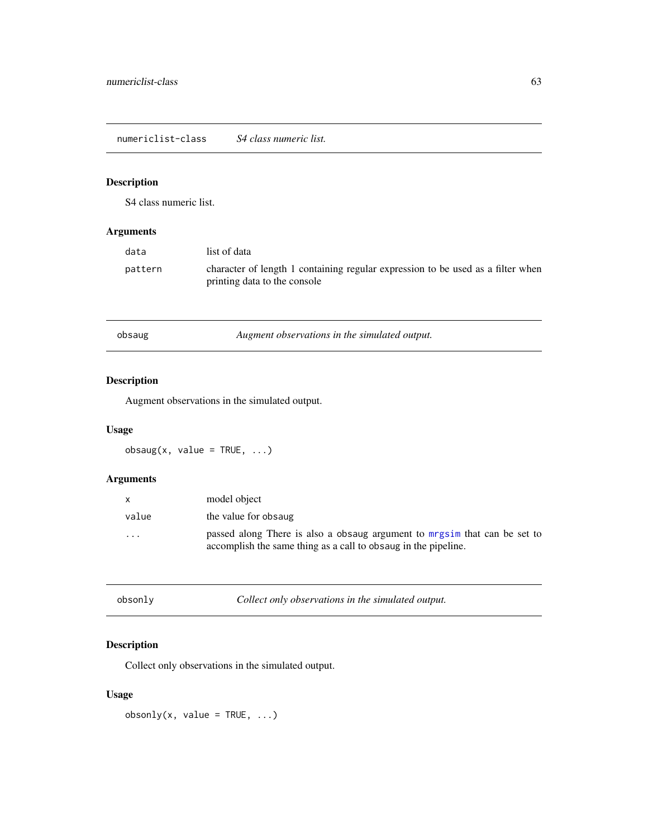<span id="page-62-0"></span>numericlist-class *S4 class numeric list.*

# Description

S4 class numeric list.

# Arguments

| data    | list of data                                                                                                    |
|---------|-----------------------------------------------------------------------------------------------------------------|
| pattern | character of length 1 containing regular expression to be used as a filter when<br>printing data to the console |

obsaug *Augment observations in the simulated output.*

# Description

Augment observations in the simulated output.

## Usage

 $obsaug(x, value = TRUE, ...)$ 

# Arguments

| X        | model object                                                                                                                                |
|----------|---------------------------------------------------------------------------------------------------------------------------------------------|
| value    | the value for obsaug                                                                                                                        |
| $\cdots$ | passed along There is also a obsaug argument to mrgsim that can be set to<br>accomplish the same thing as a call to obsaug in the pipeline. |

| obsonly | Collect only observations in the simulated output. |  |
|---------|----------------------------------------------------|--|
|         |                                                    |  |

# Description

Collect only observations in the simulated output.

# Usage

obsonly(x, value =  $TRUE$ , ...)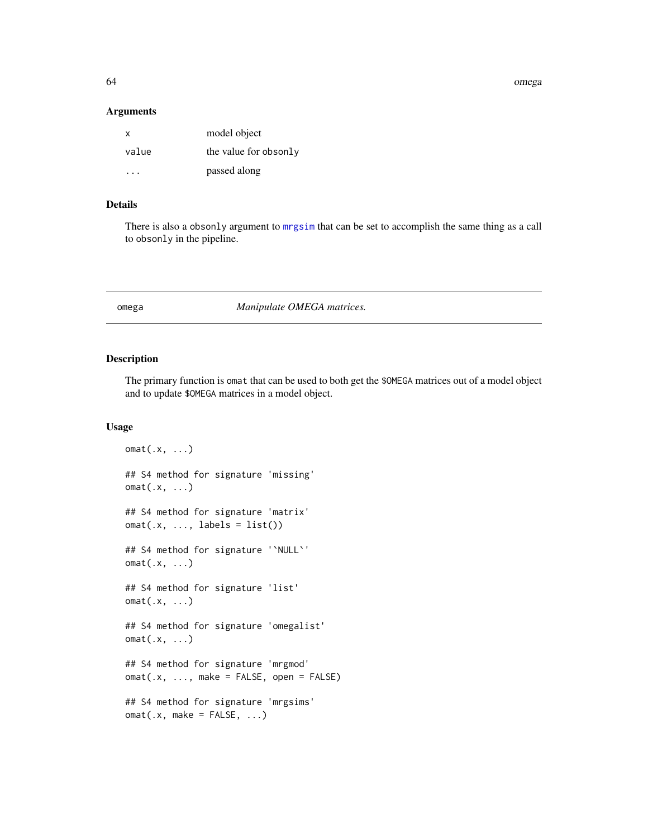64 omega

#### Arguments

| x     | model object          |
|-------|-----------------------|
| value | the value for obsonly |
| .     | passed along          |

# Details

There is also a obsonly argument to [mrgsim](#page-49-0) that can be set to accomplish the same thing as a call to obsonly in the pipeline.

omega *Manipulate OMEGA matrices.*

#### <span id="page-63-0"></span>Description

The primary function is omat that can be used to both get the \$OMEGA matrices out of a model object and to update \$OMEGA matrices in a model object.

#### Usage

```
omat(.x, \ldots)## S4 method for signature 'missing'
omat(.x, ...)
## S4 method for signature 'matrix'
omat(x, ..., labels = list())## S4 method for signature '`NULL`'
omat(.x, ...)
## S4 method for signature 'list'
omat(.x, \ldots)## S4 method for signature 'omegalist'
omat(.x, \ldots)## S4 method for signature 'mrgmod'
omat(.x, ..., make = FALSE, open = FALSE)
## S4 method for signature 'mrgsims'
omat(x, make = FALSE, ...)
```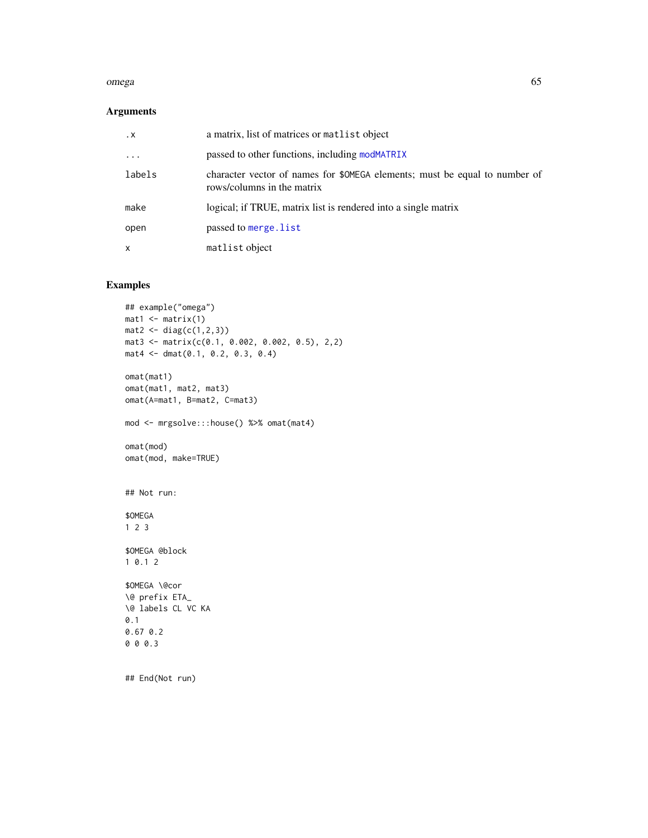#### omega 65

### Arguments

| $\cdot$ X  | a matrix, list of matrices or matrist object                                                             |
|------------|----------------------------------------------------------------------------------------------------------|
| $\ddots$ . | passed to other functions, including modMATRIX                                                           |
| labels     | character vector of names for \$0MEGA elements; must be equal to number of<br>rows/columns in the matrix |
| make       | logical; if TRUE, matrix list is rendered into a single matrix                                           |
| open       | passed to merge. list                                                                                    |
| x          | matlist object                                                                                           |

## Examples

```
## example("omega")
mat1 <- matrix(1)mat2 < - diag(c(1, 2, 3))mat3 <- matrix(c(0.1, 0.002, 0.002, 0.5), 2,2)
mat4 <- dmat(0.1, 0.2, 0.3, 0.4)
omat(mat1)
omat(mat1, mat2, mat3)
omat(A=mat1, B=mat2, C=mat3)
mod <- mrgsolve:::house() %>% omat(mat4)
omat(mod)
omat(mod, make=TRUE)
## Not run:
$OMEGA
1 2 3
$OMEGA @block
1 0.1 2
$OMEGA \@cor
\@ prefix ETA_
\@ labels CL VC KA
0.1
0.67 0.2
0 0 0.3
## End(Not run)
```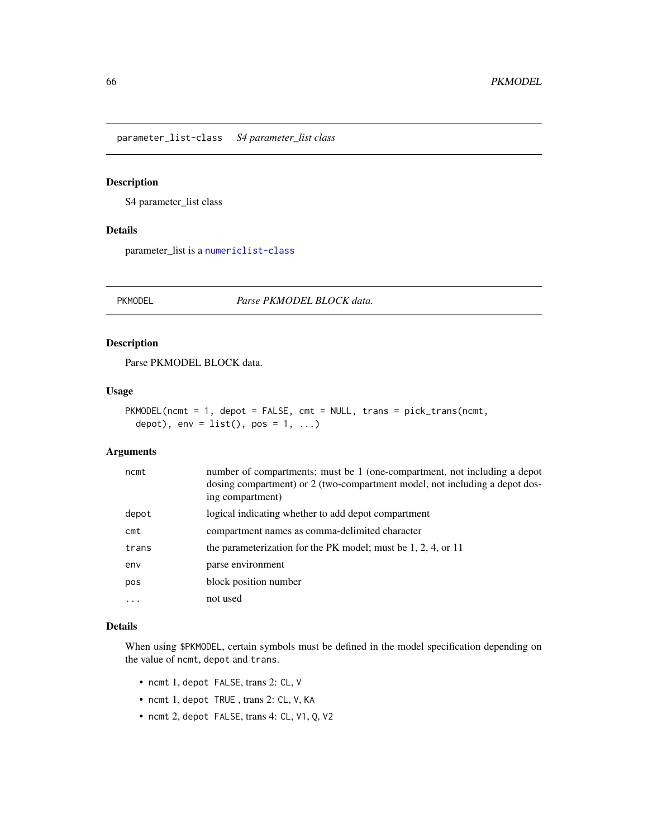parameter\_list-class *S4 parameter\_list class*

## Description

S4 parameter\_list class

### Details

parameter\_list is a [numericlist-class](#page-62-0)

<span id="page-65-0"></span>PKMODEL *Parse PKMODEL BLOCK data.*

### Description

Parse PKMODEL BLOCK data.

### Usage

```
PKMODEL(ncmt = 1, depot = FALSE, cmt = NULL, trans = pick_trans(ncmt,
  depot), env = list(), pos = 1, ...)
```
#### Arguments

| ncmt            | number of compartments; must be 1 (one-compartment, not including a depot<br>dosing compartment) or 2 (two-compartment model, not including a depot dos-<br>ing compartment) |
|-----------------|------------------------------------------------------------------------------------------------------------------------------------------------------------------------------|
| depot           | logical indicating whether to add depot compartment                                                                                                                          |
| $\mathsf{c}$ mt | compartment names as comma-delimited character                                                                                                                               |
| trans           | the parameterization for the PK model; must be $1, 2, 4$ , or $11$                                                                                                           |
| env             | parse environment                                                                                                                                                            |
| pos             | block position number                                                                                                                                                        |
| $\ddotsc$       | not used                                                                                                                                                                     |

### Details

When using \$PKMODEL, certain symbols must be defined in the model specification depending on the value of ncmt, depot and trans.

- ncmt 1, depot FALSE, trans 2: CL, V
- ncmt 1, depot TRUE , trans 2: CL, V, KA
- ncmt 2, depot FALSE, trans 4: CL, V1, Q, V2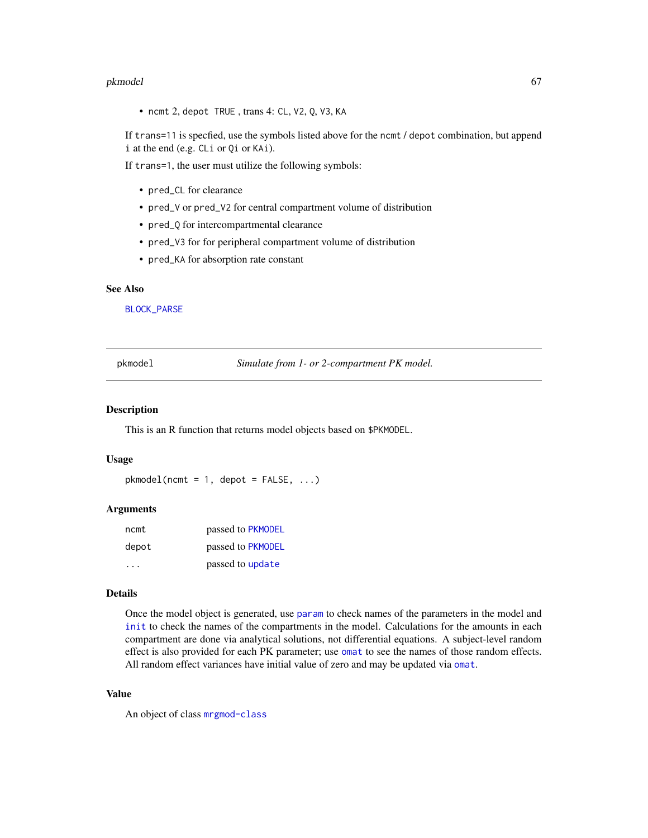#### pkmodel 67 and 67 and 67 and 67 and 67 and 67 and 67 and 67 and 67 and 67 and 67 and 67 and 67 and 67 and 67 and 67 and 67 and 67 and 67 and 67 and 67 and 67 and 67 and 67 and 67 and 67 and 67 and 67 and 67 and 67 and 67 a

• ncmt 2, depot TRUE , trans 4: CL, V2, Q, V3, KA

If trans=11 is specfied, use the symbols listed above for the ncmt / depot combination, but append i at the end (e.g. CLi or Qi or KAi).

If trans=1, the user must utilize the following symbols:

- pred\_CL for clearance
- pred\_V or pred\_V2 for central compartment volume of distribution
- pred\_Q for intercompartmental clearance
- pred\_V3 for for peripheral compartment volume of distribution
- pred\_KA for absorption rate constant

#### See Also

[BLOCK\\_PARSE](#page-9-0)

pkmodel *Simulate from 1- or 2-compartment PK model.*

#### Description

This is an R function that returns model objects based on \$PKMODEL.

### Usage

 $pkmodel(ncnt = 1, depot = FALSE, ...)$ 

#### Arguments

| ncmt  | passed to PKMODEL |
|-------|-------------------|
| depot | passed to PKMODEL |
|       | passed to update  |

### Details

Once the model object is generated, use [param](#page-85-0) to check names of the parameters in the model and [init](#page-29-0) to check the names of the compartments in the model. Calculations for the amounts in each compartment are done via analytical solutions, not differential equations. A subject-level random effect is also provided for each PK parameter; use [omat](#page-63-0) to see the names of those random effects. All random effect variances have initial value of zero and may be updated via [omat](#page-63-0).

### Value

An object of class [mrgmod-class](#page-48-0)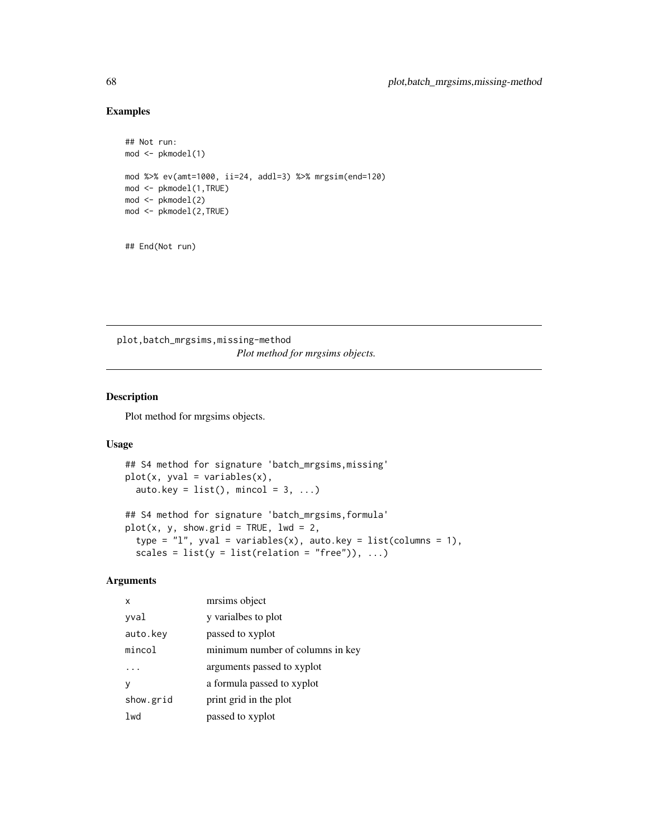# Examples

```
## Not run:
mod < -pkmodel(1)
mod %>% ev(amt=1000, ii=24, addl=3) %>% mrgsim(end=120)
mod <- pkmodel(1,TRUE)
mod <- pkmodel(2)
mod <- pkmodel(2,TRUE)
```
## End(Not run)

plot,batch\_mrgsims,missing-method *Plot method for mrgsims objects.*

## Description

Plot method for mrgsims objects.

#### Usage

```
## S4 method for signature 'batch_mrgsims,missing'
plot(x, yval = variables(x),auto.key = list(), mincol = 3, ...)
## S4 method for signature 'batch_mrgsims,formula'
plot(x, y, show.grid = TRUE, lwd = 2,type = "l", yval = variables(x), auto.key = list(columns = 1),
```
scales =  $list(y = list(relation = "free"))$ , ...)

#### Arguments

| x         | mrsims object                    |
|-----------|----------------------------------|
| yval      | y varialbes to plot              |
| auto.key  | passed to xyplot                 |
| mincol    | minimum number of columns in key |
|           | arguments passed to xyplot       |
|           | a formula passed to xyplot       |
| show.grid | print grid in the plot           |
| lwd       | passed to xyplot                 |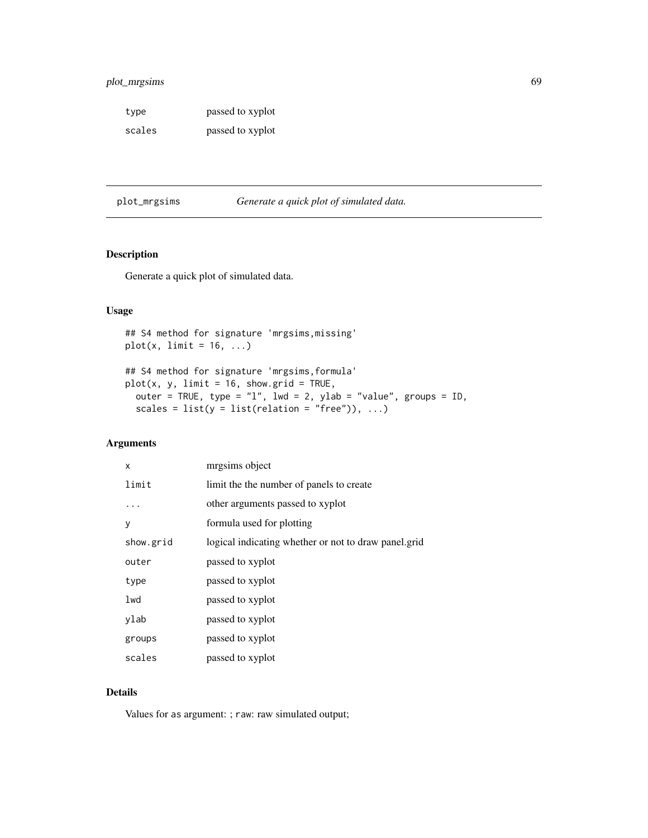## plot\_mrgsims 69

type passed to xyplot scales passed to xyplot

<span id="page-68-0"></span>plot\_mrgsims *Generate a quick plot of simulated data.*

## Description

Generate a quick plot of simulated data.

### Usage

```
## S4 method for signature 'mrgsims,missing'
plot(x, limit = 16, ...)## S4 method for signature 'mrgsims,formula'
plot(x, y, limit = 16, show.grid = TRUE,outer = TRUE, type = "l", lwd = 2, ylab = "value", groups = ID,
  scales = list(y = list(relation = "free")), ...)
```
### Arguments

| X         | mrgsims object                                       |
|-----------|------------------------------------------------------|
| limit     | limit the the number of panels to create             |
|           | other arguments passed to xyplot                     |
| y         | formula used for plotting                            |
| show.grid | logical indicating whether or not to draw panel.grid |
| outer     | passed to xyplot                                     |
| type      | passed to xyplot                                     |
| lwd       | passed to xyplot                                     |
| ylab      | passed to xyplot                                     |
| groups    | passed to xyplot                                     |
| scales    | passed to xyplot                                     |

### Details

Values for as argument: ; raw: raw simulated output;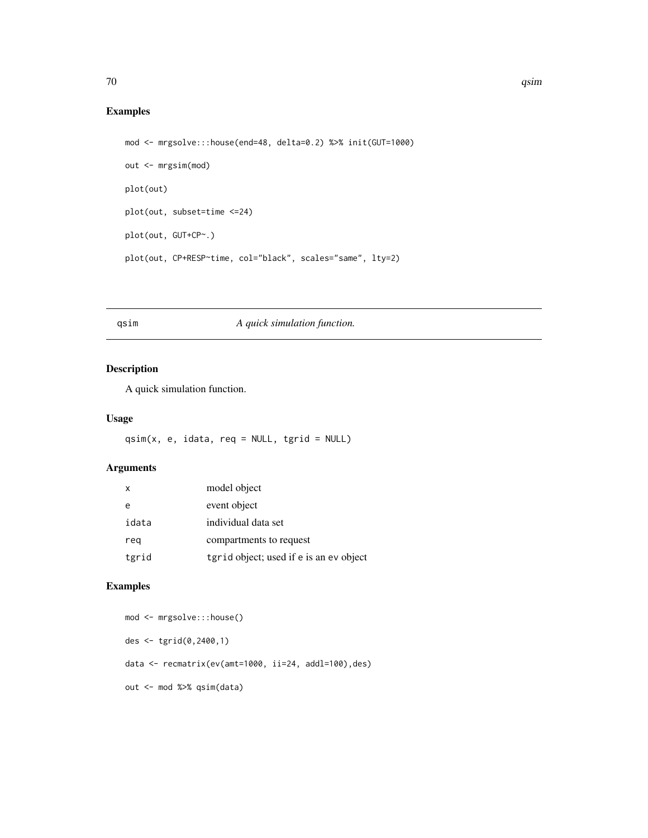# Examples

```
mod <- mrgsolve:::house(end=48, delta=0.2) %>% init(GUT=1000)
out <- mrgsim(mod)
plot(out)
plot(out, subset=time <=24)
plot(out, GUT+CP~.)
plot(out, CP+RESP~time, col="black", scales="same", lty=2)
```
## <span id="page-69-0"></span>qsim *A quick simulation function.*

## Description

A quick simulation function.

### Usage

qsim(x, e, idata, req = NULL, tgrid = NULL)

#### Arguments

| $\mathsf{x}$ | model object                            |
|--------------|-----------------------------------------|
| e            | event object                            |
| idata        | individual data set                     |
| reg          | compartments to request                 |
| tgrid        | tgrid object; used if e is an ev object |

## Examples

```
mod <- mrgsolve:::house()
des <- tgrid(0,2400,1)
data <- recmatrix(ev(amt=1000, ii=24, addl=100),des)
out <- mod %>% qsim(data)
```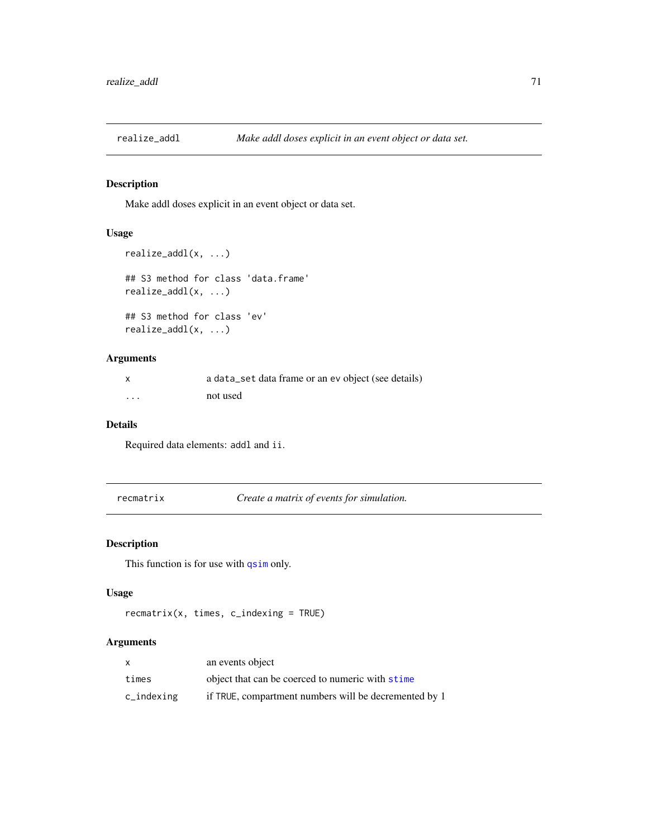Make addl doses explicit in an event object or data set.

# Usage

```
realize_addl(x, ...)
## S3 method for class 'data.frame'
realize_addl(x, ...)
## S3 method for class 'ev'
realize_addl(x, ...)
```
## Arguments

|          | a data_set data frame or an ev object (see details) |
|----------|-----------------------------------------------------|
| $\cdots$ | not used                                            |

#### Details

Required data elements: addl and ii.

recmatrix *Create a matrix of events for simulation.*

## Description

This function is for use with [qsim](#page-69-0) only.

## Usage

```
recmatrix(x, times, c_indexing = TRUE)
```
### Arguments

|            | an events object                                      |
|------------|-------------------------------------------------------|
| times      | object that can be coerced to numeric with stime      |
| c_indexing | if TRUE, compartment numbers will be decremented by 1 |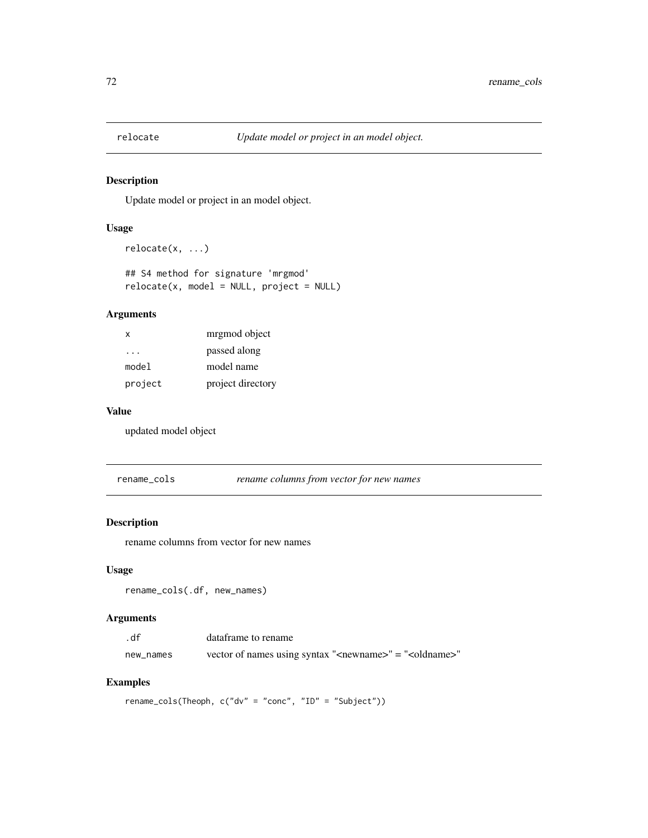Update model or project in an model object.

### Usage

```
relocate(x, ...)
## S4 method for signature 'mrgmod'
```

```
relocate(x, model = NULL, project = NULL)
```
# Arguments

| X       | mrgmod object     |
|---------|-------------------|
| .       | passed along      |
| model   | model name        |
| project | project directory |

### Value

updated model object

rename\_cols *rename columns from vector for new names*

# Description

rename columns from vector for new names

## Usage

rename\_cols(.df, new\_names)

### Arguments

| .df       | dataframe to rename                                                         |
|-----------|-----------------------------------------------------------------------------|
| new names | vector of names using syntax " <newname>" = "<oldname>"</oldname></newname> |

### Examples

rename\_cols(Theoph, c("dv" = "conc", "ID" = "Subject"))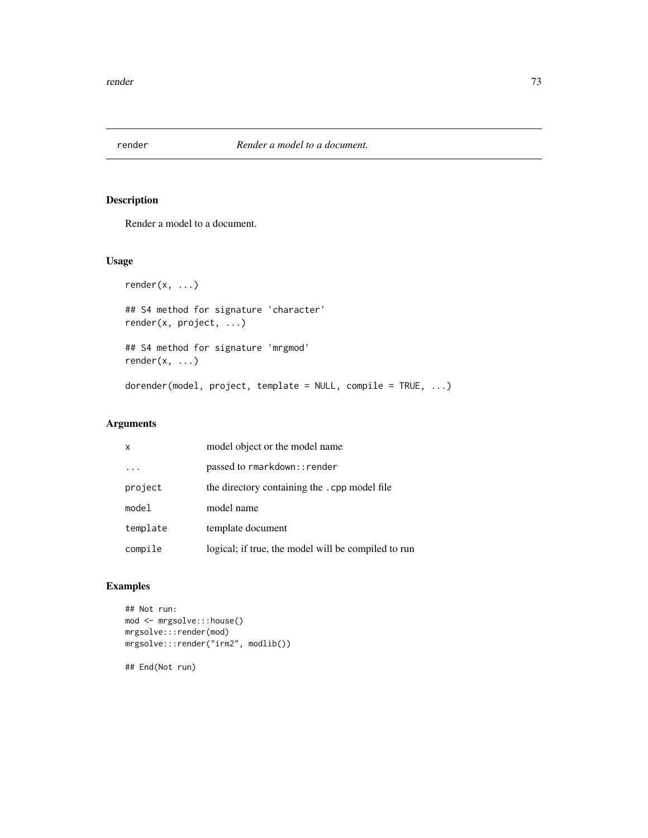<span id="page-72-0"></span>

Render a model to a document.

# Usage

```
render(x, ...)
## S4 method for signature 'character'
render(x, project, ...)
## S4 method for signature 'mrgmod'
render(x, ...)dorender(model, project, template = NULL, compile = TRUE, ...)
```
## Arguments

| $\boldsymbol{\mathsf{x}}$ | model object or the model name                      |
|---------------------------|-----------------------------------------------------|
|                           | passed to rmarkdown:: render                        |
| project                   | the directory containing the .cpp model file        |
| model                     | model name                                          |
| template                  | template document                                   |
| compile                   | logical; if true, the model will be compiled to run |

## Examples

```
## Not run:
mod <- mrgsolve:::house()
mrgsolve:::render(mod)
mrgsolve:::render("irm2", modlib())
```
## End(Not run)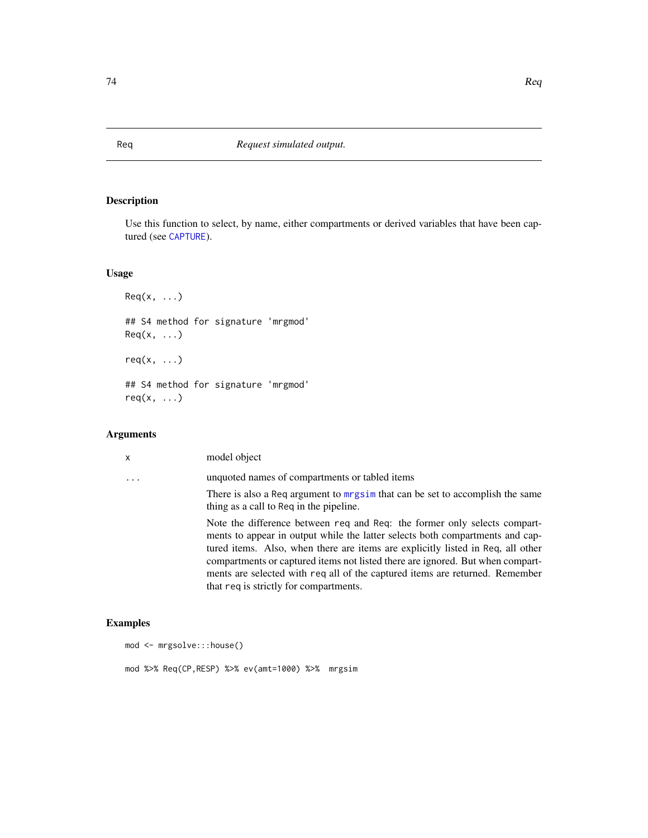Use this function to select, by name, either compartments or derived variables that have been captured (see [CAPTURE](#page-9-0)).

# Usage

```
Req(x, \ldots)## S4 method for signature 'mrgmod'
Req(x, ...)req(x, \ldots)## S4 method for signature 'mrgmod'
req(x, ...)
```
## Arguments

| $\mathsf{x}$      | model object                                                                                                                                                                                                                                                                                                                                                                                                                                              |
|-------------------|-----------------------------------------------------------------------------------------------------------------------------------------------------------------------------------------------------------------------------------------------------------------------------------------------------------------------------------------------------------------------------------------------------------------------------------------------------------|
| $\cdot\cdot\cdot$ | unquoted names of compartments or tabled items                                                                                                                                                                                                                                                                                                                                                                                                            |
|                   | There is also a Req argument to mrgsim that can be set to accomplish the same<br>thing as a call to Req in the pipeline.                                                                                                                                                                                                                                                                                                                                  |
|                   | Note the difference between req and Req: the former only selects compart-<br>ments to appear in output while the latter selects both compartments and cap-<br>tured items. Also, when there are items are explicitly listed in Req, all other<br>compartments or captured items not listed there are ignored. But when compart-<br>ments are selected with req all of the captured items are returned. Remember<br>that req is strictly for compartments. |

# Examples

```
mod <- mrgsolve:::house()
mod %>% Req(CP,RESP) %>% ev(amt=1000) %>% mrgsim
```
<span id="page-73-0"></span>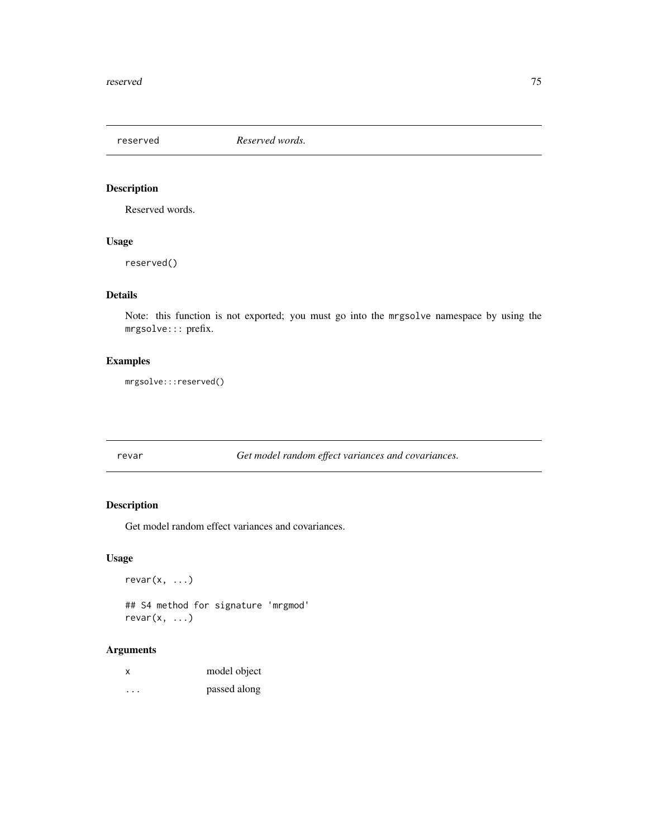<span id="page-74-0"></span>reserved *Reserved words.*

## Description

Reserved words.

## Usage

reserved()

# Details

Note: this function is not exported; you must go into the mrgsolve namespace by using the mrgsolve::: prefix.

# Examples

mrgsolve:::reserved()

revar *Get model random effect variances and covariances.*

## Description

Get model random effect variances and covariances.

# Usage

 $revar(x, \ldots)$ 

## S4 method for signature 'mrgmod' revar(x, ...)

## Arguments

| x | model object |
|---|--------------|
| . | passed along |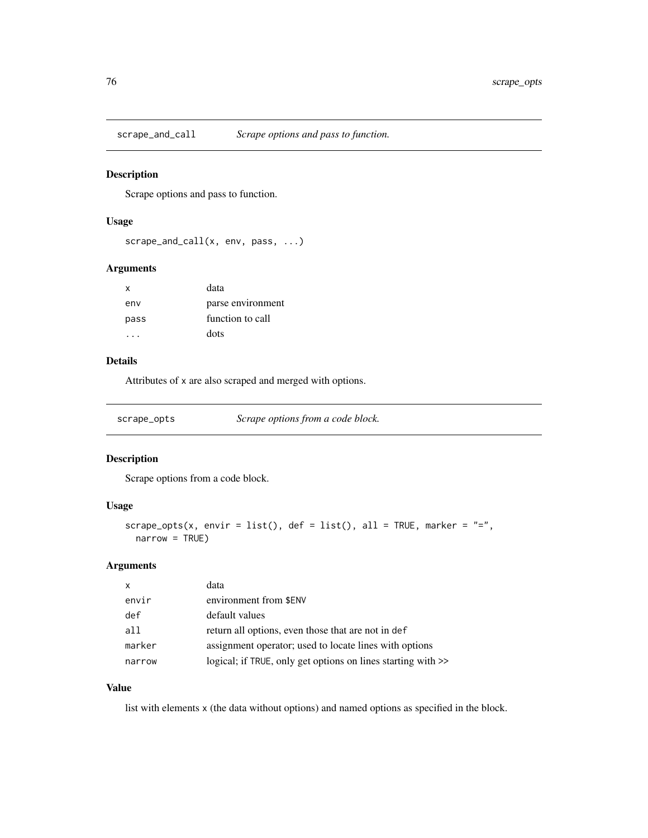<span id="page-75-0"></span>

Scrape options and pass to function.

## Usage

```
scrape_and_call(x, env, pass, ...)
```
## Arguments

| x    | data              |
|------|-------------------|
| env  | parse environment |
| pass | function to call  |
|      | dots              |

## Details

Attributes of x are also scraped and merged with options.

| scrape_opts | Scrape options from a code block. |
|-------------|-----------------------------------|
|             |                                   |

## Description

Scrape options from a code block.

## Usage

```
scrape_opts(x, envir = list(), def = list(), all = TRUE, marker = "=",
 narrow = TRUE)
```
## Arguments

| $\mathsf{x}$ | data                                                         |
|--------------|--------------------------------------------------------------|
| envir        | environment from \$ENV                                       |
| def          | default values                                               |
| a11          | return all options, even those that are not in def           |
| marker       | assignment operator; used to locate lines with options       |
| narrow       | logical; if TRUE, only get options on lines starting with >> |

## Value

list with elements x (the data without options) and named options as specified in the block.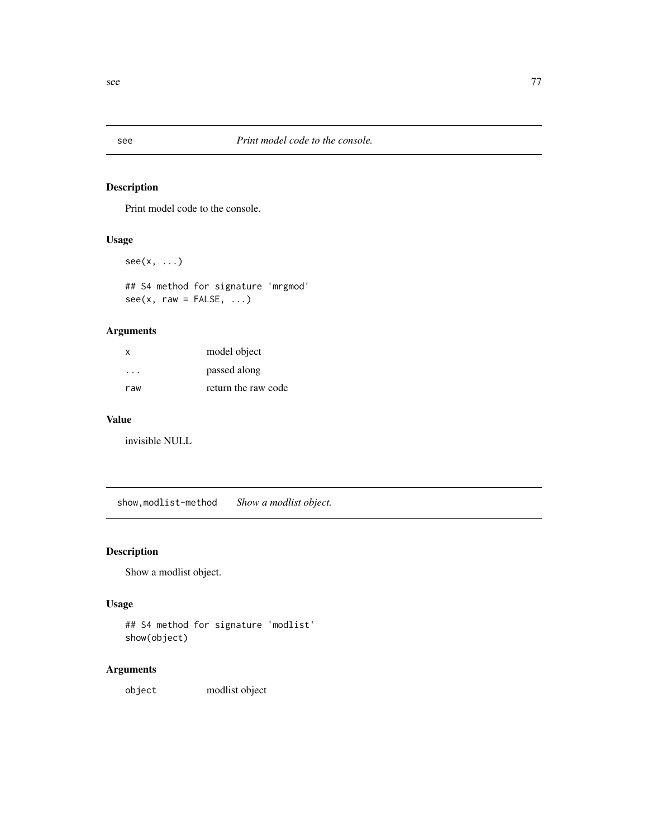<span id="page-76-0"></span>

Print model code to the console.

## Usage

 $see(x, \ldots)$ 

## S4 method for signature 'mrgmod'  $see(x, raw = FALSE, ...)$ 

## Arguments

| X   | model object        |
|-----|---------------------|
| .   | passed along        |
| raw | return the raw code |

## Value

invisible NULL

show,modlist-method *Show a modlist object.*

## Description

Show a modlist object.

#### Usage

## S4 method for signature 'modlist' show(object)

## Arguments

object modlist object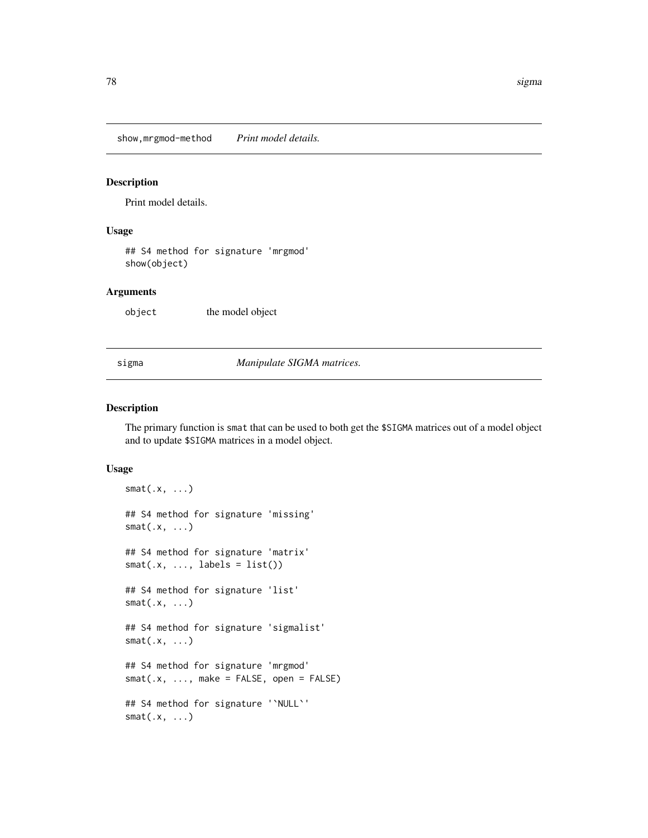<span id="page-77-0"></span>show,mrgmod-method *Print model details.*

## Description

Print model details.

#### Usage

## S4 method for signature 'mrgmod' show(object)

#### Arguments

object the model object

sigma *Manipulate SIGMA matrices.*

### Description

The primary function is smat that can be used to both get the \$SIGMA matrices out of a model object and to update \$SIGMA matrices in a model object.

#### Usage

```
smat(.x, \ldots)## S4 method for signature 'missing'
smat(.x, \ldots)## S4 method for signature 'matrix'
smat(x, ..., labels = list())## S4 method for signature 'list'
smat(.x, \ldots)## S4 method for signature 'sigmalist'
smat(.x, \ldots)## S4 method for signature 'mrgmod'
smat(x, ..., make = FALSE, open = FALSE)## S4 method for signature '`NULL`'
smat(.x, \ldots)
```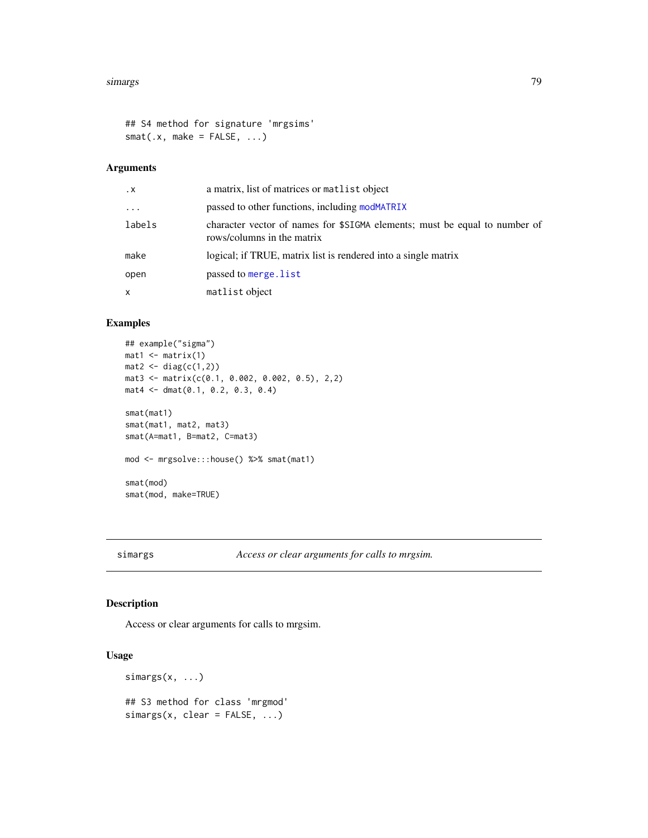#### <span id="page-78-0"></span>simargs **79**

```
## S4 method for signature 'mrgsims'
smat(x, make = FALSE, ...)
```
## Arguments

| $\cdot$ X | a matrix, list of matrices or matrix object                                                              |
|-----------|----------------------------------------------------------------------------------------------------------|
| $\cdots$  | passed to other functions, including modMATRIX                                                           |
| labels    | character vector of names for \$SIGMA elements; must be equal to number of<br>rows/columns in the matrix |
| make      | logical; if TRUE, matrix list is rendered into a single matrix                                           |
| open      | passed to merge. list                                                                                    |
| x         | matlist object                                                                                           |
|           |                                                                                                          |

## Examples

```
## example("sigma")
mat1 <- matrix(1)mat2 < - diag(c(1,2))mat3 <- matrix(c(0.1, 0.002, 0.002, 0.5), 2,2)
mat4 <- dmat(0.1, 0.2, 0.3, 0.4)
smat(mat1)
smat(mat1, mat2, mat3)
smat(A=mat1, B=mat2, C=mat3)
mod <- mrgsolve:::house() %>% smat(mat1)
smat(mod)
smat(mod, make=TRUE)
```
simargs *Access or clear arguments for calls to mrgsim.*

## Description

Access or clear arguments for calls to mrgsim.

#### Usage

simargs(x, ...) ## S3 method for class 'mrgmod'  $simargs(x, clear = FALSE, ...)$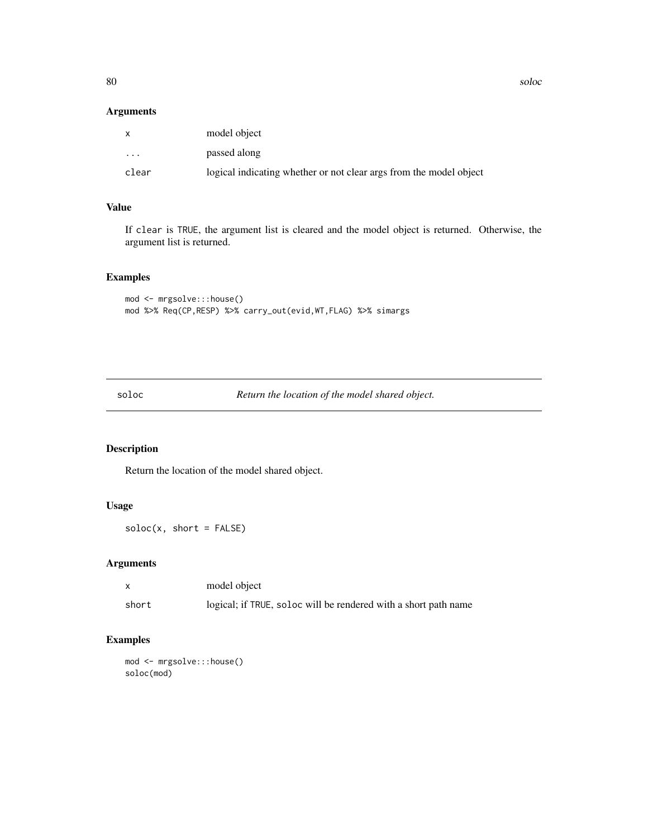<span id="page-79-0"></span>80 solocides and the solocides of the solocides of the solocides of the solocides of the solocides of the solocides of the solocides of the solocides of the solocides of the solocides of the solocides of the solocides of t

#### Arguments

| $\mathsf{X}$            | model object                                                       |
|-------------------------|--------------------------------------------------------------------|
| $\cdot$ $\cdot$ $\cdot$ | passed along                                                       |
| clear                   | logical indicating whether or not clear args from the model object |

## Value

If clear is TRUE, the argument list is cleared and the model object is returned. Otherwise, the argument list is returned.

## Examples

```
mod <- mrgsolve:::house()
mod %>% Req(CP,RESP) %>% carry_out(evid,WT,FLAG) %>% simargs
```
soloc *Return the location of the model shared object.*

## Description

Return the location of the model shared object.

## Usage

 $soloc(x, short = FALSE)$ 

## Arguments

| $\mathsf{x}$ | model object                                                    |
|--------------|-----------------------------------------------------------------|
| short        | logical; if TRUE, soloc will be rendered with a short path name |

## Examples

mod <- mrgsolve:::house() soloc(mod)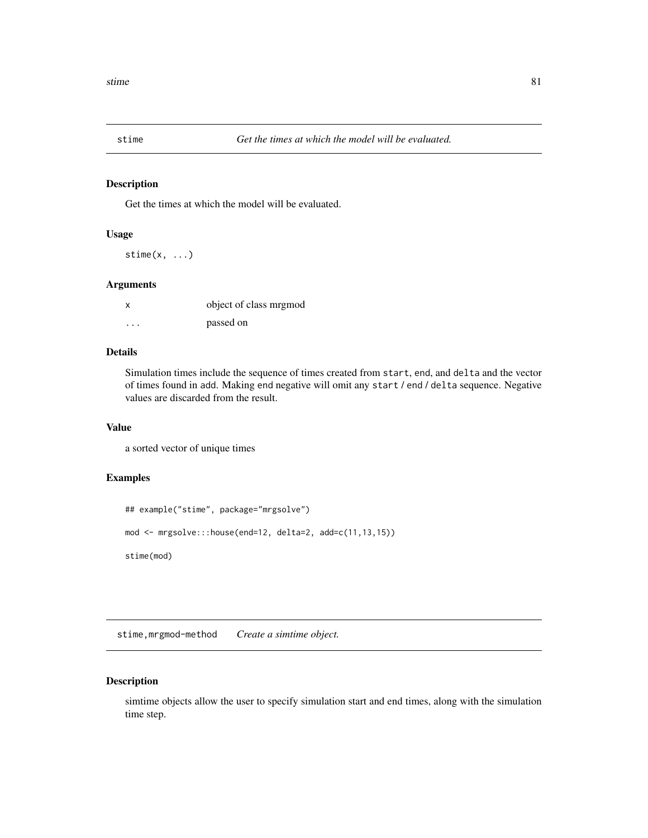<span id="page-80-0"></span>

Get the times at which the model will be evaluated.

## Usage

stime $(x, \ldots)$ 

## Arguments

| x                    | object of class mrgmod |
|----------------------|------------------------|
| $\ddot{\phantom{0}}$ | passed on              |

### Details

Simulation times include the sequence of times created from start, end, and delta and the vector of times found in add. Making end negative will omit any start / end / delta sequence. Negative values are discarded from the result.

## Value

a sorted vector of unique times

## Examples

```
## example("stime", package="mrgsolve")
mod <- mrgsolve:::house(end=12, delta=2, add=c(11,13,15))
stime(mod)
```
stime,mrgmod-method *Create a simtime object.*

## Description

simtime objects allow the user to specify simulation start and end times, along with the simulation time step.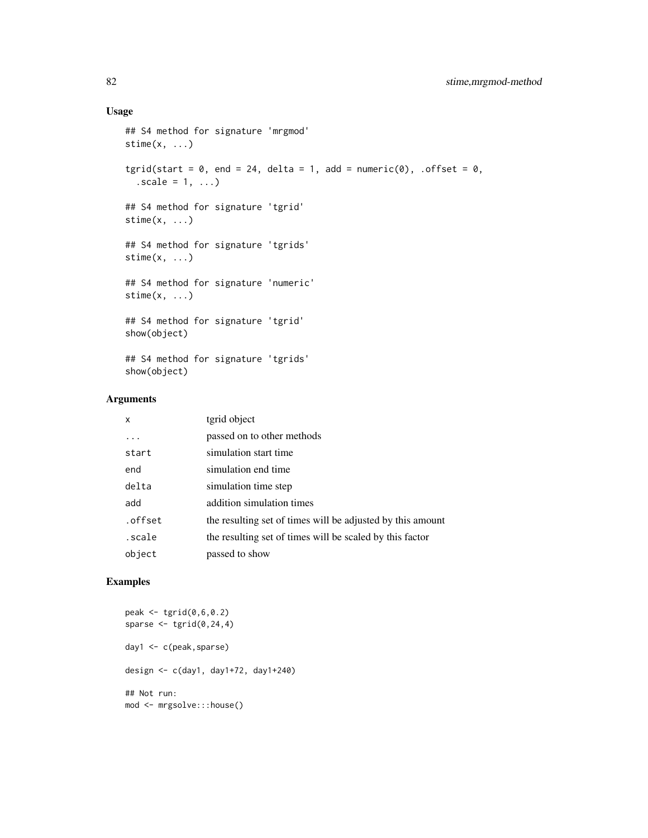## Usage

```
## S4 method for signature 'mrgmod'
stime(x, \ldots)tgrid(start = 0, end = 24, delta = 1, add = numeric(0), .offset = 0,
  scale = 1, ...## S4 method for signature 'tgrid'
stime(x, \ldots)## S4 method for signature 'tgrids'
stime(x, \ldots)## S4 method for signature 'numeric'
stime(x, \ldots)## S4 method for signature 'tgrid'
show(object)
## S4 method for signature 'tgrids'
show(object)
```
### Arguments

| X       | tgrid object                                               |
|---------|------------------------------------------------------------|
|         | passed on to other methods                                 |
| start   | simulation start time                                      |
| end     | simulation end time                                        |
| delta   | simulation time step                                       |
| add     | addition simulation times                                  |
| .offset | the resulting set of times will be adjusted by this amount |
| scale.  | the resulting set of times will be scaled by this factor   |
| object  | passed to show                                             |

## Examples

```
peak <- tgrid(0,6,0.2)
sparse \leq tgrid(0, 24, 4)day1 <- c(peak,sparse)
design <- c(day1, day1+72, day1+240)
## Not run:
mod <- mrgsolve:::house()
```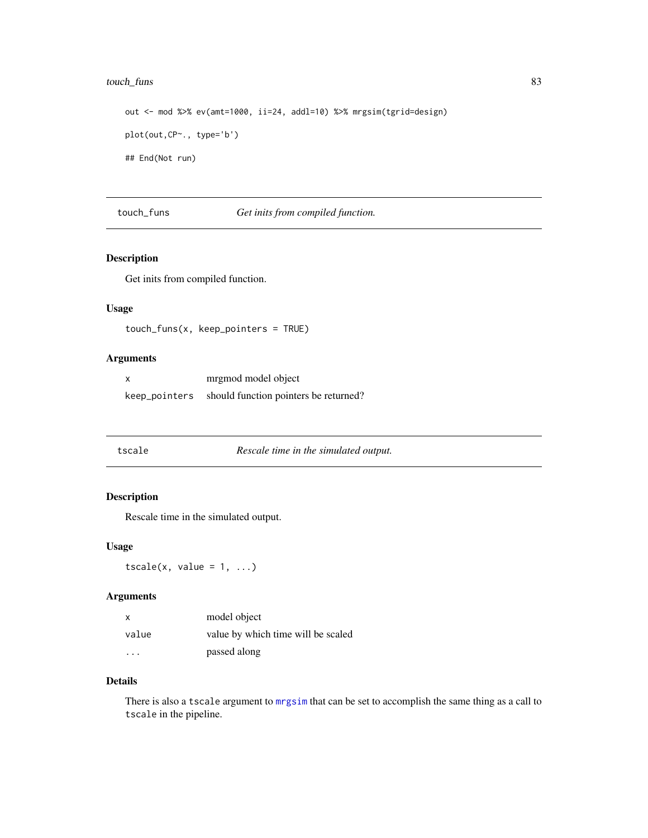## <span id="page-82-0"></span>touch\_funs 83

out <- mod %>% ev(amt=1000, ii=24, addl=10) %>% mrgsim(tgrid=design) plot(out,CP~., type='b') ## End(Not run)

touch\_funs *Get inits from compiled function.*

# Description

Get inits from compiled function.

## Usage

```
touch_funs(x, keep_pointers = TRUE)
```
## Arguments

| mrgmod model object                                 |
|-----------------------------------------------------|
| keep_pointers should function pointers be returned? |

|--|

## e Rescale *time in the simulated output.*

## Description

Rescale time in the simulated output.

#### Usage

 $tscale(x, value = 1, ...)$ 

#### Arguments

| X     | model object                       |
|-------|------------------------------------|
| value | value by which time will be scaled |
|       | passed along                       |

## Details

There is also a tscale argument to [mrgsim](#page-49-0) that can be set to accomplish the same thing as a call to tscale in the pipeline.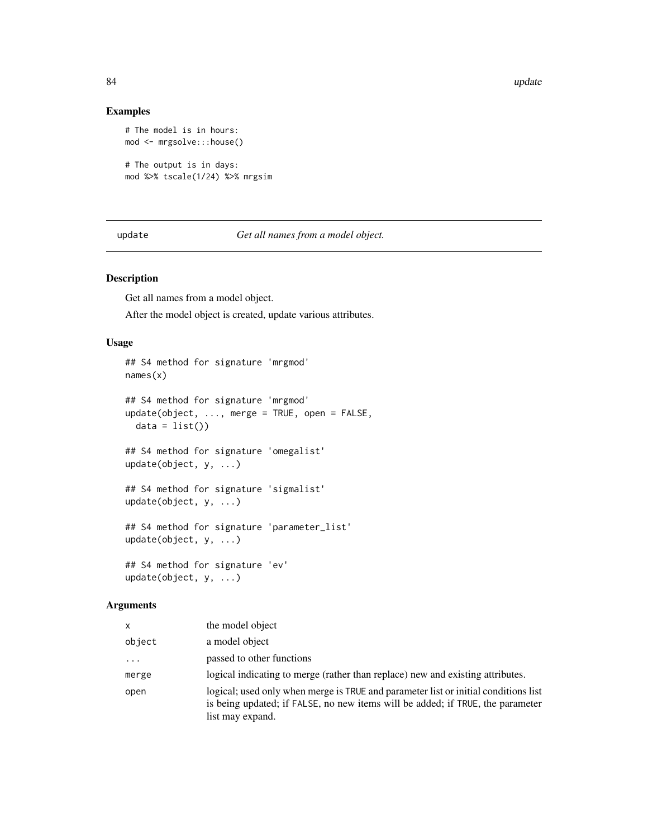## Examples

```
# The model is in hours:
mod <- mrgsolve:::house()
# The output is in days:
mod %>% tscale(1/24) %>% mrgsim
```
update *Get all names from a model object.*

## Description

Get all names from a model object.

After the model object is created, update various attributes.

## Usage

```
## S4 method for signature 'mrgmod'
names(x)
## S4 method for signature 'mrgmod'
update(object, ..., merge = TRUE, open = FALSE,
 data = list()## S4 method for signature 'omegalist'
update(object, y, ...)
## S4 method for signature 'sigmalist'
update(object, y, ...)
## S4 method for signature 'parameter_list'
update(object, y, ...)
## S4 method for signature 'ev'
update(object, y, ...)
```
## Arguments

| x        | the model object                                                                                                                                                                          |
|----------|-------------------------------------------------------------------------------------------------------------------------------------------------------------------------------------------|
| object   | a model object                                                                                                                                                                            |
| $\cdots$ | passed to other functions                                                                                                                                                                 |
| merge    | logical indicating to merge (rather than replace) new and existing attributes.                                                                                                            |
| open     | logical; used only when merge is TRUE and parameter list or initial conditions list<br>is being updated; if FALSE, no new items will be added; if TRUE, the parameter<br>list may expand. |

<span id="page-83-0"></span>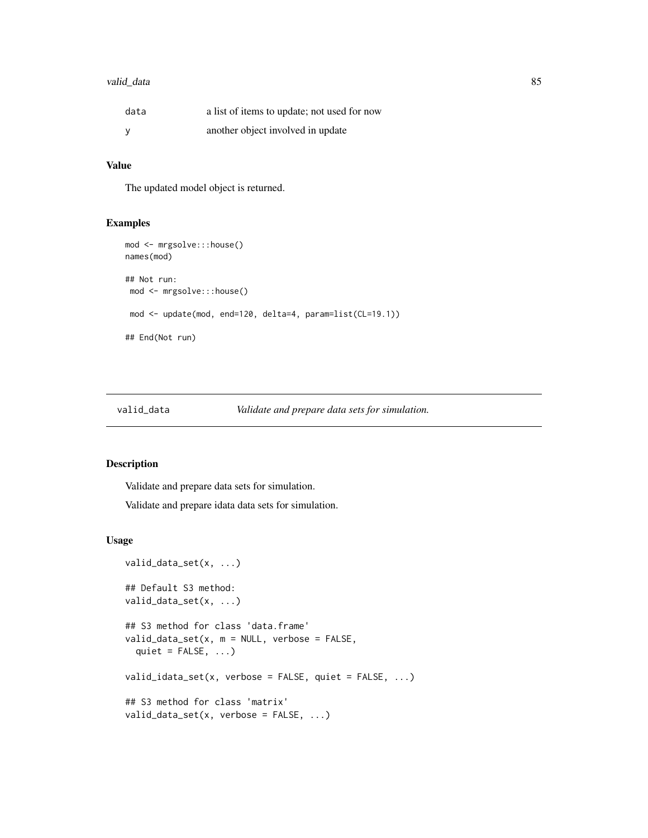## <span id="page-84-1"></span>valid\_data 85

| data | a list of items to update; not used for now |
|------|---------------------------------------------|
|      | another object involved in update           |

## Value

The updated model object is returned.

#### Examples

```
mod <- mrgsolve:::house()
names(mod)
## Not run:
mod <- mrgsolve:::house()
 mod <- update(mod, end=120, delta=4, param=list(CL=19.1))
## End(Not run)
```
valid\_data *Validate and prepare data sets for simulation.*

#### <span id="page-84-0"></span>Description

Validate and prepare data sets for simulation.

Validate and prepare idata data sets for simulation.

#### Usage

```
valid_data_set(x, ...)
## Default S3 method:
valid_data_set(x, ...)
## S3 method for class 'data.frame'
valid\_data\_set(x, m = NULL, verbose = FALSE,quiet = FALSE, ...)valid_idata_set(x, verbose = FALSE, quiet = FALSE, \ldots)
## S3 method for class 'matrix'
valid_data_set(x, verbose = FALSE, ...)
```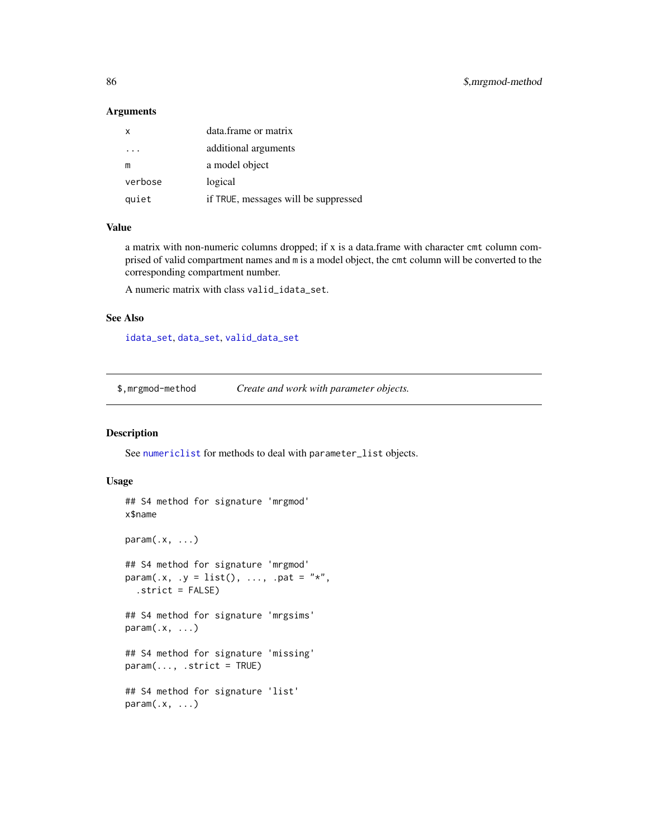#### <span id="page-85-0"></span>Arguments

| x       | data.frame or matrix                 |
|---------|--------------------------------------|
|         | additional arguments                 |
| m       | a model object                       |
| verbose | logical                              |
| quiet   | if TRUE, messages will be suppressed |

#### Value

a matrix with non-numeric columns dropped; if x is a data.frame with character cmt column comprised of valid compartment names and m is a model object, the cmt column will be converted to the corresponding compartment number.

A numeric matrix with class valid\_idata\_set.

#### See Also

[idata\\_set](#page-28-0), [data\\_set](#page-16-0), [valid\\_data\\_set](#page-84-0)

\$,mrgmod-method *Create and work with parameter objects.*

#### Description

See [numericlist](#page-61-0) for methods to deal with parameter\_list objects.

#### Usage

```
## S4 method for signature 'mrgmod'
x$name
param(x, \ldots)## S4 method for signature 'mrgmod'
param(x, y = list(), ..., part = "*",.strict = FALSE)
## S4 method for signature 'mrgsims'
param(x, ...)## S4 method for signature 'missing'
param(..., .strict = TRUE)## S4 method for signature 'list'
param(.x, ...)
```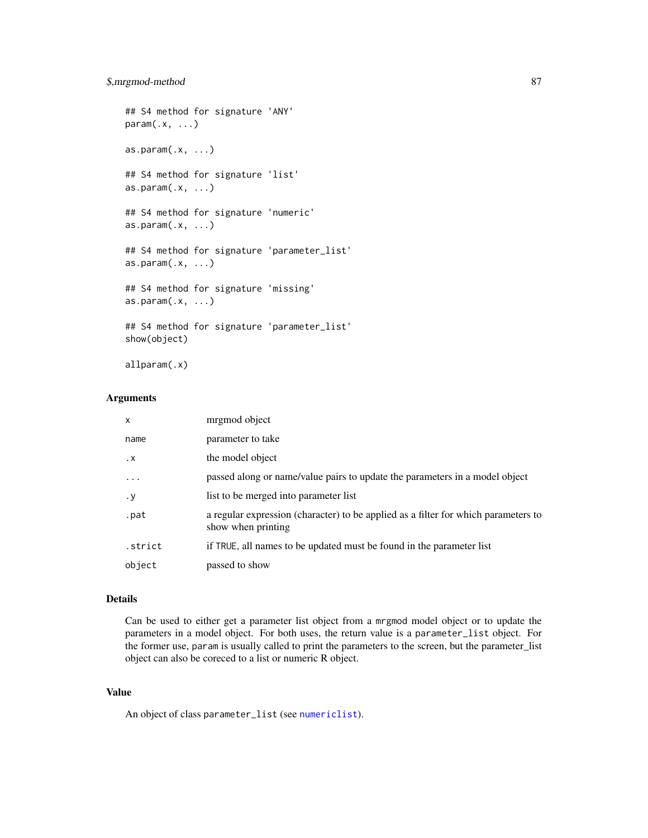```
## S4 method for signature 'ANY'
param(x, \ldots)as.param(.x, ...)## S4 method for signature 'list'
as.param(.x, ...)## S4 method for signature 'numeric'
as.param(.x, ...)## S4 method for signature 'parameter_list'
as.param(.x, ...)## S4 method for signature 'missing'
as.param(.x, ...)## S4 method for signature 'parameter_list'
show(object)
```
allparam(.x)

#### Arguments

| X                 | mrgmod object                                                                                            |
|-------------------|----------------------------------------------------------------------------------------------------------|
| name              | parameter to take                                                                                        |
| $\cdot$ X         | the model object                                                                                         |
| $\cdot\cdot\cdot$ | passed along or name/value pairs to update the parameters in a model object                              |
| $\cdot y$         | list to be merged into parameter list                                                                    |
| .pat              | a regular expression (character) to be applied as a filter for which parameters to<br>show when printing |
| .strict           | if TRUE, all names to be updated must be found in the parameter list                                     |
| object            | passed to show                                                                                           |

## Details

Can be used to either get a parameter list object from a mrgmod model object or to update the parameters in a model object. For both uses, the return value is a parameter\_list object. For the former use, param is usually called to print the parameters to the screen, but the parameter\_list object can also be coreced to a list or numeric R object.

## Value

An object of class parameter\_list (see [numericlist](#page-61-0)).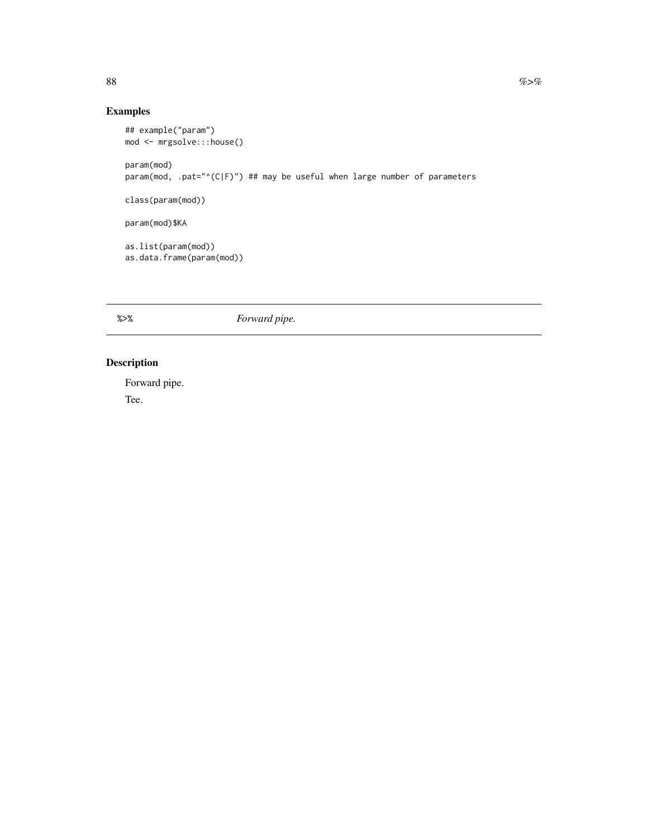## Examples

```
## example("param")
mod <- mrgsolve:::house()
param(mod)
param(mod, .pat="^(C|F)") ## may be useful when large number of parameters
class(param(mod))
param(mod)$KA
as.list(param(mod))
as.data.frame(param(mod))
```
%>% *Forward pipe.*

# Description

Forward pipe. Tee.

<span id="page-87-0"></span>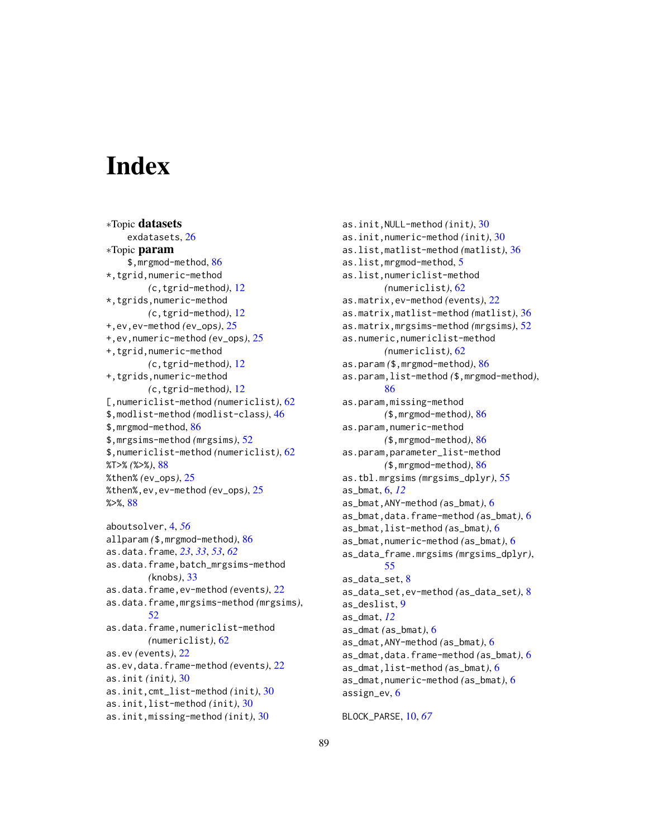# **Index**

∗Topic datasets exdatasets, [26](#page-25-0) ∗Topic param \$,mrgmod-method, [86](#page-85-0) \*,tgrid,numeric-method *(*c,tgrid-method*)*, [12](#page-11-0) \*,tgrids,numeric-method *(*c,tgrid-method*)*, [12](#page-11-0) +,ev,ev-method *(*ev\_ops*)*, [25](#page-24-0) +,ev,numeric-method *(*ev\_ops*)*, [25](#page-24-0) +,tgrid,numeric-method *(*c,tgrid-method*)*, [12](#page-11-0) +,tgrids,numeric-method *(*c,tgrid-method*)*, [12](#page-11-0) [,numericlist-method *(*numericlist*)*, [62](#page-61-1) \$,modlist-method *(*modlist-class*)*, [46](#page-45-0) \$,mrgmod-method, [86](#page-85-0) \$,mrgsims-method *(*mrgsims*)*, [52](#page-51-0) \$,numericlist-method *(*numericlist*)*, [62](#page-61-1) %T>% *(*%>%*)*, [88](#page-87-0) %then% *(*ev\_ops*)*, [25](#page-24-0) %then%,ev,ev-method *(*ev\_ops*)*, [25](#page-24-0) %>%, [88](#page-87-0) aboutsolver, [4,](#page-3-0) *[56](#page-55-0)* allparam *(*\$,mrgmod-method*)*, [86](#page-85-0) as.data.frame, *[23](#page-22-0)*, *[33](#page-32-0)*, *[53](#page-52-0)*, *[62](#page-61-1)* as.data.frame,batch\_mrgsims-method *(*knobs*)*, [33](#page-32-0) as.data.frame,ev-method *(*events*)*, [22](#page-21-0) as.data.frame,mrgsims-method *(*mrgsims*)*, [52](#page-51-0) as.data.frame,numericlist-method *(*numericlist*)*, [62](#page-61-1) as.ev *(*events*)*, [22](#page-21-0) as.ev,data.frame-method *(*events*)*, [22](#page-21-0) as.init *(*init*)*, [30](#page-29-0)

as.init,cmt\_list-method *(*init*)*, [30](#page-29-0)

```
as.init,list-method (init), 30
```

```
as.init,missing-method (init), 30
```
as.init,NULL-method *(*init*)*, [30](#page-29-0) as.init,numeric-method *(*init*)*, [30](#page-29-0) as.list,matlist-method *(*matlist*)*, [36](#page-35-0) as.list,mrgmod-method, [5](#page-4-0) as.list,numericlist-method *(*numericlist*)*, [62](#page-61-1) as.matrix,ev-method *(*events*)*, [22](#page-21-0) as.matrix,matlist-method *(*matlist*)*, [36](#page-35-0) as.matrix,mrgsims-method *(*mrgsims*)*, [52](#page-51-0) as.numeric,numericlist-method *(*numericlist*)*, [62](#page-61-1) as.param *(*\$,mrgmod-method*)*, [86](#page-85-0) as.param,list-method *(*\$,mrgmod-method*)*, [86](#page-85-0) as.param,missing-method *(*\$,mrgmod-method*)*, [86](#page-85-0) as.param,numeric-method *(*\$,mrgmod-method*)*, [86](#page-85-0) as.param,parameter\_list-method *(*\$,mrgmod-method*)*, [86](#page-85-0) as.tbl.mrgsims *(*mrgsims\_dplyr*)*, [55](#page-54-0) as\_bmat, [6,](#page-5-0) *[12](#page-11-0)* as\_bmat,ANY-method *(*as\_bmat*)*, [6](#page-5-0) as\_bmat,data.frame-method *(*as\_bmat*)*, [6](#page-5-0) as\_bmat,list-method *(*as\_bmat*)*, [6](#page-5-0) as\_bmat,numeric-method *(*as\_bmat*)*, [6](#page-5-0) as\_data\_frame.mrgsims *(*mrgsims\_dplyr*)*, [55](#page-54-0) as\_data\_set, [8](#page-7-0) as\_data\_set,ev-method *(*as\_data\_set*)*, [8](#page-7-0) as\_deslist, [9](#page-8-0) as\_dmat, *[12](#page-11-0)* as\_dmat *(*as\_bmat*)*, [6](#page-5-0) as\_dmat,ANY-method *(*as\_bmat*)*, [6](#page-5-0) as\_dmat,data.frame-method *(*as\_bmat*)*, [6](#page-5-0) as\_dmat,list-method *(*as\_bmat*)*, [6](#page-5-0) as\_dmat,numeric-method *(*as\_bmat*)*, [6](#page-5-0) assign\_ev, [6](#page-5-0)

BLOCK\_PARSE, [10,](#page-9-1) *[67](#page-66-0)*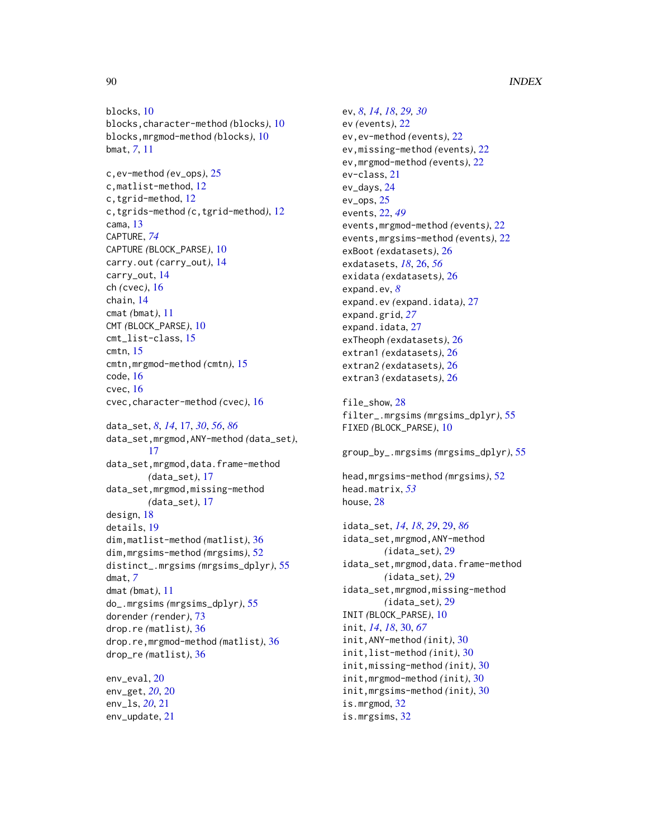blocks, [10](#page-9-1) blocks,character-method *(*blocks*)*, [10](#page-9-1) blocks,mrgmod-method *(*blocks*)*, [10](#page-9-1) bmat, *[7](#page-6-0)*, [11](#page-10-0) c,ev-method *(*ev\_ops*)*, [25](#page-24-0) c,matlist-method, [12](#page-11-0)

c,tgrid-method, [12](#page-11-0) c,tgrids-method *(*c,tgrid-method*)*, [12](#page-11-0) cama, [13](#page-12-0) CAPTURE, *[74](#page-73-0)* CAPTURE *(*BLOCK\_PARSE*)*, [10](#page-9-1) carry.out *(*carry\_out*)*, [14](#page-13-0) carry\_out, [14](#page-13-0) ch *(*cvec*)*, [16](#page-15-0) chain, [14](#page-13-0) cmat *(*bmat*)*, [11](#page-10-0) CMT *(*BLOCK\_PARSE*)*, [10](#page-9-1) cmt\_list-class, [15](#page-14-0) cmtn, [15](#page-14-0) cmtn,mrgmod-method *(*cmtn*)*, [15](#page-14-0) code, [16](#page-15-0) cvec, [16](#page-15-0) cvec,character-method *(*cvec*)*, [16](#page-15-0)

data\_set, *[8](#page-7-0)*, *[14](#page-13-0)*, [17,](#page-16-1) *[30](#page-29-0)*, *[56](#page-55-0)*, *[86](#page-85-0)* data\_set,mrgmod,ANY-method *(*data\_set*)*, [17](#page-16-1) data\_set,mrgmod,data.frame-method *(*data\_set*)*, [17](#page-16-1) data\_set,mrgmod,missing-method *(*data\_set*)*, [17](#page-16-1) design, [18](#page-17-0) details, [19](#page-18-0) dim,matlist-method *(*matlist*)*, [36](#page-35-0) dim,mrgsims-method *(*mrgsims*)*, [52](#page-51-0) distinct\_.mrgsims *(*mrgsims\_dplyr*)*, [55](#page-54-0) dmat, *[7](#page-6-0)* dmat *(*bmat*)*, [11](#page-10-0) do\_.mrgsims *(*mrgsims\_dplyr*)*, [55](#page-54-0) dorender *(*render*)*, [73](#page-72-0) drop.re *(*matlist*)*, [36](#page-35-0) drop.re,mrgmod-method *(*matlist*)*, [36](#page-35-0) drop\_re *(*matlist*)*, [36](#page-35-0)

env\_eval, [20](#page-19-0) env\_get, *[20](#page-19-0)*, [20](#page-19-0) env\_ls, *[20](#page-19-0)*, [21](#page-20-0) env\_update, [21](#page-20-0)

ev, *[8](#page-7-0)*, *[14](#page-13-0)*, *[18](#page-17-0)*, *[29,](#page-28-1) [30](#page-29-0)* ev *(*events*)*, [22](#page-21-0) ev,ev-method *(*events*)*, [22](#page-21-0) ev,missing-method *(*events*)*, [22](#page-21-0) ev,mrgmod-method *(*events*)*, [22](#page-21-0) ev-class, [21](#page-20-0) ev\_days, [24](#page-23-0) ev\_ops, [25](#page-24-0) events, [22,](#page-21-0) *[49](#page-48-0)* events,mrgmod-method *(*events*)*, [22](#page-21-0) events,mrgsims-method *(*events*)*, [22](#page-21-0) exBoot *(*exdatasets*)*, [26](#page-25-0) exdatasets, *[18](#page-17-0)*, [26,](#page-25-0) *[56](#page-55-0)* exidata *(*exdatasets*)*, [26](#page-25-0) expand.ev, *[8](#page-7-0)* expand.ev *(*expand.idata*)*, [27](#page-26-0) expand.grid, *[27](#page-26-0)* expand.idata, [27](#page-26-0) exTheoph *(*exdatasets*)*, [26](#page-25-0) extran1 *(*exdatasets*)*, [26](#page-25-0) extran2 *(*exdatasets*)*, [26](#page-25-0) extran3 *(*exdatasets*)*, [26](#page-25-0)

file\_show, [28](#page-27-0) filter\_.mrgsims *(*mrgsims\_dplyr*)*, [55](#page-54-0) FIXED *(*BLOCK\_PARSE*)*, [10](#page-9-1)

group\_by\_.mrgsims *(*mrgsims\_dplyr*)*, [55](#page-54-0)

head,mrgsims-method *(*mrgsims*)*, [52](#page-51-0) head.matrix, *[53](#page-52-0)* house, [28](#page-27-0)

idata\_set, *[14](#page-13-0)*, *[18](#page-17-0)*, *[29](#page-28-1)*, [29,](#page-28-1) *[86](#page-85-0)* idata\_set,mrgmod,ANY-method *(*idata\_set*)*, [29](#page-28-1) idata\_set,mrgmod,data.frame-method *(*idata\_set*)*, [29](#page-28-1) idata\_set,mrgmod,missing-method *(*idata\_set*)*, [29](#page-28-1) INIT *(*BLOCK\_PARSE*)*, [10](#page-9-1) init, *[14](#page-13-0)*, *[18](#page-17-0)*, [30,](#page-29-0) *[67](#page-66-0)* init,ANY-method *(*init*)*, [30](#page-29-0) init,list-method *(*init*)*, [30](#page-29-0) init,missing-method *(*init*)*, [30](#page-29-0) init,mrgmod-method *(*init*)*, [30](#page-29-0) init,mrgsims-method *(*init*)*, [30](#page-29-0) is.mrgmod, [32](#page-31-0) is.mrgsims, [32](#page-31-0)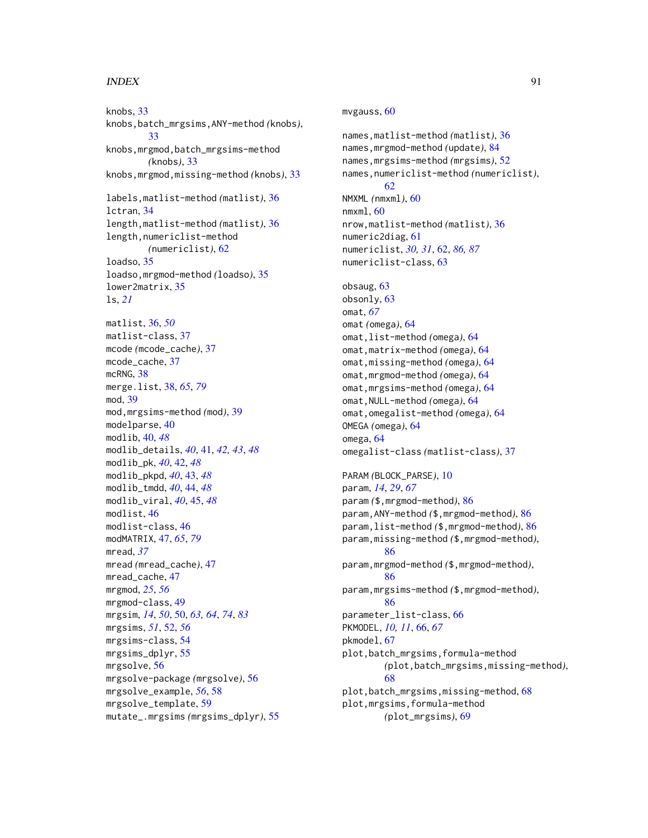#### INDEX  $91$

knobs, [33](#page-32-0) knobs,batch\_mrgsims,ANY-method *(*knobs*)*, [33](#page-32-0) knobs,mrgmod,batch\_mrgsims-method *(*knobs*)*, [33](#page-32-0) knobs,mrgmod,missing-method *(*knobs*)*, [33](#page-32-0) labels,matlist-method *(*matlist*)*, [36](#page-35-0) lctran, [34](#page-33-0) length,matlist-method *(*matlist*)*, [36](#page-35-0) length, numericlist-method *(*numericlist*)*, [62](#page-61-1) loadso, [35](#page-34-0) loadso,mrgmod-method *(*loadso*)*, [35](#page-34-0) lower2matrix, [35](#page-34-0) ls, *[21](#page-20-0)* matlist, [36,](#page-35-0) *[50](#page-49-1)* matlist-class, [37](#page-36-0) mcode *(*mcode\_cache*)*, [37](#page-36-0) mcode\_cache, [37](#page-36-0) mcRNG, [38](#page-37-1) merge.list, [38,](#page-37-1) *[65](#page-64-0)*, *[79](#page-78-0)* mod, [39](#page-38-0) mod,mrgsims-method *(*mod*)*, [39](#page-38-0) modelparse, [40](#page-39-0) modlib, [40,](#page-39-0) *[48](#page-47-0)* modlib\_details, *[40](#page-39-0)*, [41,](#page-40-0) *[42,](#page-41-0) [43](#page-42-0)*, *[48](#page-47-0)* modlib\_pk, *[40](#page-39-0)*, [42,](#page-41-0) *[48](#page-47-0)* modlib\_pkpd, *[40](#page-39-0)*, [43,](#page-42-0) *[48](#page-47-0)* modlib\_tmdd, *[40](#page-39-0)*, [44,](#page-43-0) *[48](#page-47-0)* modlib\_viral, *[40](#page-39-0)*, [45,](#page-44-0) *[48](#page-47-0)* modlist, [46](#page-45-0) modlist-class, [46](#page-45-0) modMATRIX, [47,](#page-46-1) *[65](#page-64-0)*, *[79](#page-78-0)* mread, *[37](#page-36-0)* mread *(*mread\_cache*)*, [47](#page-46-1) mread\_cache, [47](#page-46-1) mrgmod, *[25](#page-24-0)*, *[56](#page-55-0)* mrgmod-class, [49](#page-48-0) mrgsim, *[14](#page-13-0)*, *[50](#page-49-1)*, [50,](#page-49-1) *[63,](#page-62-0) [64](#page-63-0)*, *[74](#page-73-0)*, *[83](#page-82-0)* mrgsims, *[51](#page-50-0)*, [52,](#page-51-0) *[56](#page-55-0)* mrgsims-class, [54](#page-53-0) mrgsims\_dplyr, [55](#page-54-0) mrgsolve, [56](#page-55-0) mrgsolve-package *(*mrgsolve*)*, [56](#page-55-0) mrgsolve\_example, *[56](#page-55-0)*, [58](#page-57-0) mrgsolve\_template, [59](#page-58-0) mutate\_.mrgsims *(*mrgsims\_dplyr*)*, [55](#page-54-0)

# mvgauss, [60](#page-59-0) names,matlist-method *(*matlist*)*, [36](#page-35-0) names,mrgmod-method *(*update*)*, [84](#page-83-0) names,mrgsims-method *(*mrgsims*)*, [52](#page-51-0) names,numericlist-method *(*numericlist*)*, [62](#page-61-1) NMXML *(*nmxml*)*, [60](#page-59-0) nmxml, [60](#page-59-0) nrow,matlist-method *(*matlist*)*, [36](#page-35-0) numeric2diag, [61](#page-60-0) numericlist, *[30,](#page-29-0) [31](#page-30-0)*, [62,](#page-61-1) *[86,](#page-85-0) [87](#page-86-0)* numericlist-class, [63](#page-62-0) obsaug, [63](#page-62-0) obsonly, [63](#page-62-0) omat, *[67](#page-66-0)* omat *(*omega*)*, [64](#page-63-0) omat,list-method *(*omega*)*, [64](#page-63-0) omat,matrix-method *(*omega*)*, [64](#page-63-0) omat,missing-method *(*omega*)*, [64](#page-63-0) omat,mrgmod-method *(*omega*)*, [64](#page-63-0) omat,mrgsims-method *(*omega*)*, [64](#page-63-0) omat,NULL-method *(*omega*)*, [64](#page-63-0) omat,omegalist-method *(*omega*)*, [64](#page-63-0) OMEGA *(*omega*)*, [64](#page-63-0) omega, [64](#page-63-0) omegalist-class *(*matlist-class*)*, [37](#page-36-0) PARAM *(*BLOCK\_PARSE*)*, [10](#page-9-1) param, *[14](#page-13-0)*, *[29](#page-28-1)*, *[67](#page-66-0)* param *(*\$,mrgmod-method*)*, [86](#page-85-0) param,ANY-method *(*\$,mrgmod-method*)*, [86](#page-85-0) param,list-method *(*\$,mrgmod-method*)*, [86](#page-85-0) param,missing-method *(*\$,mrgmod-method*)*, [86](#page-85-0) param,mrgmod-method *(*\$,mrgmod-method*)*, [86](#page-85-0) param,mrgsims-method *(*\$,mrgmod-method*)*, [86](#page-85-0) parameter\_list-class, [66](#page-65-0) PKMODEL, *[10,](#page-9-1) [11](#page-10-0)*, [66,](#page-65-0) *[67](#page-66-0)* pkmodel, [67](#page-66-0) plot,batch\_mrgsims,formula-method *(*plot,batch\_mrgsims,missing-method*)*, [68](#page-67-0) plot,batch\_mrgsims,missing-method, [68](#page-67-0) plot,mrgsims,formula-method

*(*plot\_mrgsims*)*, [69](#page-68-0)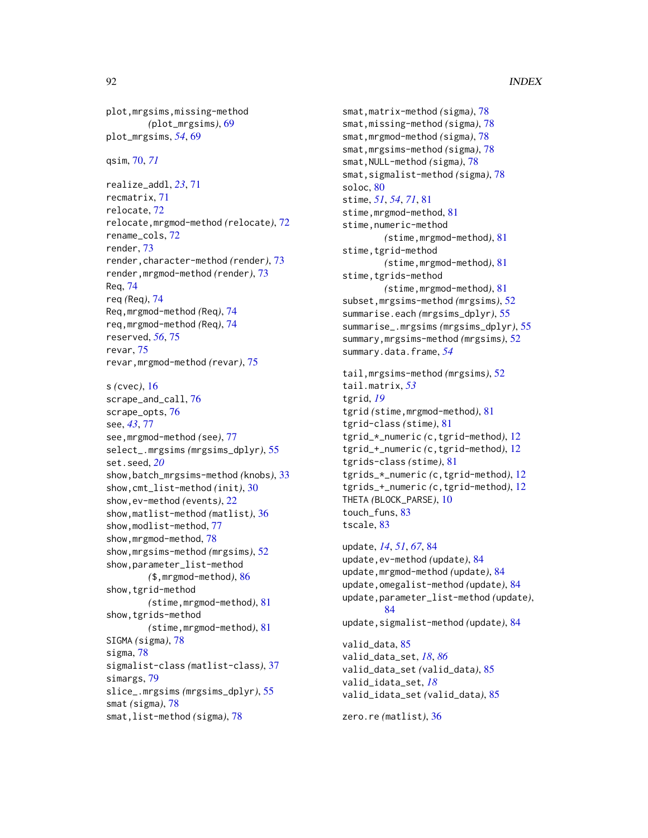```
plot,mrgsims,missing-method
        (plot_mrgsims), 69
plot_mrgsims, 54, 69
```
qsim, [70,](#page-69-0) *[71](#page-70-0)*

realize\_addl, *[23](#page-22-0)*, [71](#page-70-0) recmatrix, [71](#page-70-0) relocate, [72](#page-71-0) relocate,mrgmod-method *(*relocate*)*, [72](#page-71-0) rename\_cols, [72](#page-71-0) render, [73](#page-72-0) render,character-method *(*render*)*, [73](#page-72-0) render,mrgmod-method *(*render*)*, [73](#page-72-0) Req, [74](#page-73-0) req *(*Req*)*, [74](#page-73-0) Req,mrgmod-method *(*Req*)*, [74](#page-73-0) req,mrgmod-method *(*Req*)*, [74](#page-73-0) reserved, *[56](#page-55-0)*, [75](#page-74-0) revar, [75](#page-74-0) revar,mrgmod-method *(*revar*)*, [75](#page-74-0)

s *(*cvec*)*, [16](#page-15-0) scrape\_and\_call, [76](#page-75-0) scrape\_opts, [76](#page-75-0) see, *[43](#page-42-0)*, [77](#page-76-0) see,mrgmod-method *(*see*)*, [77](#page-76-0) select\_.mrgsims *(*mrgsims\_dplyr*)*, [55](#page-54-0) set.seed, *[20](#page-19-0)* show,batch\_mrgsims-method *(*knobs*)*, [33](#page-32-0) show,cmt\_list-method *(*init*)*, [30](#page-29-0) show,ev-method *(*events*)*, [22](#page-21-0) show,matlist-method *(*matlist*)*, [36](#page-35-0) show,modlist-method, [77](#page-76-0) show,mrgmod-method, [78](#page-77-0) show,mrgsims-method *(*mrgsims*)*, [52](#page-51-0) show,parameter\_list-method *(*\$,mrgmod-method*)*, [86](#page-85-0) show,tgrid-method *(*stime,mrgmod-method*)*, [81](#page-80-0) show,tgrids-method *(*stime,mrgmod-method*)*, [81](#page-80-0) SIGMA *(*sigma*)*, [78](#page-77-0) sigma, [78](#page-77-0) sigmalist-class *(*matlist-class*)*, [37](#page-36-0) simargs, [79](#page-78-0) slice\_.mrgsims *(*mrgsims\_dplyr*)*, [55](#page-54-0) smat *(*sigma*)*, [78](#page-77-0) smat,list-method *(*sigma*)*, [78](#page-77-0)

smat,matrix-method *(*sigma*)*, [78](#page-77-0) smat,missing-method *(*sigma*)*, [78](#page-77-0) smat,mrgmod-method *(*sigma*)*, [78](#page-77-0) smat,mrgsims-method *(*sigma*)*, [78](#page-77-0) smat,NULL-method *(*sigma*)*, [78](#page-77-0) smat,sigmalist-method *(*sigma*)*, [78](#page-77-0) soloc, [80](#page-79-0) stime, *[51](#page-50-0)*, *[54](#page-53-0)*, *[71](#page-70-0)*, [81](#page-80-0) stime, mrgmod-method, [81](#page-80-0) stime, numeric-method *(*stime,mrgmod-method*)*, [81](#page-80-0) stime, tgrid-method *(*stime,mrgmod-method*)*, [81](#page-80-0) stime, tgrids-method *(*stime,mrgmod-method*)*, [81](#page-80-0) subset,mrgsims-method *(*mrgsims*)*, [52](#page-51-0) summarise.each *(*mrgsims\_dplyr*)*, [55](#page-54-0) summarise\_.mrgsims *(*mrgsims\_dplyr*)*, [55](#page-54-0) summary,mrgsims-method *(*mrgsims*)*, [52](#page-51-0) summary.data.frame, *[54](#page-53-0)* tail,mrgsims-method *(*mrgsims*)*, [52](#page-51-0) tail.matrix, *[53](#page-52-0)* tgrid, *[19](#page-18-0)* tgrid *(*stime,mrgmod-method*)*, [81](#page-80-0) tgrid-class *(*stime*)*, [81](#page-80-0) tgrid\_\*\_numeric *(*c,tgrid-method*)*, [12](#page-11-0) tgrid\_+\_numeric *(*c,tgrid-method*)*, [12](#page-11-0) tgrids-class *(*stime*)*, [81](#page-80-0) tgrids\_\*\_numeric *(*c,tgrid-method*)*, [12](#page-11-0) tgrids\_+\_numeric *(*c,tgrid-method*)*, [12](#page-11-0) THETA *(*BLOCK\_PARSE*)*, [10](#page-9-1) touch\_funs, [83](#page-82-0) tscale, [83](#page-82-0) update, *[14](#page-13-0)*, *[51](#page-50-0)*, *[67](#page-66-0)*, [84](#page-83-0) update,ev-method *(*update*)*, [84](#page-83-0) update,mrgmod-method *(*update*)*, [84](#page-83-0)

```
update,omegalist-method (update), 84
update,parameter_list-method (update),
        84
update,sigmalist-method (update), 84
valid_data, 85
valid_data_set, 18, 86
valid_data_set (valid_data), 85
valid_idata_set, 18
valid_idata_set (valid_data), 85
zero.re (matlist), 36
```